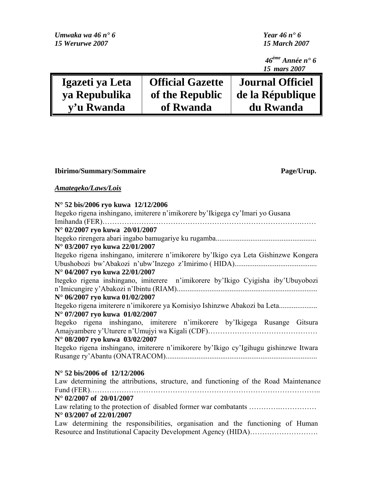| Umwaka wa 46 $n^{\bullet}$ 6 | Year 46 $n^{\bullet}$ 6 |                                              |
|------------------------------|-------------------------|----------------------------------------------|
| 15 Werurwe 2007              | <b>15 March 2007</b>    |                                              |
|                              |                         | $46^{\text{ème}}$ Année n° 6<br>15 mars 2007 |
| Igazeti ya Leta              | <b>Official Gazette</b> | <b>Journal Officiel</b>                      |
| ya Repubulika                | of the Republic         | de la République                             |
| v'u Rwanda                   | of Rwanda               | du Rwanda                                    |

|  |  | <b>Ibirimo/Summary/Sommaire</b> |  |
|--|--|---------------------------------|--|
|--|--|---------------------------------|--|

Page/Urup.

*Amategeko/Laws/Lois*

| N° 52 bis/2006 ryo kuwa 12/12/2006<br>Itegeko rigena inshingano, imiterere n'imikorere by'Ikigega cy'Imari yo Gusana |
|----------------------------------------------------------------------------------------------------------------------|
|                                                                                                                      |
| Imihanda (FER)                                                                                                       |
| N° 02/2007 ryo kuwa 20/01/2007                                                                                       |
|                                                                                                                      |
| N° 03/2007 ryo kuwa 22/01/2007                                                                                       |
| Itegeko rigena inshingano, imiterere n'imikorere by'Ikigo cya Leta Gishinzwe Kongera                                 |
|                                                                                                                      |
| N° 04/2007 ryo kuwa 22/01/2007                                                                                       |
| Itegeko rigena inshingano, imiterere n'imikorere by'Ikigo Cyigisha iby'Ubuyobozi                                     |
|                                                                                                                      |
| N° 06/2007 ryo kuwa 01/02/2007                                                                                       |
| Itegeko rigena imiterere n'imikorere ya Komisiyo Ishinzwe Abakozi ba Leta                                            |
| N° 07/2007 ryo kuwa 01/02/2007                                                                                       |
| Itegeko rigena inshingano, imiterere n'imikorere by'Ikigega Rusange Gitsura                                          |
|                                                                                                                      |
| N° 08/2007 ryo kuwa 03/02/2007                                                                                       |
| Itegeko rigena inshingano, imiterere n'imikorere by'Ikigo cy'Igihugu gishinzwe Itwara                                |
|                                                                                                                      |
|                                                                                                                      |
| N° 52 his/2006 of 12/12/2006                                                                                         |

## **N° 52 bis/2006 of 12/12/2006**

Law determining the attributions, structure, and functioning of the Road Maintenance Fund (FER)…………………………………………………………………………………..

### **N° 02/2007 of 20/01/2007**

Law relating to the protection of disabled former war combatants ………………………………………… **N° 03/2007 of 22/01/2007** 

Law determining the responsibilities, organisation and the functioning of Human Resource and Institutional Capacity Development Agency (HIDA)……………………….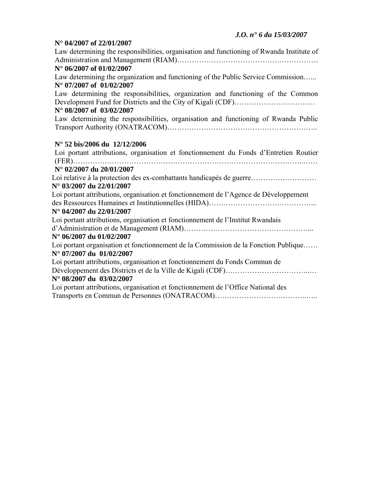#### **N° 04/2007 of 22/01/2007**

| Law determining the responsibilities, organisation and functioning of Rwanda Institute of |
|-------------------------------------------------------------------------------------------|
|                                                                                           |
| N° 06/2007 of 01/02/2007                                                                  |
| Law determining the organization and functioning of the Public Service Commission         |
| $N^{\circ}$ 07/2007 of 01/02/2007                                                         |
| Law determining the responsibilities, organization and functioning of the Common          |
|                                                                                           |
| N° 08/2007 of 03/02/2007                                                                  |
| Law determining the responsibilities, organisation and functioning of Rwanda Public       |
|                                                                                           |
| N° 52 bis/2006 du 12/12/2006                                                              |
| Loi portant attributions, organisation et fonctionnement du Fonds d'Entretien Routier     |
|                                                                                           |
| N° 02/2007 du 20/01/2007                                                                  |
| Loi relative à la protection des ex-combattants handicapés de guerre                      |
| $N^{\circ}$ 03/2007 du 22/01/2007                                                         |
| Loi portant attributions, organisation et fonctionnement de l'Agence de Développement     |
|                                                                                           |
| N° 04/2007 du 22/01/2007                                                                  |
| Loi portant attributions, organisation et fonctionnement de l'Institut Rwandais           |
|                                                                                           |
| $N^{\circ}$ 06/2007 du 01/02/2007                                                         |
| Loi portant organisation et fonctionnement de la Commission de la Fonction Publique       |
| $N^{\circ}$ 07/2007 du $01/02/2007$                                                       |
| Loi portant attributions, organisation et fonctionnement du Fonds Commun de               |
|                                                                                           |
| N° 08/2007 du 03/02/2007                                                                  |
| Loi portant attributions, organisation et fonctionnement de l'Office National des         |
|                                                                                           |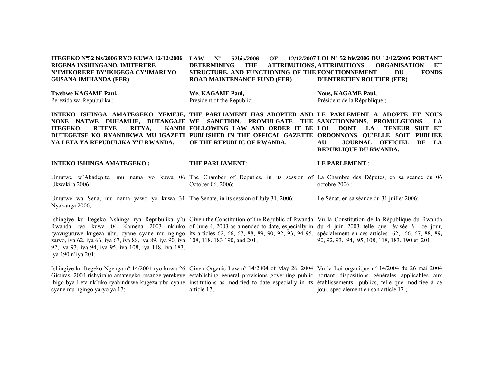**ITEGEKO Nº52 bis/2006 RYO KUWA 12/12/2006 RIGENA INSHINGANO, IMITERERE N'IMIKORERE BY'IKIGEGA CY'IMARI YO GUSANA IMIHANDA (FER) N°** 52bis/2006 OF **DETERMINING THE ATTRIBUTIONS, STRUCTURE, AND FUNCTIONING OF THE FONCTIONNEMENT DU FONDS ROAD MAINTENANCE FUND (FER) LOI N° 52 bis/2006 DU 12/12/2006 PORTANT ORGANISATION ET D'ENTRETIEN ROUTIER (FER)** 

**Twebwe KAGAME Paul,**  Perezida wa Repubulika ;

**We, KAGAME Paul,**  President of the Republic; **Nous, KAGAME Paul,**  Président de la République ;

INTEKO ISHINGA AMATEGEKO YEMEJE, THE PARLIAMENT HAS ADOPTED AND LE PARLEMENT A ADOPTE ET NOUS **NONE NATWE DUHAMIJE, DUTANGAJE WE SANCTION, PROMULGATE THE SANCTIONNONS, PROMULGUONS LA ITEGEKO RITEYE RITYA, DUTEGETSE KO RYANDIKWA MU IGAZETI PUBLISHED IN THE OFFICAL GAZETTE ORDONNONS QU'ELLE SOIT PUBLIEE YA LETA YA REPUBULIKA Y'U RWANDA. FOLLOWING LAW AND ORDER IT BE LOI DONT LA TENEUR SUIT ET OF THE REPUBLIC OF RWANDA. AU JOURNAL OFFICIEL DE LA REPUBLIQUE DU RWANDA.** 

#### **INTEKO ISHINGA AMATEGEKO :**

#### **THE PARLIAMENT**:

#### **LE PARLEMENT** :

Umutwe w'Abadepite, mu nama yo kuwa 06 The Chamber of Deputies, in its session of La Chambre des Députes, en sa séance du 06 Ukwakira 2006; October 06, 2006; octobre 2006 ;

Umutwe wa Sena, mu nama yawo yo kuwa 31 The Senate, in its session of July 31, 2006; Nyakanga 2006; Le Sénat, en sa séance du 31 juillet 2006;

Ishingiye ku Itegeko Nshinga rya Repubulika y'u Given the Constitution of the Republic of Rwanda Vu la Constitution de la République du Rwanda Rwanda ryo kuwa 04 Kamena 2003 nk'uko of June 4, 2003 as amended to date, especially in du 4 juin 2003 telle que révisée à ce jour, ryavuguruwe kugeza ubu, cyane cyane mu ngingo its articles 62, 66, 67, 88, 89, 90, 92, 93, 94 95, spécialement en ces articles 62, 66, 67, 88, 89**,** zaryo, iya 62, iya 66, iya 67, iya 88, iya 89, iya 90, iya 108, 118, 183 190, and 201; 92, iya 93, iya 94, iya 95, iya 108, iya 118, iya 183, iya 190 n'iya 201; 90, 92, 93, 94, 95, 108, 118, 183, 190 et 201;

Ishingiye ku Itegeko Ngenga n° 14/2004 ryo kuwa 26 Given Organic Law n° 14/2004 of May 26, 2004 Vu la Loi organique n° 14/2004 du 26 mai 2004 Gicurasi 2004 rishyiraho amategeko rusange yerekeye establishing general provisions governing public portant dispositions générales applicables aux ibigo bya Leta nk'uko ryahinduwe kugeza ubu cyane institutions as modified to date especially in its établissements publics, telle que modifiée à ce cyane mu ngingo yaryo ya 17; article 17; jour, spécialement en son article 17 ;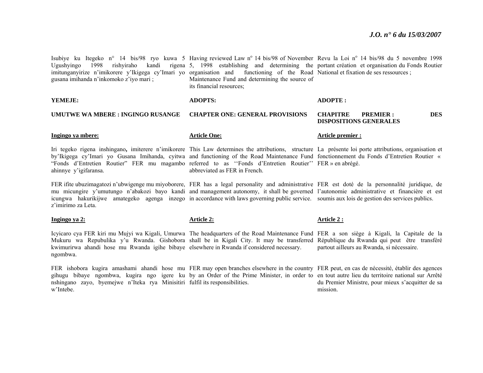Isubiye ku Itegeko n° 14 bis/98 ryo kuwa 5 Having reviewed Law n° 14 bis/98 of November Revu la Loi n° 14 bis/98 du 5 novembre 1998 Ugushyingo 1998 rishyiraho kandi rigena 5, 1998 establishing and determining the portant création et organisation du Fonds Routier imitunganyirize n'imikorere y'Ikigega cy'Imari yo organisation and functioning of the Road National et fixation de ses ressources ; gusana imihanda n'inkomoko z'iyo mari ; Maintenance Fund and determining the source of its financial resources;

**YEMEJE: UMUTWE WA MBERE : INGINGO RUSANGE Ingingo ya mbere:** Iri tegeko rigena inshingano**,** imiterere n'imikorere This Law determines the attributions, structure La présente loi porte attributions, organisation et by'Ikigega cy'Imari yo Gusana Imihanda, cyitwa and functioning of the Road Maintenance Fund fonctionnement du Fonds d'Entretien Routier « "Fonds d'Entretien Routier" FER mu magambo referred to as ''Fonds d'Entretien Routier'' FER » en abrégé. ahinnye y'igifaransa. FER ifite ubuzimagatozi n'ubwigenge mu miyoborere, FER has a legal personality and administrative FER est doté de la personnalité juridique, de **ADOPTS: CHAPTER ONE: GENERAL PROVISIONS Article One:**abbreviated as FER in French. **ADOPTE : CHAPITRE PREMIER : DES DISPOSITIONS GENERALES Article premier :** 

mu micungire y'umutungo n'abakozi bayo kandi and management autonomy, it shall be governed l'autonomie administrative et financière et est icungwa hakurikijwe amategeko agenga inzego in accordance with laws governing public service. soumis aux lois de gestion des services publics. z'imirimo za Leta.

**Ingingo ya 2:**

**Article 2:**

#### **Article 2 :**

Icyicaro cya FER kiri mu Mujyi wa Kigali, Umurwa The headquarters of the Road Maintenance Fund FER a son siège à Kigali, la Capitale de la Mukuru wa Repubulika y'u Rwanda. Gishobora shall be in Kigali City. It may be transferred République du Rwanda qui peut être transféré kwimurirwa ahandi hose mu Rwanda igihe bibaye elsewhere in Rwanda if considered necessary. ngombwa. partout ailleurs au Rwanda, si nécessaire.

FER ishobora kugira amashami ahandi hose mu FER may open branches elsewhere in the country FER peut, en cas de nécessité, établir des agences gihugu bibaye ngombwa, kugira ngo igere ku by an Order of the Prime Minister, in order to en tout autre lieu du territoire national sur Arrêté nshingano zayo, byemejwe n'Iteka rya Minisitiri fulfil its responsibilities. w'Intebe. du Premier Ministre, pour mieux s'acquitter de sa mission.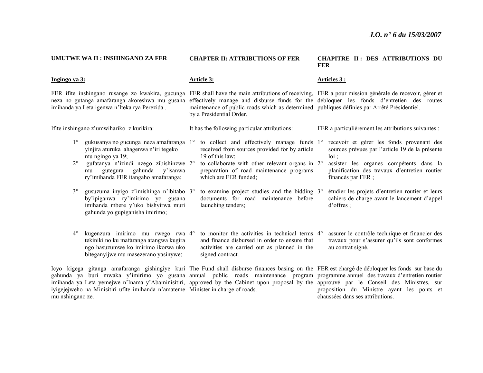| UMUTWE WA II : INSHINGANO ZA FER                                                                                                                                                                                                                                                     | <b>CHAPTER II: ATTRIBUTIONS OF FER</b>                                                                                                                                           | <b>CHAPITRE II: DES ATTRIBUTIONS DU</b><br><b>FER</b>                                                                                                                                            |  |
|--------------------------------------------------------------------------------------------------------------------------------------------------------------------------------------------------------------------------------------------------------------------------------------|----------------------------------------------------------------------------------------------------------------------------------------------------------------------------------|--------------------------------------------------------------------------------------------------------------------------------------------------------------------------------------------------|--|
| Ingingo ya 3:                                                                                                                                                                                                                                                                        | <u>Article 3:</u>                                                                                                                                                                | <u>Articles 3 :</u>                                                                                                                                                                              |  |
| FER if ite inshingano rusange zo kwakira, gucunga<br>neza no gutanga amafaranga akoreshwa mu gusana<br>imihanda ya Leta igenwa n'Iteka rya Perezida.                                                                                                                                 | maintenance of public roads which as determined publiques définies par Arrêté Présidentiel.<br>by a Presidential Order.                                                          | FER shall have the main attributions of receiving. FER a pour mission générale de recevoir, gérer et<br>effectively manage and disburse funds for the débloquer les fonds d'entretien des routes |  |
| Ifite inshingano z'umwihariko zikurikira:                                                                                                                                                                                                                                            | It has the following particular attributions:                                                                                                                                    | FER a particulièrement les attributions suivantes :                                                                                                                                              |  |
| $1^{\circ}$<br>gukusanya no gucunga neza amafaranga 1°<br>yinjira aturuka ahagenwa n'iri tegeko<br>mu ngingo ya 19;<br>$2^{\circ}$<br>gufatanya n'izindi nzego zibishinzwe 2°                                                                                                        | to collect and effectively manage funds 1°<br>received from sources provided for by article<br>19 of this law;<br>to collaborate with other relevant organs in 2°                | recevoir et gérer les fonds provenant des<br>sources prévues par l'article 19 de la présente<br>$10i$ :<br>assister les organes compétents dans la                                               |  |
| y'isanwa<br>gahunda<br>gutegura<br>mu<br>ry'imihanda FER itangaho amafaranga;                                                                                                                                                                                                        | preparation of road maintenance programs<br>which are FER funded;                                                                                                                | planification des travaux d'entretien routier<br>financés par FER ;                                                                                                                              |  |
| $3^\circ$<br>gusuzuma inyigo z'imishinga n'ibitabo 3°<br>by'ipiganwa ry'imirimo yo gusana<br>imihanda mbere y'uko bishyirwa muri<br>gahunda yo gupiganisha imirimo;                                                                                                                  | to examine project studies and the bidding 3°<br>documents for road maintenance before<br>launching tenders;                                                                     | étudier les projets d'entretien routier et leurs<br>cahiers de charge avant le lancement d'appel<br>$d'$ offres $\vdots$                                                                         |  |
| kugenzura imirimo mu rwego rwa 4°<br>$4^{\circ}$<br>tekiniki no ku mafaranga atangwa kugira<br>ngo hasuzumwe ko imirimo ikorwa uko<br>biteganyijwe mu masezerano yasinywe;                                                                                                           | to monitor the activities in technical terms 4 <sup>°</sup><br>and finance disbursed in order to ensure that<br>activities are carried out as planned in the<br>signed contract. | assurer le contrôle technique et financier des<br>travaux pour s'assurer qu'ils sont conformes<br>au contrat signé.                                                                              |  |
| Icyo kigega gitanga amafaranga gishingiye kuri The Fund shall disburse finances basing on the FER est chargé de débloquer les fonds sur base du<br>gahunda ya buri mwaka y'imirimo yo gusana annual public roads maintenance program programme annuel destravaux d'entretien routier |                                                                                                                                                                                  |                                                                                                                                                                                                  |  |

imihanda ya Leta yemejwe n'Inama y'Abaminisitiri, iyigejejweho na Minisitiri ufite imihanda n'amateme mu nshingano ze. approved by the Cabinet upon proposal by the Minister in charge of roads. approuvé par le Conseil des Ministres, sur proposition du Ministre ayant les ponts et chaussées dans ses attributions.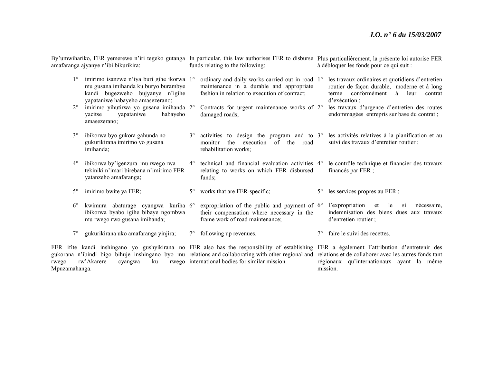By'umwihariko, FER yemerewe n'iri tegeko gutanga In particular, this law authorises FER to disburse Plus particulièrement, la présente loi autorise FER amafaranga ajyanye n'ibi bikurikira: funds relating to the following: à débloquer les fonds pour ce qui suit :

| $1^{\circ}$ | imirimo isanzwe n'iya buri gihe ikorwa 1°<br>mu gusana imihanda ku buryo burambye<br>kandi bugezweho bujyanye n'igihe<br>yapataniwe habayeho amasezerano; |             | ordinary and daily works carried out in road 1°<br>maintenance in a durable and appropriate<br>fashion in relation to execution of contract; |           | les travaux ordinaires et quotidiens d'entretien<br>routier de façon durable, moderne et à long<br>conformément<br>à<br>leur<br>terme<br>contrat<br>$d'$ exécution :                                                                                                                          |
|-------------|-----------------------------------------------------------------------------------------------------------------------------------------------------------|-------------|----------------------------------------------------------------------------------------------------------------------------------------------|-----------|-----------------------------------------------------------------------------------------------------------------------------------------------------------------------------------------------------------------------------------------------------------------------------------------------|
| $2^{\circ}$ | imirimo yihutirwa yo gusana imihanda 2°<br>yapataniwe<br>habayeho<br>yacitse<br>amasezerano;                                                              |             | Contracts for urgent maintenance works of 2°<br>damaged roads;                                                                               |           | les travaux d'urgence d'entretien des routes<br>endommagées entrepris sur base du contrat;                                                                                                                                                                                                    |
| $3^{\circ}$ | ibikorwa byo gukora gahunda no<br>gukurikirana imirimo yo gusana<br>imihanda;                                                                             | $3^\circ$   | activities to design the program and to $3^{\circ}$<br>the<br>of the road<br>execution<br>monitor<br>rehabilitation works;                   |           | les activités relatives à la planification et au<br>suivi des travaux d'entretien routier ;                                                                                                                                                                                                   |
| $4^{\circ}$ | ibikorwa by'igenzura mu rwego rwa<br>tekiniki n'imari birebana n'imirimo FER<br>yatanzeho amafaranga;                                                     | $4^\circ$   | technical and financial evaluation activities 4°<br>relating to works on which FER disbursed<br>funds;                                       |           | le contrôle technique et financier des travaux<br>financés par FER ;                                                                                                                                                                                                                          |
| $5^{\circ}$ | imirimo bwite ya FER;                                                                                                                                     | $5^{\circ}$ | works that are FER-specific;                                                                                                                 | $5^\circ$ | les services propres au FER ;                                                                                                                                                                                                                                                                 |
| $6^{\circ}$ | kwimura abaturage cyangwa kuriha 6°<br>ibikorwa byabo igihe bibaye ngombwa<br>mu rwego rwo gusana imihanda;                                               |             | expropriation of the public and payment of $6^{\circ}$<br>their compensation where necessary in the<br>frame work of road maintenance;       |           | l'expropriation<br>et<br>le<br>nécessaire.<br>Si<br>indemnisation des biens dues aux travaux<br>d'entretien routier;                                                                                                                                                                          |
| $7^{\circ}$ | gukurikirana uko amafaranga yinjira;                                                                                                                      | $7^{\circ}$ | following up revenues.                                                                                                                       | 7°        | faire le suivi des recettes.                                                                                                                                                                                                                                                                  |
|             |                                                                                                                                                           |             |                                                                                                                                              |           | fite kandi inshingano yo gushyikirana no FER also has the responsibility of establishing FER a également l'attribution d'entretenir des<br>a n'ibindi bigo bihuje inshingano byo mu relations and collaborating with other regional and relations et de collaborer avec les autres fonds tant |

FER if gukorana n'ibindi big<br>rwego rw'Akarere rw'Akarere cyangwa ku Mpuzamahanga. relations and collaborating with other regional and international bodies for similar mission.

régionaux qu'internationaux ayant la même mission.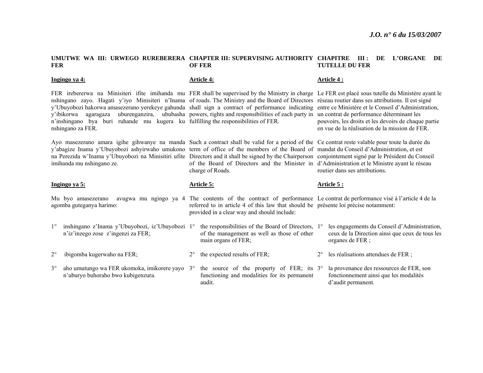#### **UMUTWE WA III: URWEGO RUREBERERA CHAPTER III: SUPERVISING AUTHORITY CHAPITRE III : DE L'ORGANE DE FER OF FER TUTELLE DU FER**

|             | Ingingo ya 4:                                                                                                                                                                                                                                                                                                                                                                                                                                                                                                                                                                                             |             | <b>Article 4:</b>                                                                                                                                                                                                                                          |             | Article 4:                                                                                                          |
|-------------|-----------------------------------------------------------------------------------------------------------------------------------------------------------------------------------------------------------------------------------------------------------------------------------------------------------------------------------------------------------------------------------------------------------------------------------------------------------------------------------------------------------------------------------------------------------------------------------------------------------|-------------|------------------------------------------------------------------------------------------------------------------------------------------------------------------------------------------------------------------------------------------------------------|-------------|---------------------------------------------------------------------------------------------------------------------|
|             | FER irebererwa na Minisiteri ifite imihanda mu FER shall be supervised by the Ministry in charge Le FER est placé sous tutelle du Ministère ayant le<br>nshingano zayo. Hagati y'iyo Minisiteri n'Inama of roads. The Ministry and the Board of Directors réseau routier dans ses attributions. Il est signé<br>y'Ubuyobozi hakorwa amasezerano yerekeye gahunda shall sign a contract of performance indicating entre ce Ministère et le Conseil d'Administration,<br>y'ibikorwa<br>agaragaza<br>n'inshingano by aburi ruhande mu kugera ku fulfilling the responsibilities of FER.<br>nshingano za FER. |             | uburenganzira, ububasha powers, rights and responsibilities of each party in un contrat de performance déterminant les                                                                                                                                     |             | pouvoirs, les droits et les devoirs de chaque partie<br>en vue de la réalisation de la mission de FER.              |
|             | Ayo masezerano amara igihe gihwanye na manda Such a contract shall be valid for a period of the Ce contrat reste valable pour toute la durée du<br>y'abagize Inama y'Ubuyobozi ashyirwaho umukono term of office of the members of the Board of mandat du Conseil d'Administration, et est<br>na Perezida w'Inama y'Ubuyobozi na Minisitiri ufite Directors and it shall be signed by the Chairperson conjointement signé par le Président du Conseil<br>imihanda mu nshingano ze.                                                                                                                        |             | of the Board of Directors and the Minister in d'Administration et le Ministre ayant le réseau<br>charge of Roads.                                                                                                                                          |             | routier dans ses attributions.                                                                                      |
|             | Ingingo ya 5:                                                                                                                                                                                                                                                                                                                                                                                                                                                                                                                                                                                             |             | Article 5:                                                                                                                                                                                                                                                 |             | Article 5 :                                                                                                         |
|             |                                                                                                                                                                                                                                                                                                                                                                                                                                                                                                                                                                                                           |             |                                                                                                                                                                                                                                                            |             |                                                                                                                     |
|             | Mu byo amasezerano<br>agomba guteganya harimo:                                                                                                                                                                                                                                                                                                                                                                                                                                                                                                                                                            |             | avugwa mu ngingo ya 4 The contents of the contract of performance Le contrat de performance visé à l'article 4 de la<br>referred to in article 4 of this law that should be présente loi précise notamment:<br>provided in a clear way and should include: |             |                                                                                                                     |
| $1^{\circ}$ | inshingano z'Inama y'Ubuyobozi, iz'Ubuyobozi 1°<br>n'iz'inzego zose z'ingenzi za FER;                                                                                                                                                                                                                                                                                                                                                                                                                                                                                                                     |             | the responsibilities of the Board of Directors, 1°<br>of the management as well as those of other<br>main organs of FER;                                                                                                                                   |             | les engagements du Conseil d'Administration,<br>ceux de la Direction ainsi que ceux de tous les<br>organes de FER ; |
| $2^{\circ}$ | ibigomba kugerwaho na FER;                                                                                                                                                                                                                                                                                                                                                                                                                                                                                                                                                                                | $2^{\circ}$ | the expected results of FER;                                                                                                                                                                                                                               | $2^{\circ}$ | les réalisations attendues de FER ;                                                                                 |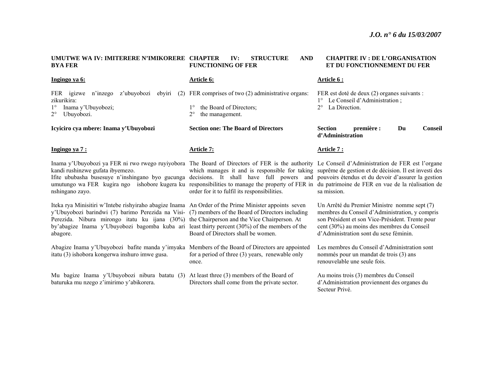#### **UMUTWE WA IV: IMITERERE N'IMIKORERE CHAPTER IV: STRUCTURE AND BYA FER**  AND **FUNCTIONING OF FER**

#### **CHAPITRE IV : DE L'ORGANISATION ET DU FONCTIONNEMENT DU FER**

| Ingingo ya 6:                                                                                                                                                                                                                                                                                                                                                                                                                                                                                               | Article 6:                                               | Article 6 :                                                                                                                                                                                                                                |
|-------------------------------------------------------------------------------------------------------------------------------------------------------------------------------------------------------------------------------------------------------------------------------------------------------------------------------------------------------------------------------------------------------------------------------------------------------------------------------------------------------------|----------------------------------------------------------|--------------------------------------------------------------------------------------------------------------------------------------------------------------------------------------------------------------------------------------------|
| FER igizwe<br>n'inzego<br>z'ubuyobozi<br>ebyiri<br>zikurikira:                                                                                                                                                                                                                                                                                                                                                                                                                                              | (2) FER comprises of two (2) administrative organs:      | FER est doté de deux (2) organes suivants :<br>1° Le Conseil d'Administration;                                                                                                                                                             |
| Inama y'Ubuyobozi;<br>$2^{\circ}$<br>Ubuyobozi.                                                                                                                                                                                                                                                                                                                                                                                                                                                             | the Board of Directors;<br>the management.               | $2^{\circ}$ La Direction.                                                                                                                                                                                                                  |
| Icyiciro cya mbere: Inama y'Ubuyobozi                                                                                                                                                                                                                                                                                                                                                                                                                                                                       | <b>Section one: The Board of Directors</b>               | <b>Section</b><br>première :<br>Du<br><b>Conseil</b><br>d'Administration                                                                                                                                                                   |
| Ingingo ya 7 :                                                                                                                                                                                                                                                                                                                                                                                                                                                                                              | Article 7:                                               | Article 7 :                                                                                                                                                                                                                                |
| Inama y'Ubuyobozi ya FER ni rwo rwego ruyiyobora The Board of Directors of FER is the authority Le Conseil d'Administration de FER est l'organe<br>kandi rushinzwe gufata ibyemezo.<br>If ite ububasha busesuye n'inshingano byo gucunga decisions. It shall have full powers and pouvoirs étendus et du devoir d'assurer la gestion<br>umutungo wa FER kugira ngo ishobore kugera ku responsibilities to manage the property of FER in du patrimoine de FER en vue de la réalisation de<br>nshingano zayo. | order for it to fulfil its responsibilities.             | which manages it and is responsible for taking suprême de gestion et de décision. Il est investi des<br>sa mission.                                                                                                                        |
| Iteka rya Minisitiri w'Intebe rishyiraho abagize Inama An Order of the Prime Minister appoints seven<br>y'Ubuyobozi barindwi (7) barimo Perezida na Visi- (7) members of the Board of Directors including<br>Perezida. Nibura mirongo itatu ku ijana (30%) the Chairperson and the Vice Chairperson. At<br>by'abagize Inama y'Ubuyobozi bagomba kuba ari least thirty percent (30%) of the members of the<br>abagore.                                                                                       | Board of Directors shall be women.                       | Un Arrêté du Premier Ministre nomme sept (7)<br>membres du Conseil d'Administration, y compris<br>son Président et son Vice-Président. Trente pour<br>cent (30%) au moins des membres du Conseil<br>d'Administration sont du sexe féminin. |
| Abagize Inama y'Ubuyobozi bafite manda y'imyaka Members of the Board of Directors are appointed<br>itatu (3) ishobora kongerwa inshuro imwe gusa.                                                                                                                                                                                                                                                                                                                                                           | for a period of three (3) years, renewable only<br>once. | Les membres du Conseil d'Administration sont<br>nommés pour un mandat de trois (3) ans<br>renouvelable une seule fois.                                                                                                                     |
| Mu bagize Inama y'Ubuyobozi nibura batatu (3) At least three (3) members of the Board of<br>baturuka mu nzego z'imirimo y'abikorera.                                                                                                                                                                                                                                                                                                                                                                        | Directors shall come from the private sector.            | Au moins trois (3) membres du Conseil<br>d'Administration proviennent des organes du<br>Secteur Privé.                                                                                                                                     |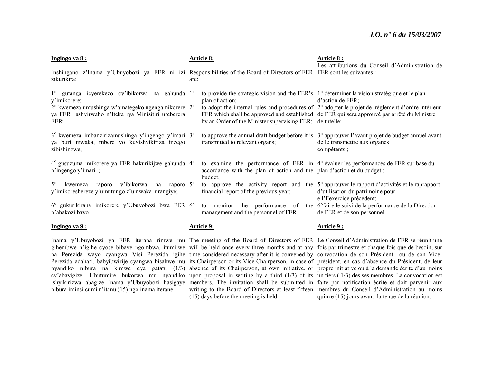| Ingingo ya 8:                                                                                                                                                                                                     | <b>Article 8:</b>                                                                                                                                                           | Article 8 :<br>Les attributions du Conseil d'Administration de                                                                                                                                                                   |
|-------------------------------------------------------------------------------------------------------------------------------------------------------------------------------------------------------------------|-----------------------------------------------------------------------------------------------------------------------------------------------------------------------------|----------------------------------------------------------------------------------------------------------------------------------------------------------------------------------------------------------------------------------|
| Inshingano z'Inama y'Ubuyobozi ya FER ni izi Responsibilities of the Board of Directors of FER FER sont les suivantes :<br>zikurikira:                                                                            | are:                                                                                                                                                                        |                                                                                                                                                                                                                                  |
| gutanga icyerekezo cy'ibikorwa na gahunda l <sup>o</sup><br>$1^{\circ}$<br>y'imikorere;<br>2° kwemeza umushinga w'amategeko ngengamikorere 2°<br>ya FER ashyirwaho n'Iteka rya Minisitiri ureberera<br><b>FER</b> | to provide the strategic vision and the FER's 1° déterminer la vision stratégique et le plan<br>plan of action;<br>by an Order of the Minister supervising FER; de tutelle; | $d'$ action de FER;<br>to adopt the internal rules and procedures of $2^{\circ}$ adopter le projet de règlement d'ordre intérieur<br>FER which shall be approved and established de FER qui sera approuvé par arrêté du Ministre |
| 3° kwemeza imbanzirizamushinga y'ingengo y'imari 3°<br>ya buri mwaka, mbere yo kuyishyikiriza inzego<br>zibishinzwe;                                                                                              | transmitted to relevant organs;                                                                                                                                             | to approve the annual draft budget before it is $3^\circ$ approuver l'avant projet de budget annuel avant<br>de le transmettre aux organes<br>compétents;                                                                        |
| 4° gusuzuma imikorere ya FER hakurikijwe gahunda 4°<br>n'ingengo y'imari;                                                                                                                                         | accordance with the plan of action and the plan d'action et du budget;<br>budget;                                                                                           | to examine the performance of FER in 4° évaluer les performances de FER sur base du                                                                                                                                              |
| kwemeza raporo y'ibikorwa na raporo 5°<br>$5^\circ$<br>y'imikoreshereze y'umutungo z'umwaka urangiye;                                                                                                             | financial report of the previous year;                                                                                                                                      | to approve the activity report and the $5^{\circ}$ approuver le rapport d'activités et le raprapport<br>d'utilisation du patrimoine pour<br>e l'l'exercice précédent;                                                            |
| 6° gukurikirana imikorere y'Ubuyobozi bwa FER 6°<br>n'abakozi bayo.                                                                                                                                               | management and the personnel of FER.                                                                                                                                        | to monitor the performance of the 6 <sup>o</sup> faire le suivi de la performance de la Direction<br>de FER et de son personnel.                                                                                                 |
| Ingingo ya 9:                                                                                                                                                                                                     | <b>Article 9:</b>                                                                                                                                                           | Article 9 :                                                                                                                                                                                                                      |

Inama y'Ubuyobozi ya FER iterana rimwe mu The meeting of the Board of Directors of FER Le Conseil d'Administration de FER se réunit une gihembwe n'igihe cyose bibaye ngombwa, itumijwe will be held once every three months and at any fois par trimestre et chaque fois que de besoin, sur na Perezida wayo cyangwa Visi Perezida igihe time considered necessary after it is convened by convocation de son Président ou de son Vice-Perezida adahari, babyibwirije cyangwa bisabwe mu its Chairperson or its Vice Chairperson, in case of président, en cas d'absence du Président, de leur nyandiko nibura na kimwe cya gatatu (1/3) absence of its Chairperson, at own initiative, or propre initiative ou à la demande écrite d'au moins cy'abayigize. Ubutumire bukorwa mu nyandiko upon proposal in writing by a third (1/3) of its un tiers (1/3) des ses membres. La convocation est ishyikirizwa abagize Inama y'Ubuyobozi hasigaye members. The invitation shall be submitted in faite par notification écrite et doit parvenir aux nibura iminsi cumi n'itanu (15) ngo inama iterane.

(15) days before the meeting is held.

writing to the Board of Directors at least fifteen membres du Conseil d'Administration au moins quinze (15) jours avant la tenue de la réunion.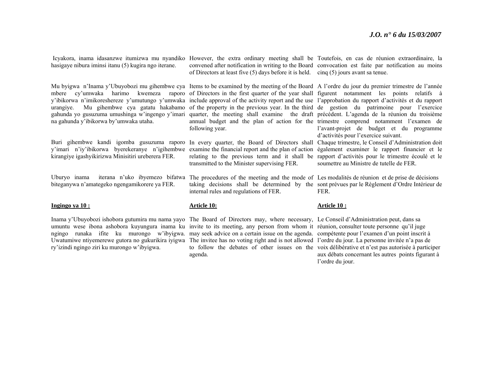Icyakora, inama idasanzwe itumizwa mu nyandiko However, the extra ordinary meeting shall be Toutefois, en cas de réunion extraordinaire, la hasigaye nibura iminsi itanu (5) kugira ngo iterane. Mu byigwa n'Inama y'Ubuyobozi mu gihembwe cya Items to be examined by the meeting of the Board A l'ordre du jour du premier trimestre de l'année mbere cy'umwaka harimo kwemeza raporo of Directors in the first quarter of the year shall figurent notamment les points relatifs à y'ibikorwa n'imikoreshereze y'umutungo y'umwaka include approval of the activity report and the use l'approbation du rapport d'activités et du rapport urangiye. Mu gihembwe cya gatatu hakabamo of the property in the previous year. In the third de gestion du patrimoine pour l'exercice gahunda yo gusuzuma umushinga w'ingengo y'imari quarter, the meeting shall examine the draft précédent. L'agenda de la réunion du troisième na gahunda y'ibikorwa by'umwaka utaha. Buri gihembwe kandi igomba gusuzuma raporo In every quarter, the Board of Directors shall Chaque trimestre, le Conseil d'Administration doit y'imari n'iy'ibikorwa byerekeranye n'igihembwe examine the financial report and the plan of action également examiner le rapport financier et le kirangiye igashyikirizwa Minisitiri ureberera FER. Uburyo inama iterana n'uko ibyemezo bifatwa The procedures of the meeting and the mode of Les modalités de réunion et de prise de décisions biteganywa n'amategeko ngengamikorere ya FER. **Ingingo ya 10 :** Inama y'Ubuyobozi ishobora gutumira mu nama yayo The Board of Directors may, where necessary, Le Conseil d'Administration peut, dans sa convened after notification in writing to the Board convocation est faite par notification au moins of Directors at least five (5) days before it is held. cinq (5) jours avant sa tenue. annual budget and the plan of action for the trimestre comprend notamment l'examen de following year. relating to the previous term and it shall be rapport d'activités pour le trimestre écoulé et le transmitted to the Minister supervising FER. taking decisions shall be determined by the sont prévues par le Règlement d'Ordre Intérieur de internal rules and regulations of FER. **Article 10:** l'avant-projet de budget et du programme d'activités pour l'exercice suivant. soumettre au Ministre de tutelle de FER. FER. **Article 10 :**

umuntu wese ibona ashobora kuyungura inama ku invite to its meeting, any person from whom it réunion, consulter toute personne qu'il juge ngingo runaka ifite ku murongo w'ibyigwa. may seek advice on a certain issue on the agenda. compétente pour l'examen d'un point inscrit à Uwatumiwe ntiyemerewe gutora no gukurikira iyigwa The invitee has no voting right and is not allowed l'ordre du jour. La personne invitée n'a pas de ry'izindi ngingo ziri ku murongo w'ibyigwa.

agenda.

to follow the debates of other issues on the voix délibérative et n'est pas autorisée à participer aux débats concernant les autres points figurant à l'ordre du jour.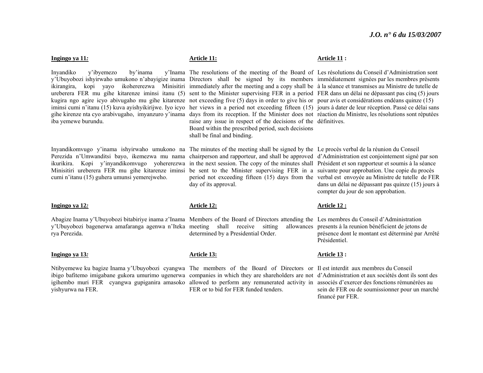#### **Ingingo ya 11***:*

Inyandiko y'ibyemezo by'inama y'Ubuyobozi ishyirwaho umukono n'abayigize inama Directors shall be signed by its members immédiatement signées par les membres présents ikirangira, kopi yayo ikohererezwa Minisitiri immediately after the meeting and a copy shall be à la séance et transmises au Ministre de tutelle de ureberera FER mu gihe kitarenze iminsi itanu (5) sent to the Minister supervising FER in a period FER dans un délai ne dépassant pas cinq (5) jours kugira ngo agire icyo abivugaho mu gihe kitarenze not exceeding five (5) days in order to give his or pour avis et considérations endéans quinze (15) iminsi cumi n'itanu (15) kuva ayishyikirijwe. Iyo icyo her views in a period not exceeding fifteen (15) jours à dater de leur réception. Passé ce délai sans gihe kirenze nta cyo arabivugaho, imyanzuro y'inama days from its reception. If the Minister does not réaction du Ministre, les résolutions sont réputées iba yemewe burundu.

Inyandikomvugo y'inama ishyirwaho umukono na The minutes of the meeting shall be signed by the Le procès verbal de la réunion du Conseil Perezida n'Umwanditsi bayo, ikemezwa mu nama chairperson and rapporteur, and shall be approved d'Administration est conjointement signé par son ikurikira. Kopi y'inyandikomvugo yohererezwa in the next session. The copy of the minutes shall Président et son rapporteur et soumis à la séance Minisitiri ureberera FER mu gihe kitarenze iminsi be sent to the Minister supervising FER in a suivante pour approbation. Une copie du procès cumi n'itanu (15) guhera umunsi yemerejweho.

#### **Ingingo ya 12***:*

Abagize Inama y'Ubuyobozi bitabiriye inama z'Inama Members of the Board of Directors attending the Les membres du Conseil d'Administration y'Ubuyobozi bagenerwa amafaranga agenwa n'Iteka meeting shall receive sitting allowances rya Perezida.

#### **Ingingo ya 13***:*

Ntibyemewe ku bagize Inama y'Ubuyobozi cyangwa The members of the Board of Directors or Il est interdit aux membres du Conseil ibigo bafitemo imigabane gukora umurimo ugenerwa companies in which they are shareholders are not d'Administration et aux sociétés dont ils sont des igihembo muri FER cyangwa gupiganira amasoko allowed to perform any remunerated activity in associés d'exercer des fonctions rémunérées au yishyurwa na FER.

#### **Article 11:**

The resolutions of the meeting of the Board of Les résolutions du Conseil d'Administration sont raise any issue in respect of the decisions of the définitives. Board within the prescribed period, such decisions shall be final and binding.

#### **Article 11 :**

period not exceeding fifteen (15) days from the verbal est envoyée au Ministre de tutelle de FER day of its approval.

dans un délai ne dépassant pas quinze (15) jours à compter du jour de son approbation.

#### **Article 12:**

determined by a Presidential Order. presents à la reunion bénéficient de jetons de

## **Article 13 :**

**Article 12 :**

Présidentiel.

sein de FER ou de soumissionner pour un marché financé par FER.

présence dont le montant est déterminé par Arrêté

#### **Article 13:**

FER or to bid for FER funded tenders.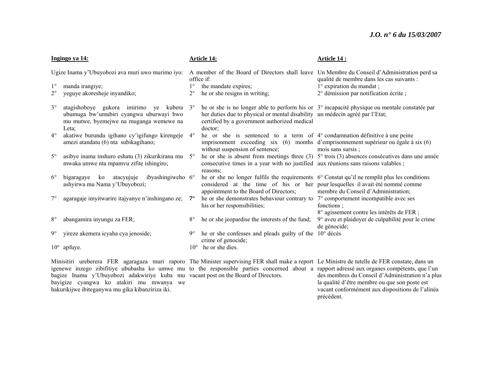#### *J.O. n° 6 du 15/03/2007*

| Ingingo ya 14: |                                                                                                                                                 | <b>Article 14:</b> |                                                                                                                                         | Article 14 :                                                                                                                                 |
|----------------|-------------------------------------------------------------------------------------------------------------------------------------------------|--------------------|-----------------------------------------------------------------------------------------------------------------------------------------|----------------------------------------------------------------------------------------------------------------------------------------------|
|                | Ugize Inama y'Ubuyobozi ava muri uwo murimo iyo:                                                                                                |                    | office if:                                                                                                                              | A member of the Board of Directors shall leave Un Membre du Conseil d'Administration perd sa<br>qualité de membre dans les cas suivants :    |
| $1^{\circ}$    | manda irangiye;                                                                                                                                 | $1^{\circ}$        | the mandate expires;                                                                                                                    | $1^\circ$ expiration du mandat;                                                                                                              |
| $2^{\circ}$    | yeguye akoresheje inyandiko;                                                                                                                    | $2^{\circ}$        | he or she resigns in writing;                                                                                                           | 2° démission par notification écrite ;                                                                                                       |
| $3^\circ$      | atagishoboye gukora imirimo ye kubera<br>ubumuga bw'umubiri cyangwa uburwayi bwo<br>mu mutwe, byemejwe na muganga wemewe na<br>Leta:            | $3^\circ$          | her duties due to physical or mental disability un médecin agréé par l'Etat;<br>certified by a government authorized medical<br>doctor: | he or she is no longer able to perform his or 3° incapacité physique ou mentale constatée par                                                |
| $4^\circ$      | akatiwe burundu igihano cy'igifungo kirengeje<br>amezi atandatu (6) nta subikagihano;                                                           | $4^{\circ}$        | he or she is sentenced to a term of 4° condamnation définitive à une peine<br>without suspension of sentence;                           | imprisonment exceeding six (6) months d'emprisonmement supérieur ou égale à six (6)<br>mois sans sursis;                                     |
| $5^\circ$      | asibye inama inshuro eshatu (3) zikurikirana mu<br>mwaka umwe nta mpamvu zifite ishingiro;                                                      | $5^\circ$          | consecutive times in a year with no justified aux réunions sans raisons valables;<br>reasons;                                           | he or she is absent from meetings three (3) $5^{\circ}$ trois (3) absences consécutives dans une année                                       |
| $6^{\circ}$    | ko<br>atacyujuje<br>ibyashingiweho 6°<br>bigaragaye<br>ashyirwa mu Nama y'Ubuyobozi;                                                            |                    | considered at the time of his or her pour lesquelles il avait été nommé comme<br>appointment to the Board of Directors;                 | he or she no longer fulfils the requirements $6^{\circ}$ Constat qu'il ne remplit plus les conditions<br>membre du Conseil d'Administration; |
| $7^\circ$      | agaragaje imyitwarire itajyanye n'inshingano ze;                                                                                                | $7^{\circ}$        | he or she demonstrates behaviour contrary to 7° comportement incompatible avec ses<br>his or her responsibilities;                      | fonctions :<br>8° agissement contre les intérêts de FER ;                                                                                    |
| $8^{\circ}$    | abangamira inyungu za FER;                                                                                                                      | $8^{\circ}$        | he or she jeopardise the interests of the fund;                                                                                         | 9° aveu et plaidoyer de culpabilité pour le crime<br>de génocide;                                                                            |
| $9^\circ$      | yireze akemera icyaha cya jenoside;                                                                                                             | $9^\circ$          | he or she confesses and pleads guilty of the 10° décès<br>crime of genocide;                                                            |                                                                                                                                              |
|                | 10° apfuye.                                                                                                                                     | $10^{\circ}$       | he or she dies.                                                                                                                         |                                                                                                                                              |
|                | Minisitiri ureberera FER agaragaza muri raporo The Minister supervising FER shall make a report Le Ministre de tutelle de FER constate, dans un |                    |                                                                                                                                         |                                                                                                                                              |

igenewe inzego zibifitiye ububasha ko umwe mu to the responsible parties concerned about a rapport adressé aux organes compétents, que l'un bagize Inama y'Ubuyobozi adakwiriye kuba mu vacant post on the Board of Directors. bayigize cyangwa ko atakiri mu mwanya we hakurikijwe ibiteganywa mu gika kibanziriza iki.

des membres du Conseil d'Administration n'a plus la qualité d'être membre ou que son poste est vacant conformément aux dispositions de l'alinéa précédent.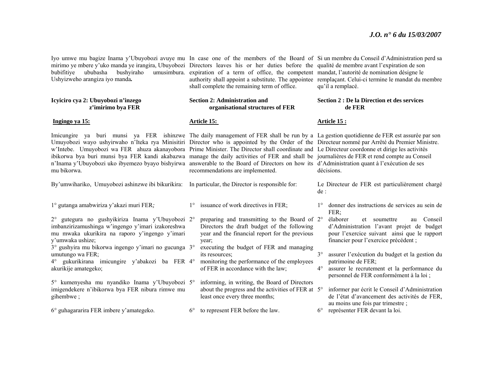Iyo umwe mu bagize Inama y'Ubuyobozi avuye mu In case one of the members of the Board of Si un membre du Conseil d'Administration perd sa mirimo ye mbere y'uko manda ye irangira, Ubuyobozi Directors leaves his or her duties before the qualité de membre avant l'expiration de son bubifitiye ububasha bushyiraho Ushyizweho arangiza iyo manda*.* 

#### **Icyiciro cya 2: Ubuyobozi n'inzego <sup>z</sup>'imirimo bya FER**

#### **Ingingo ya 15:**

Imicungire ya buri munsi ya FER ishinzwe The daily management of FER shall be run by a La gestion quotidienne de FER est assurée par son Umuyobozi wayo ushyirwaho n'Iteka rya Minisitiri Director who is appointed by the Order of the Directeur nommé par Arrêté du Premier Ministre. <sup>w</sup>'Intebe. Umuyobozi wa FER ahuza akanayobora Prime Minister. The Director shall coordinate and Le Directeur coordonne et dirige les activités ibikorwa bya buri munsi bya FER kandi akabazwa manage the daily activities of FER and shall be journalières de FER et rend compte au Conseil <sup>n</sup>'Inama y'Ubuyobozi uko ibyemezo byayo bishyirwa answerable to the Board of Directors on how its d'Administration quant à l'exécution de ses mu bikorwa.

expiration of a term of office, the competent mandat, l'autorité de nomination désigne le authority shall appoint a substitute. The appointee remplaçant. Celui-ci termine le mandat du membre shall complete the remaining term of office.

#### **Section 2: Administration and organisational structures of FER**

1° issuance of work directives in FER;

#### **Article 15:**

year;

its resources;

recommendations are implemented.

Directors the draft budget of the following year and the financial report for the previous

executing the budget of FER and managing

monitoring the performance of the employees

of FER in accordance with the law;

By'umwihariko, Umuyobozi ashinzwe ibi bikurikira: In particular, the Director is responsible for:

1° gutanga amabwiriza y'akazi muri FER*;*

2° gutegura no gushyikiriza Inama y'Ubuyobozi 2°imbanzirizamushinga w'ingengo y'imari izakoreshwa mu mwaka ukurikira na raporo y'ingengo y'imari y'umwaka ushize;

3° gushyira mu bikorwa ingengo y'imari no gucunga 3°umutungo wa FER;

4° gukurikirana imicungire y'abakozi ba FER 4°akurikije amategeko;

5° kumenyesha mu nyandiko Inama y'Ubuyobozi 5°imigendekere n'ibikorwa bya FER nibura rimwe mu gihembwe ; informing, in writing, the Board of Directors about the progress and the activities of FER at 5°least once every three months;

6° guhagararira FER imbere y'amategeko.  $6^{\circ}$ to represent FER before the law.

**Section 2 : De la Direction et des services de FER Article 15 :**

qu'il a remplacé.

décisions.

Le Directeur de FER est particulièrement chargé de :

1° donner des instructions de services au sein de FER;

<sup>o</sup> preparing and transmitting to the Board of 2<sup>o</sup> élaborer et soumettre au Conseil d'Administration l'avant projet de budget pour l'exercice suivant ainsi que le rapport financier pour l'exercice précédent ;

> 3° assurer l'exécution du budget et la gestion du patrimoine de FER;

> $4^\circ$  assurer le recrutement et la performance du personnel de FER conformément à la loi ;

 informer par écrit le Conseil d'Administration de l'état d'avancement des activités de FER, au moins une fois par trimestre ;

6° représenter FER devant la loi.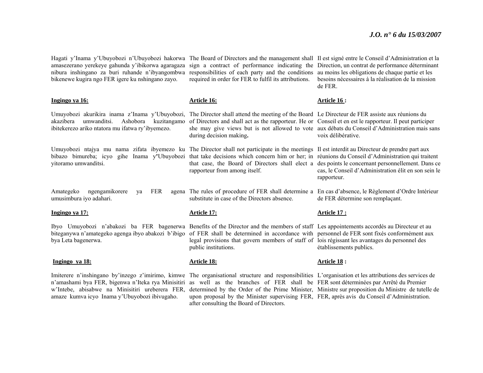Hagati y'Inama y'Ubuyobozi n'Ubuyobozi hakorwa The Board of Directors and the management shall Il est signé entre le Conseil d'Administration et la amasezerano yerekeye gahunda y'ibikorwa agaragaza sign a contract of performance indicating the Direction, un contrat de performance déterminant nibura inshingano za buri ruhande n'ibyangombwa responsibilities of each party and the conditions au moins les obligations de chaque partie et les bikenewe kugira ngo FER igere ku nshingano zayo.

amaze kumva icyo Inama y'Ubuyobozi ibivugaho.

required in order for FER to fulfil its attributions. besoins nécessaires à la réalisation de la mission

de FER.

| Ingingo ya 16:                                                                                                                                                                                                                                                                                                                                                                                                                                       | Article 16:                                                                                                                                                                                                                                                                                                                            | Article 16 :                                                                                                                                                            |
|------------------------------------------------------------------------------------------------------------------------------------------------------------------------------------------------------------------------------------------------------------------------------------------------------------------------------------------------------------------------------------------------------------------------------------------------------|----------------------------------------------------------------------------------------------------------------------------------------------------------------------------------------------------------------------------------------------------------------------------------------------------------------------------------------|-------------------------------------------------------------------------------------------------------------------------------------------------------------------------|
| Umuyobozi akurikira inama z'Inama y'Ubuyobozi,<br>umwanditsi.<br>akazibera<br>Ashobora<br>kuzitangamo<br>ibitekerezo ariko ntatora mu ifatwa ry'ibyemezo.                                                                                                                                                                                                                                                                                            | The Director shall attend the meeting of the Board Le Directeur de FER assiste aux réunions du<br>of Directors and shall act as the rapporteur. He or Conseil et en est le rapporteur. Il peut participer<br>she may give views but is not allowed to vote aux débats du Conseil d'Administration mais sans<br>during decision making. | voix délibérative.                                                                                                                                                      |
| Umuyobozi ntajya mu nama zifata ibyemezo ku The Director shall not participate in the meetings Il est interdit au Directeur de prendre part aux<br>bibazo bimureba; icyo gihe Inama y'Ubuyobozi that take decisions which concern him or her; in réunions du Conseil d'Administration qui traitent<br>yitoramo umwanditsi.                                                                                                                           | rapporteur from among itself.                                                                                                                                                                                                                                                                                                          | that case, the Board of Directors shall elect a despoints le concernant personnellement. Dans ce<br>cas, le Conseil d'Administration élit en son sein le<br>rapporteur. |
| FER<br>Amategeko<br>ngengamikorere<br>va<br>umusimbura iyo adahari.                                                                                                                                                                                                                                                                                                                                                                                  | agena. The rules of procedure of FER shall determine a. En cas d'absence, le Règlement d'Ordre Intérieur<br>substitute in case of the Directors absence.                                                                                                                                                                               | de FER détermine son remplaçant.                                                                                                                                        |
| Ingingo ya 17:                                                                                                                                                                                                                                                                                                                                                                                                                                       | <b>Article 17:</b>                                                                                                                                                                                                                                                                                                                     | <b>Article 17:</b>                                                                                                                                                      |
| Ibyo Umuyobozi n'abakozi ba FER bagenerwa Benefits of the Director and the members of staff Les appointements accordés au Directeur et au<br>biteganywa n'amategeko agenga ibyo abakozi b'ibigo<br>bya Leta bagenerwa.                                                                                                                                                                                                                               | of FER shall be determined in accordance with personnel de FER sont fixes conformement aux<br>legal provisions that govern members of staff of lois régissant les avantages du personnel des<br>public institutions.                                                                                                                   | établissements publics.                                                                                                                                                 |
| Ingingo ya 18:                                                                                                                                                                                                                                                                                                                                                                                                                                       | <b>Article 18:</b>                                                                                                                                                                                                                                                                                                                     | Article 18 :                                                                                                                                                            |
| Imiterere n'inshingano by inzego z'imirimo, kimwe The organisational structure and responsibilities L'organisation et les attributions des services de<br>n'amashami bya FER, bigenwa n'Iteka rya Minisitiri as well as the branches of FER shall be FER sont déterminées par Arrêté du Premier<br>w'Intebe, abisabwe na Minisitiri ureberera FER, determined by the Order of the Prime Minister, Ministre sur proposition du Ministre de tutelle de |                                                                                                                                                                                                                                                                                                                                        |                                                                                                                                                                         |

after consulting the Board of Directors.

upon proposal by the Minister supervising FER, FER, après avis du Conseil d'Administration.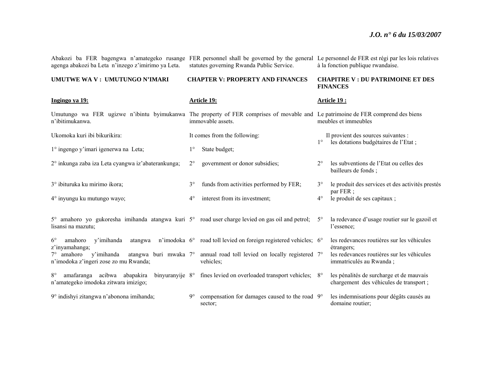Abakozi ba FER bagengwa n'amategeko rusange FER personnel shall be governed by the general Le personnel de FER est régi par les lois relatives agenga abakozi ba Leta n'inzego z'imirimo ya Leta. statutes governing Rwanda Public Service. à la fonction publique rwandaise.

#### **UMUTWE WA V : UMUTUNGO N'IMARI**

#### **CHAPTER V: PROPERTY AND FINANCES**

#### **CHAPITRE V : DU PATRIMOINE ET DES FINANCES**

| Ingingo ya 19:                                                                                                                                     |             | Article 19:                                                                         |             | Article 19:                                                                         |
|----------------------------------------------------------------------------------------------------------------------------------------------------|-------------|-------------------------------------------------------------------------------------|-------------|-------------------------------------------------------------------------------------|
| Umutungo wa FER ugizwe n'ibintu byimukanwa The property of FER comprises of movable and Le patrimoine de FER comprend des biens<br>n'ibitimukanwa. |             | immovable assets.                                                                   |             | meubles et immeubles                                                                |
| Ukomoka kuri ibi bikurikira:                                                                                                                       |             | It comes from the following:                                                        |             | Il provient des sources suivantes :                                                 |
| 1° ingengo y'imari igenerwa na Leta;                                                                                                               | $1^{\circ}$ | State budget;                                                                       | $1^{\circ}$ | les dotations budgétaires de l'Etat;                                                |
| 2° inkunga zaba iza Leta cyangwa iz'abaterankunga;                                                                                                 | $2^{\circ}$ | government or donor subsidies;                                                      | $2^{\circ}$ | les subventions de l'Etat ou celles des<br>bailleurs de fonds;                      |
| 3° ibituruka ku mirimo ikora;                                                                                                                      | $3^{\circ}$ | funds from activities performed by FER;                                             | $3^{\circ}$ | le produit des services et des activités prestés                                    |
| 4° inyungu ku mutungo wayo;                                                                                                                        | $4^{\circ}$ | interest from its investment;                                                       | $4^\circ$   | par $FER$ ;<br>le produit de ses capitaux ;                                         |
| 5° amahoro yo gukoresha imihanda atangwa kuri 5° road user charge levied on gas oil and petrol;<br>lisansi na mazutu:                              |             |                                                                                     | $5^\circ$   | la redevance d'usage routier sur le gazoil et<br>l'essence:                         |
| $6^{\circ}$<br>y'imihanda<br>amahoro<br>atangwa<br>z'inyamahanga;                                                                                  |             | n'imodoka 6° road toll levied on foreign registered vehicles; 6°                    |             | les redevances routières sur les véhicules<br>étrangers;                            |
| y'imihanda<br>$7^\circ$ amahoro<br>n'imodoka z'ingeri zose zo mu Rwanda;                                                                           |             | atangwa buri mwaka 7° annual road toll levied on locally registered 7°<br>vehicles; |             | les redevances routières sur les véhicules<br>immatriculés au Rwanda;               |
| amafaranga acibwa abapakira<br>binyuranyije 8°<br>$8^{\circ}$<br>n'amategeko imodoka zitwara imizigo;                                              |             | fines levied on overloaded transport vehicles; 8°                                   |             | les pénalités de surcharge et de mauvais<br>chargement des véhicules de transport ; |
| 9° indishyi zitangwa n'abonona imihanda;                                                                                                           | $9^\circ$   | compensation for damages caused to the road 9°<br>sector;                           |             | les indemnisations pour dégâts causés au<br>domaine routier;                        |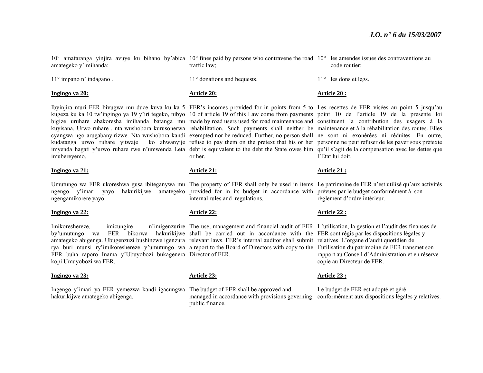10° amafaranga yinjira avuye ku bihano by'abica 10° fines paid by persons who contravene the road 10° les amendes issues des contraventions au amategeko y'imihanda; traffic law; code routier;

11° impano n' indagano .

#### **Ingingo ya 20:**

Ibyinjira muri FER bivugwa mu duce kuva ku ka 5 FER's incomes provided for in points from 5 to Les recettes de FER visées au point 5 jusqu'au kugeza ku ka 10 tw'ingingo ya 19 y'iri tegeko, nibyo 10 of article 19 of this Law come from payments point 10 de l'article 19 de la présente loi bigize uruhare abakoresha imihanda batanga mu made by road users used for road maintenance and constituent la contribution des usagers à la kuyisana. Urwo ruhare, nta wushobora kurusonerwa rehabilitation. Such payments shall neither be maintenance et à la réhabilitation des routes. Elles cyangwa ngo arugabanyirizwe. Nta wushobora kandi exempted nor be reduced. Further, no person shall ne sont ni exonérées ni réduites. En outre, kudatanga urwo ruhare yitwaje ko ahwanyije refuse to pay them on the pretext that his or her personne ne peut refuser de les payer sous prétexte imyenda hagati y'urwo ruhare rwe n'umwenda Leta debt is equivalent to the debt the State owes him qu'il s'agit de la compensation avec les dettes que imubereyemo.

#### **Ingingo ya 21:**

Umutungo wa FER ukoreshwa gusa ibiteganywa mu The property of FER shall only be used in items Le patrimoine de FER n'est utilisé qu'aux activités ngengo y'imari yayo hakurikijwe amategeko provided for in its budget in accordance with prévues par le budget conformément à son ngengamikorere yayo.

#### **Ingingo ya 22:**

FER buha raporo Inama y'Ubuyobozi bukagenera Director of FER. kopi Umuyobozi wa FER.

#### **Ingingo ya 23:**

Ingengo y'imari ya FER yemezwa kandi igacungwa The budget of FER shall be approved and hakurikijwe amategeko abigenga.

11° donations and bequests.

#### **Article 20:**

or her.

#### **Article 21:**

internal rules and regulations.

#### **Article 22:**

Imikoreshereze, imicungire n'imigenzurire The use, management and financial audit of FER L'utilisation, la gestion et l'audit des finances de by'umutungo wa FER bikorwa hakurikijwe shall be carried out in accordance with the FER sont régis par les dispositions légales y amategeko abigenga. Ubugenzuzi bushinzwe igenzura relevant laws. FER's internal auditor shall submit relatives. L'organe d'audit quotidien de rya buri munsi ry'imikoreshereze y'umutungo wa a report to the Board of Directors with copy to the l'utilisation du patrimoine de FER transmet son

#### **Article 23:**

managed in accordance with provisions governing conformément aux dispositions légales y relatives. public finance.

- 
- 11° les dons et legs.

#### **Article 20 :**

l'Etat lui doit.

#### **Article 21 :**

règlement d'ordre intérieur.

#### **Article 22 :**

rapport au Conseil d'Administration et en réserve copie au Directeur de FER.

#### **Article 23 :**

Le budget de FER est adopté et géré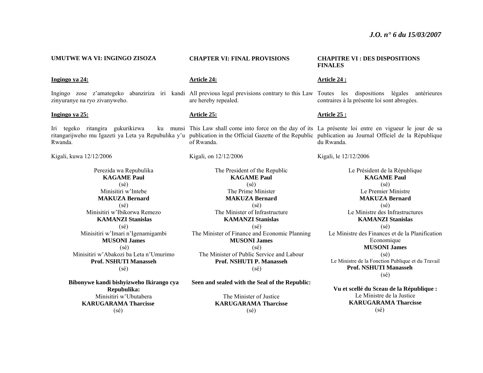#### **UMUTWE WA VI: INGINGO ZISOZA**

#### **Ingingo ya 24:**

zinyuranye na ryo zivanyweho.

#### **Ingingo ya 25:**

Iri tegeko ritangira gukurikizwa Rwanda.

Kigali, kuwa 12/12/2006

Perezida wa Repubulika **KAGAME Paul** (sé) Minisitiri w'Intebe **MAKUZA Bernard** (sé) Minisitiri w'Ibikorwa Remezo **KAMANZI Stanislas** (sé) Minisitiri w'Imari n'Igenamigambi **MUSONI James** (sé) Minisitiri w'Abakozi ba Leta n'Umurimo **Prof. NSHUTI Manasseh** (sé)

**Bibonywe kandi bishyizweho Ikirango cya Repubulika:**  Minisitiri w'Ubutabera **KARUGARAMA Tharcisse** (sé)

#### **CHAPTER VI: FINAL PROVISIONS**

#### **Article 24:**

Ingingo zose z'amategeko abanziriza iri kandi All-previous-legal-previsions-contrary-to-this-Law Toutes les dispositions légales antérieures are hereby repealed.

#### **Article 25:**

ritangarijweho mu Igazeti ya Leta ya Repubulika y'u publication in the Official Gazette of the Republic publication au Journal Officiel de la République of Rwanda.

Kigali, on 12/12/2006

The President of the Republic **KAGAME Paul** (sé) The Prime Minister **MAKUZA Bernard** (sé) The Minister of Infrastructure **KAMANZI Stanislas** (sé) The Minister of Finance and Economic Planning **MUSONI James** (sé) The Minister of Public Service and Labour **Prof. NSHUTI P. Manasseh** (sé)

**Seen and sealed with the Seal of the Republic:** 

The Minister of Justice **KARUGARAMA Tharcisse** (sé)

#### **CHAPITRE VI : DES DISPOSITIONS FINALES**

#### **Article 24 :**

contraires à la présente loi sont abrogées.

#### **Article 25 :**

This Law shall come into force on the day of its La présente loi entre en vigueur le jour de sa du Rwanda.

Kigali, le 12/12/2006

Le Président de la République **KAGAME Paul** (sé) Le Premier Ministre **MAKUZA Bernard** (sé) Le Ministre des Infrastructures **KAMANZI Stanislas** (sé) Le Ministre des Finances et de la Planification Economique **MUSONI James** (sé) Le Ministre de la Fonction Publique et du Travail **Prof. NSHUTI Manasseh** (sé)

**Vu et scellé du Sceau de la République :**  Le Ministre de la Justice **KARUGARAMA Tharcisse** (sé)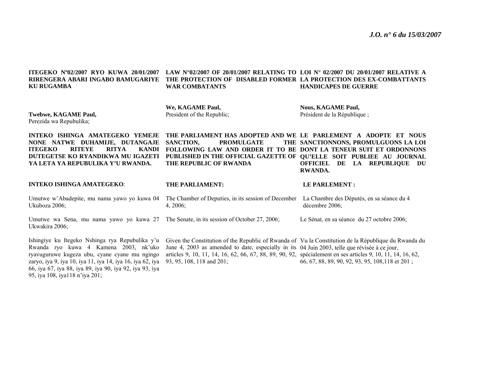| ITEGEKO Nº02/2007 RYO KUWA 20/01/2007<br>RIRENGERA ABARI INGABO BAMUGARIYE<br><b>KU RUGAMBA</b>                                                                                                                | LAW N°02/2007 OF 20/01/2007 RELATING TO LOI N° 02/2007 DU 20/01/2007 RELATIVE A<br>THE PROTECTION OF DISABLED FORMER LA PROTECTION DES EX-COMBATTANTS<br><b>WAR COMBATANTS</b>                                                                                           | <b>HANDICAPES DE GUERRE</b>                                                     |
|----------------------------------------------------------------------------------------------------------------------------------------------------------------------------------------------------------------|--------------------------------------------------------------------------------------------------------------------------------------------------------------------------------------------------------------------------------------------------------------------------|---------------------------------------------------------------------------------|
| Twebwe, KAGAME Paul,<br>Perezida wa Repubulika;                                                                                                                                                                | We, KAGAME Paul,<br>President of the Republic;                                                                                                                                                                                                                           | <b>Nous, KAGAME Paul,</b><br>Président de la République;                        |
| INTEKO ISHINGA AMATEGEKO YEMEJE<br>NONE NATWE DUHAMIJE, DUTANGAJE<br><b>RITYA</b><br><b>ITEGEKO</b><br><b>RITEYE</b><br><b>KANDI</b><br>DUTEGETSE KO RYANDIKWA MU IGAZETI<br>YA LETA YA REPUBULIKA Y'U RWANDA. | THE PARLIAMENT HAS ADOPTED AND WE LE PARLEMENT A ADOPTE ET NOUS<br><b>PROMULGATE</b><br>SANCTION.<br>FOLLOWING LAW AND ORDER IT TO BE DONT LA TENEUR SUIT ET ORDONNONS<br>PUBLISHED IN THE OFFICIAL GAZETTE OF QU'ELLE SOIT PUBLIEE AU JOURNAL<br>THE REPUBLIC OF RWANDA | THE SANCTIONNONS, PROMULGUONS LA LOI<br>OFFICIEL DE LA REPUBLIQUE DU<br>RWANDA. |
|                                                                                                                                                                                                                |                                                                                                                                                                                                                                                                          |                                                                                 |
| <b>INTEKO ISHINGA AMATEGEKO:</b>                                                                                                                                                                               | THE PARLIAMENT:                                                                                                                                                                                                                                                          | <b>LE PARLEMENT:</b>                                                            |
| Umutwe w'Abadepite, mu nama yawo yo kuwa 04<br>Ukuboza 2006;                                                                                                                                                   | The Chamber of Deputies, in its session of December<br>$4, 2006$ ;                                                                                                                                                                                                       | La Chambre des Députés, en sa séance du 4<br>décembre 2006;                     |
| Umutwe wa Sena, mu nama yawo yo kuwa 27<br>Ukwakira 2006;                                                                                                                                                      | The Senate, in its session of October 27, 2006;                                                                                                                                                                                                                          | Le Sénat, en sa séance du 27 octobre 2006;                                      |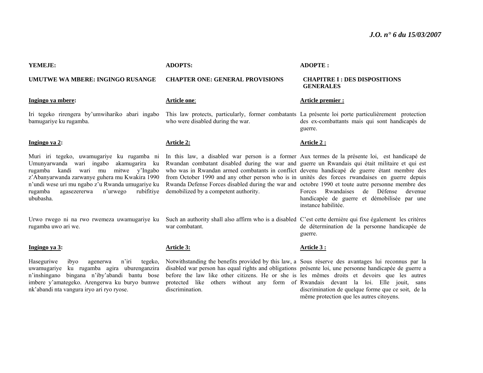#### **YEMEJE:**

#### **UMUTWE WA MBERE: INGINGO RUSANGE**

#### **Ingingo ya mbere:**

Iri tegeko rirengera by'umwihariko abari ingabo bamugariye ku rugamba.

#### **Ingingo ya 2:**

Muri iri tegeko, uwamugariye ku rugamba ni Umunyarwanda wari ingabo akamugarira ku rugamba kandi wari mu mitwe y'Ingabo <sup>z</sup>'Abanyarwanda zarwanye guhera mu Kwakira 1990 <sup>n</sup>'undi wese uri mu ngabo z'u Rwanda umugariye ku rugamba agasezererwa n'urwego ububasha.

rugamba uwo ari we.

#### **Ingingo ya 3:**

Haseguriwe ibyo agenerwa n'iri tegeko, uwamugariye ku rugamba agira uburenganzira <sup>n</sup>'inshingano bingana n'iby'abandi bantu bose imbere y'amategeko. Arengerwa ku buryo bumwe nk'abandi nta vangura iryo ari ryo ryose.

#### **ADOPTS:**

#### **CHAPTER ONE: GENERAL PROVISIONS**

#### **Article one**:

who were disabled during the war.

#### **Article 2:**

In this law, a disabled war person is a former Aux termes de la présente loi, est handicapé de Rwandan combatant disabled during the war and guerre un Rwandais qui était militaire et qui est who was in Rwandan armed combatants in conflict devenu handicapé de guerre étant membre des from October 1990 and any other person who is in unités des forces rwandaises en guerre depuis Rwanda Defense Forces disabled during the war and octobre 1990 et toute autre personne membre des rubifitive demobilized by a competent authority.

war combatant.

#### **Article 3:**

discrimination.

#### **ADOPTE :**

#### **CHAPITRE I : DES DISPOSITIONS GENERALES**

#### **Article premier :**

This law protects, particularly, former combatants La présente loi porte particulièrement protection des ex-combattants mais qui sont handicapés de guerre.

#### **Article 2 :**

Forces Rwandaises de Défense devenue handicapée de guerre et démobilisée par une instance habilitée.

Urwo rwego ni na rwo rwemeza uwamugariye ku Such an authority shall also affirm who is a disabled C'est cette dernière qui fixe également les critères de détermination de la personne handicapée de guerre.

#### **Article 3 :**

Notwithstanding the benefits provided by this law, a Sous réserve des avantages lui reconnus par la disabled war person has equal rights and obligations présente loi, une personne handicapée de guerre a before the law like other citizens. He or she is les mêmes droits et devoirs que les autres protected like others without any form of Rwandais devant la loi. Elle jouit, sans discrimination de quelque forme que ce soit, de la même protection que les autres citoyens.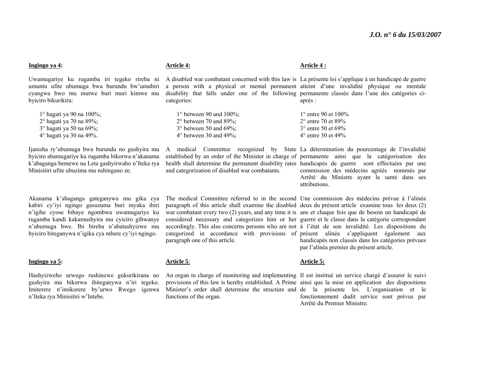| A disabled war combatant concerned with this law is La présente loi s'applique à un handicapé de guerre<br>Uwamugariye ku rugamba iri tegeko rireba ni<br>a person with a physical or mental permanent atteint d'une invalidité physique ou mentale<br>umuntu ufite ubumuga bwa burundu bw'umubiri<br>disability that falls under one of the following permanente classée dans l'une des catégories ci-<br>cyangwa bwo mu mutwe buri muri kimwe mu<br>byiciro bikurikira:<br>categories:<br>après :<br>1° hagati ya 90 na 100%;<br>$1^{\circ}$ between 90 and $100\%$ ;<br>$1^{\circ}$ entre 90 et $100\%$<br>$2^{\circ}$ between 70 and 89%;<br>$2^{\circ}$ hagati ya 70 na 89%;<br>$2^{\circ}$ entre 70 et 89%<br>3° hagati ya 50 na 69%;<br>3° between 50 and 69%;<br>3° entre 50 et 69%<br>$4^\circ$ hagati ya 30 na 49%.<br>$4^{\circ}$ between 30 and $49\%$ ;<br>4° entre 30 et 49%<br>Ijanisha ry'ubumuga bwa burundu no gushyira mu<br>A medical Committee recognized by State La détermination du pourcentage de l'invalidité<br>byiciro abamugariye ku rugamba bikorwa n'akanama<br>established by an order of the Minister in charge of permanente ainsi que la catégorisation des<br>health shall determine the permanent disability rates handicapés de guerre sont effectuées par une<br>k'abaganga bemewe na Leta gashyirwaho n'Iteka rya<br>Minisitiri ufite ubuzima mu nshingano ze.<br>and categorization of disabled war combatants.<br>commission des médecins agréés nommés par<br>Arrêté du Ministre ayant la santé dans ses<br>attributions.<br>The medical Committee referred to in the second Une commission des médecins prévue à l'alinéa<br>Akanama k'abaganga gateganywa mu gika cya<br>kabiri cy'iyi ngingo gasuzuma buri myaka ibiri<br>paragraph of this article shall examine the disabled deux du présent article examine tous les deux (2)<br>n'igihe cyose bibaye ngombwa uwamugariye ku<br>war combatant every two (2) years, and any time it is ans et chaque fois que de besoin un handicapé de<br>rugamba kandi kakamushyira mu cyiciro gihwanye<br>considered necessary and categorizes him or her guerre et le classe dans la catégorie correspondant<br>n'ubumuga bwe. Ibi bireba n'abatashyizwe mu<br>accordingly. This also concerns persons who are not à l'état de son invalidité. Les dispositions du<br>byiciro biteganywa n'igika cya mbere cy'iyi ngingo.<br>categorized in accordance with provisions of présent alinéa s'appliquent également aux<br>paragraph one of this article.<br>handicapés non classés dans les catégories prévues<br>par l'alinéa premier du présent article.<br>Ingingo ya 5:<br>Article 5:<br><b>Article 5:</b><br>Hashyizweho urwego rushinzwe gukurikirana no<br>An organ in charge of monitoring and implementing Il est institué un service chargé d'assurer le suivi<br>gushyira mu bikorwa ibiteganywa n'iri tegeko.<br>provisions of this law is hereby established. A Prime ainsi que la mise en application des dispositions<br>Imiterere n'imikorere by'urwo Rwego igenwa<br>Minister's order shall determine the structure and de la présente loi. L'organisation et le<br>n'Iteka rya Minisitiri w'Intebe.<br>fonctionnement dudit service sont prévus par<br>functions of the organ.<br>Arrêté du Premier Ministre. | Ingingo ya 4: | <b>Article 4:</b> | Article 4 : |
|------------------------------------------------------------------------------------------------------------------------------------------------------------------------------------------------------------------------------------------------------------------------------------------------------------------------------------------------------------------------------------------------------------------------------------------------------------------------------------------------------------------------------------------------------------------------------------------------------------------------------------------------------------------------------------------------------------------------------------------------------------------------------------------------------------------------------------------------------------------------------------------------------------------------------------------------------------------------------------------------------------------------------------------------------------------------------------------------------------------------------------------------------------------------------------------------------------------------------------------------------------------------------------------------------------------------------------------------------------------------------------------------------------------------------------------------------------------------------------------------------------------------------------------------------------------------------------------------------------------------------------------------------------------------------------------------------------------------------------------------------------------------------------------------------------------------------------------------------------------------------------------------------------------------------------------------------------------------------------------------------------------------------------------------------------------------------------------------------------------------------------------------------------------------------------------------------------------------------------------------------------------------------------------------------------------------------------------------------------------------------------------------------------------------------------------------------------------------------------------------------------------------------------------------------------------------------------------------------------------------------------------------------------------------------------------------------------------------------------------------------------------------------------------------------------------------------------------------------------------------------------------------------------------------------------------------------------------------------------------------------------------------------------------------------------------------------------------------------------------------------------------------------------------------------------------------------------------------------------------------------------------------------------------------------------------|---------------|-------------------|-------------|
|                                                                                                                                                                                                                                                                                                                                                                                                                                                                                                                                                                                                                                                                                                                                                                                                                                                                                                                                                                                                                                                                                                                                                                                                                                                                                                                                                                                                                                                                                                                                                                                                                                                                                                                                                                                                                                                                                                                                                                                                                                                                                                                                                                                                                                                                                                                                                                                                                                                                                                                                                                                                                                                                                                                                                                                                                                                                                                                                                                                                                                                                                                                                                                                                                                                                                                                  |               |                   |             |
|                                                                                                                                                                                                                                                                                                                                                                                                                                                                                                                                                                                                                                                                                                                                                                                                                                                                                                                                                                                                                                                                                                                                                                                                                                                                                                                                                                                                                                                                                                                                                                                                                                                                                                                                                                                                                                                                                                                                                                                                                                                                                                                                                                                                                                                                                                                                                                                                                                                                                                                                                                                                                                                                                                                                                                                                                                                                                                                                                                                                                                                                                                                                                                                                                                                                                                                  |               |                   |             |
|                                                                                                                                                                                                                                                                                                                                                                                                                                                                                                                                                                                                                                                                                                                                                                                                                                                                                                                                                                                                                                                                                                                                                                                                                                                                                                                                                                                                                                                                                                                                                                                                                                                                                                                                                                                                                                                                                                                                                                                                                                                                                                                                                                                                                                                                                                                                                                                                                                                                                                                                                                                                                                                                                                                                                                                                                                                                                                                                                                                                                                                                                                                                                                                                                                                                                                                  |               |                   |             |
|                                                                                                                                                                                                                                                                                                                                                                                                                                                                                                                                                                                                                                                                                                                                                                                                                                                                                                                                                                                                                                                                                                                                                                                                                                                                                                                                                                                                                                                                                                                                                                                                                                                                                                                                                                                                                                                                                                                                                                                                                                                                                                                                                                                                                                                                                                                                                                                                                                                                                                                                                                                                                                                                                                                                                                                                                                                                                                                                                                                                                                                                                                                                                                                                                                                                                                                  |               |                   |             |
|                                                                                                                                                                                                                                                                                                                                                                                                                                                                                                                                                                                                                                                                                                                                                                                                                                                                                                                                                                                                                                                                                                                                                                                                                                                                                                                                                                                                                                                                                                                                                                                                                                                                                                                                                                                                                                                                                                                                                                                                                                                                                                                                                                                                                                                                                                                                                                                                                                                                                                                                                                                                                                                                                                                                                                                                                                                                                                                                                                                                                                                                                                                                                                                                                                                                                                                  |               |                   |             |
|                                                                                                                                                                                                                                                                                                                                                                                                                                                                                                                                                                                                                                                                                                                                                                                                                                                                                                                                                                                                                                                                                                                                                                                                                                                                                                                                                                                                                                                                                                                                                                                                                                                                                                                                                                                                                                                                                                                                                                                                                                                                                                                                                                                                                                                                                                                                                                                                                                                                                                                                                                                                                                                                                                                                                                                                                                                                                                                                                                                                                                                                                                                                                                                                                                                                                                                  |               |                   |             |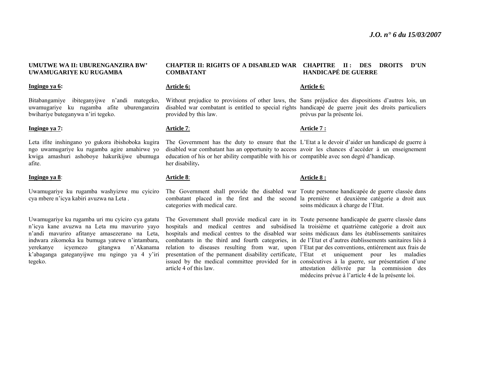#### **UMUTWE WA II: UBURENGANZIRA BW' UWAMUGARIYE KU RUGAMBA**

#### **Ingingo ya 6:**

Bitabangamiye ibiteganyijwe n'andi mategeko, uwamugariye ku rugamba afite uburenganzira bwihariye buteganywa n'iri tegeko.

#### **Ingingo ya 7:**

Leta ifite inshingano yo gukora ibishoboka kugira ngo uwamugariye ku rugamba agire amahirwe yo kwiga amashuri ashoboye hakurikijwe ubumuga afite.

#### **Ingingo ya 8**:

Uwamugariye ku rugamba washyizwe mu cyiciro cya mbere n'icya kabiri avuzwa na Leta .

Uwamugariye ku rugamba uri mu cyiciro cya gatatu <sup>n</sup>'icya kane avuzwa na Leta mu mavuriro yayo <sup>n</sup>'andi mavuriro afitanye amasezerano na Leta, indwara zikomoka ku bumuga yatewe n'intambara, yerekanye icyemezo gitangwa n'Akanama k'abaganga gateganyijwe mu ngingo ya 4 y'iri tegeko.

#### **CHAPTER II: RIGHTS OF A DISABLED WAR CHAPITRE II : DES DROITS D'UN COMBATANT HANDICAPÉ DE GUERRE**

#### **Article 6:**

provided by this law.

#### **Article 7**:

education of his or her ability compatible with his or compatible avec son degré d'handicap. her disability**.** 

#### **Article 8**:

categories with medical care.

The Government shall provide medical care in its Toute personne handicapée de guerre classée dans hospitals and medical centres and subsidised la troisième et quatrième catégorie a droit aux hospitals and medical centres to the disabled war soins médicaux dans les établissements sanitaires combatants in the third and fourth categories, in de l'Etat et d'autres établissements sanitaires liés à relation to diseases resulting from war, upon l'Etat par des conventions, entièrement aux frais de presentation of the permanent disability certificate, l'Etat et uniquement pour les maladies issued by the medical committee provided for in consécutives à la guerre, sur présentation d'une article 4 of this law.

#### **Article 6:**

Without prejudice to provisions of other laws, the Sans préjudice des dispositions d'autres lois, un disabled war combatant is entitled to special rights handicapé de guerre jouit des droits particuliers prévus par la présente loi.

#### **Article 7 :**

The Government has the duty to ensure that the L'Etat a le devoir d'aider un handicapé de guerre à disabled war combatant has an opportunity to access avoir les chances d'accéder à un enseignement

#### **Article 8 :**

The Government shall provide the disabled war Toute personne handicapée de guerre classée dans combatant placed in the first and the second la première et deuxième catégorie a droit aux soins médicaux à charge de l'Etat.

> attestation délivrée par la commission des médecins prévue à l'article 4 de la présente loi.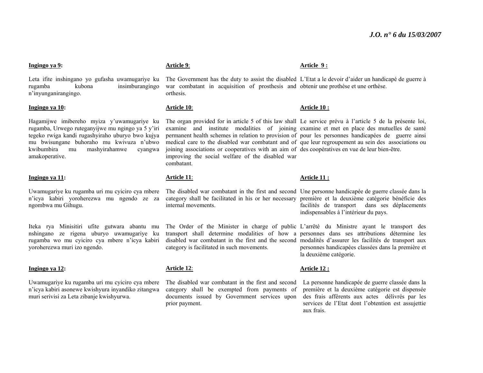#### **Ingingo ya 9:**

Leta ifite inshingano yo gufasha uwamugariye ku rugamba kubona insimburangingo <sup>n</sup>'inyunganirangingo.

#### **Ingingo ya 10:**

Hagamijwe imibereho myiza y'uwamugariye ku rugamba, Urwego ruteganyijwe mu ngingo ya 5 y'iri tegeko rwiga kandi rugashyiraho uburyo bwo kujya mu bwisungane buhoraho mu kwivuza n'ubwo kwibumbira mu mashyirahamwe cyangwa amakoperative.

#### **Ingingo ya 11:**

Uwamugariye ku rugamba uri mu cyiciro cya mbere <sup>n</sup>'icya kabiri yoroherezwa mu ngendo ze za ngombwa mu Gihugu.

Iteka rya Minisitiri ufite gutwara abantu mu nshingano ze rigena uburyo uwamugariye ku rugamba wo mu cyiciro cya mbere n'icya kabiri yoroherezwa muri izo ngendo.

#### **Ingingo ya 12:**

Uwamugariye ku rugamba uri mu cyiciro cya mbere <sup>n</sup>'icya kabiri asonewe kwishyura inyandiko zitangwa muri serivisi za Leta zibanje kwishyurwa.

#### **Article 9**:

The Government has the duty to assist the disabled L'Etat a le devoir d'aider un handicapé de guerre à war combatant in acquisition of prosthesis and obtenir une prothèse et une orthèse. orthesis.

**Article 9 :** 

**Article 10 :** 

#### **Article 10**:

The organ provided for in article 5 of this law shall Le service prévu à l'article 5 de la présente loi, examine and institute modalities of joining examine et met en place des mutuelles de santé permanent health schemes in relation to provision of pour les personnes handicapées de guerre ainsi medical care to the disabled war combatant and of que leur regroupement au sein des associations ou joining associations or cooperatives with an aim of des coopératives en vue de leur bien-être. improving the social welfare of the disabled war combatant.

#### **Article 11**:

The disabled war combatant in the first and second Une personne handicapée de guerre classée dans la category shall be facilitated in his or her necessary première et la deuxième catégorie bénéficie des internal movements.

The Order of the Minister in charge of public L'arrêté du Ministre ayant le transport des transport shall determine modalities of how a personnes dans ses attributions détermine les disabled war combatant in the first and the second modalités d'assurer les facilités de transport aux category is facilitated in such movements.

#### **Article 12**:

The disabled war combatant in the first and second category shall be exempted from payments of documents issued by Government services upon prior payment.

#### **Article 12 :**

La personne handicapée de guerre classée dans la première et la deuxième catégorie est dispensée des frais afférents aux actes délivrés par les services de l'Etat dont l'obtention est assujettie aux frais.

# **Article 11 :**

facilités de transport dans ses déplacements indispensables à l'intérieur du pays.

personnes handicapées classées dans la première et la deuxième catégorie.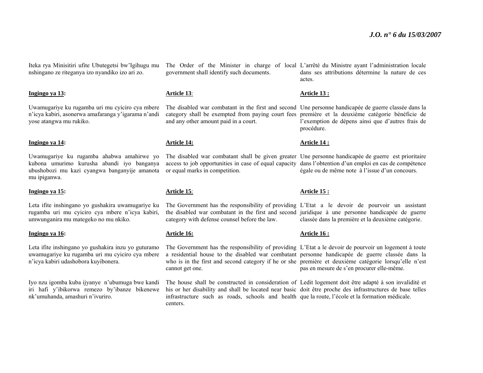Iteka rya Minisitiri ufite Ubutegetsi bw'Igihugu mu nshingano ze riteganya izo nyandiko izo ari zo.

#### **Ingingo ya 13:**

Uwamugariye ku rugamba uri mu cyiciro cya mbere <sup>n</sup>'icya kabiri, asonerwa amafaranga y'igarama n'andi yose atangwa mu rukiko.

#### **Ingingo ya 14:**

Uwamugariye ku rugamba ahabwa amahirwe yo kubona umurimo kurusha abandi iyo banganya ubushobozi mu kazi cyangwa banganyije amanota mu ipiganwa.

#### **Ingingo ya 15:**

Leta ifite inshingano yo gushakira uwamugariye ku rugamba uri mu cyiciro cya mbere n'icya kabiri, umwunganira mu mategeko no mu nkiko.

#### **Ingingo ya 16:**

Leta ifite inshingano yo gushakira inzu yo guturamo uwamugariye ku rugamba uri mu cyiciro cya mbere <sup>n</sup>'icya kabiri udashobora kuyibonera.

Iyo nzu igomba kuba ijyanye n'ubumuga bwe kandi iri hafi y'ibikorwa remezo by'ibanze bikenewe nk'umuhanda, amashuri n'ivuriro.

government shall identify such documents.

#### **Article 13**:

and any other amount paid in a court.

#### **Article 14:**

or equal marks in competition.

#### **Article 15**:

The Government has the responsibility of providing L'Etat a le devoir de pourvoir un assistant the disabled war combatant in the first and second juridique à une personne handicapée de guerre category with defense counsel before the law.

#### **Article 16:**

The Government has the responsibility of providing L'Etat a le devoir de pourvoir un logement à toute a residential house to the disabled war combatant personne handicapée de guerre classée dans la who is in the first and second category if he or she première et deuxième catégorie lorsqu'elle n'est cannot get one.

The house shall be constructed in consideration of Ledit logement doit être adapté à son invalidité et his or her disability and shall be located near basic doit être proche des infrastructures de base telles infrastructure such as roads, schools and health que la route, l'école et la formation médicale. centers.

The Order of the Minister in charge of local L'arrêté du Ministre ayant l'administration locale dans ses attributions détermine la nature de ces actes.

#### **Article 13 :**

The disabled war combatant in the first and second Une personne handicapée de guerre classée dans la category shall be exempted from paying court fees première et la deuxième catégorie bénéficie de l'exemption de dépens ainsi que d'autres frais de procédure.

#### **Article 14 :**

The disabled war combatant shall be given greater Une personne handicapée de guerre est prioritaire access to job opportunities in case of equal capacity dans l'obtention d'un emploi en cas de compétence égale ou de même note à l'issue d'un concours.

#### **Article 15 :**

classée dans la première et la deuxième catégorie.

#### **Article 16 :**

pas en mesure de s'en procurer elle-même.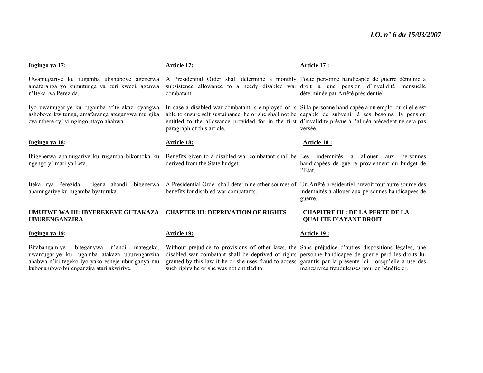manœuvres frauduleuses pour en bénéficier.

| Ingingo ya 17:                                                                                                                                           | Article 17:                                                                                                                                                                                                                                                                                                                                                | Article 17:                                                                                   |
|----------------------------------------------------------------------------------------------------------------------------------------------------------|------------------------------------------------------------------------------------------------------------------------------------------------------------------------------------------------------------------------------------------------------------------------------------------------------------------------------------------------------------|-----------------------------------------------------------------------------------------------|
| Uwamugariye ku rugamba utishoboye agenerwa<br>amafaranga yo kumutunga ya buri kwezi, agenwa<br>n'Iteka rya Perezida.                                     | A Presidential Order shall determine a monthly Toute personne handicapée de guerre démunie a<br>subsistence allowance to a needy disabled war droit à une pension d'invalidité<br>combatant.                                                                                                                                                               | mensuelle<br>déterminée par Arrêté présidentiel.                                              |
| Iyo uwamugariye ku rugamba afite akazi cyangwa<br>ashoboye kwitunga, amafaranga ateganywa mu gika<br>cya mbere cy'iyi ngingo ntayo ahabwa.               | In case a disabled war combatant is employed or is Si la personne handicapée a un emploi ou si elle est<br>able to ensure self sustainance, he or she shall not be capable de subvenir à ses besoins, la pension<br>entitled to the allowance provided for in the first d'invalidité prévue à l'alinéa précédent ne sera pas<br>paragraph of this article. | versée.                                                                                       |
| Ingingo ya 18:                                                                                                                                           | <b>Article 18:</b>                                                                                                                                                                                                                                                                                                                                         | <b>Article 18:</b>                                                                            |
| Ibigenerwa abamugariye ku rugamba bikomoka ku<br>ngengo y'imari ya Leta.                                                                                 | Benefits given to a disabled war combatant shall be Les indemnités<br>derived from the State budget.                                                                                                                                                                                                                                                       | allouer<br>à<br>personnes<br>aux<br>handicapées de guerre proviennent du budget de<br>l'Etat. |
| rigena ahandi ibigenerwa<br>Iteka rya Perezida<br>abamugariye ku rugamba byaturuka.                                                                      | A Presidential Order shall determine other sources of Un Arrêté présidentiel prévoit tout autre source des<br>benefits for disabled war combatants.                                                                                                                                                                                                        | indemnités à allouer aux personnes handicapées de<br>guerre.                                  |
| UMUTWE WA III: IBYEREKEYE GUTAKAZA<br><b>UBURENGANZIRA</b>                                                                                               | <b>CHAPTER III: DEPRIVATION OF RIGHTS</b>                                                                                                                                                                                                                                                                                                                  | <b>CHAPITRE III : DE LA PERTE DE LA</b><br><b>QUALITE D'AYANT DROIT</b>                       |
| Ingingo ya 19:                                                                                                                                           | <b>Article 19:</b>                                                                                                                                                                                                                                                                                                                                         | Article 19 :                                                                                  |
| Bitabangamiye<br>ibiteganywa<br>n'andi<br>mategeko.<br>uwamugariye ku rugamba atakaza uburenganzira<br>ahabwa n'iri tegeko iyo yakoresheje uburiganya mu | Without prejudice to provisions of other laws, the Sans préjudice d'autres dispositions légales, une<br>disabled war combatant shall be deprived of rights personne handicapée de guerre perd les droits lui<br>granted by this law if he or she uses fraud to access garantis par la présente loi lorsqu'elle a usé des                                   |                                                                                               |

such rights he or she was not entitled to.

ahabwa n'iri tegeko iyo yakoresheje uburiganya mu kubona ubwo burenganzira atari akwiriye.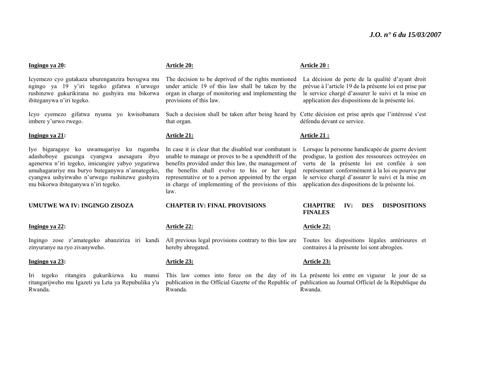#### **Ingingo ya 20:**

Icyemezo cyo gutakaza uburenganzira buvugwa mu ngingo ya 19 y'iri tegeko gifatwa n'urwego rushinzwe gukurikirana no gushyira mu bikorwa ibiteganywa n'iri tegeko.

Icyo cyemezo gifatwa nyuma yo kwisobanura imbere y'urwo rwego.

#### **Ingingo ya 21:**

Iyo bigaragaye ko uwamugariye ku rugamba adashoboye gucunga cyangwa asesagura ibyo agenerwa n'iri tegeko, imicungire yabyo yegurirwa umuhagarariye mu buryo buteganywa n'amategeko, cyangwa ushyirwaho n'urwego rushinzwe gushyira mu bikorwa ibiteganywa n'iri tegeko.

**UMUTWE WA IV: INGINGO ZISOZA** 

#### **Ingingo ya 22:**

Ingingo zose z'amategeko abanziriza iri kandi zinyuranye na ryo zivanyweho.

#### **Ingingo ya 23:**

Iri tegeko ritangira gukurikizwa ku munsi ritangarijweho mu Igazeti ya Leta ya Repubulika y'u Rwanda.

#### **Article 20:**

The decision to be deprived of the rights mentioned under article 19 of this law shall be taken by the organ in charge of monitoring and implementing the provisions of this law.

that organ.

#### **Article 21:**

In case it is clear that the disabled war combatant is unable to manage or proves to be a spendthrift of the benefits provided under this law, the management of the benefits shall evolve to his or her legal representative or to a person appointed by the organ in charge of implementing of the provisions of this law.

#### **CHAPTER IV: FINAL PROVISIONS**

#### **Article 22:**

All previous legal provisions contrary to this law are Toutes les dispositions légales antérieures et hereby abrogated.

#### **Article 23:**

This law comes into force on the day of its La présente loi entre en vigueur le jour de sa publication in the Official Gazette of the Republic of publication au Journal Officiel de la République du Rwanda. Rwanda.

#### **Article 20 :**

La décision de perte de la qualité d'ayant droit prévue à l'article 19 de la présente loi est prise par le service chargé d'assurer le suivi et la mise en application des dispositions de la présente loi.

Such a decision shall be taken after being heard by Cette décision est prise après que l'intéressé s'est défendu devant ce service.

#### **Article 21 :**

Lorsque la personne handicapée de guerre devient prodigue, la gestion des ressources octroyées en vertu de la présente loi est confiée à son représentant conformément à la loi ou pourvu par le service chargé d'assurer le suivi et la mise en application des dispositions de la présente loi.

#### **CHAPITRE IV: DES DISPOSITIONS FINALES**

#### **Article 22:**

contraires à la présente loi sont abrogées.

#### **Article 23:**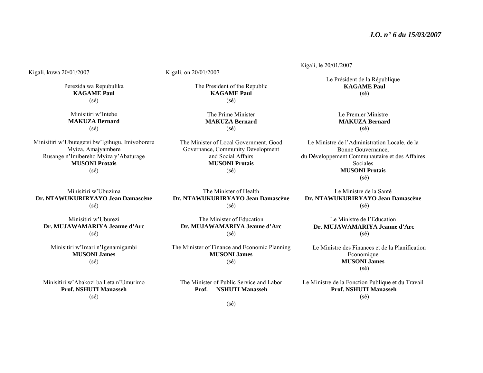Kigali, kuwa 20/01/2007

Perezida wa Repubulika **KAGAME Paul** (sé)

Minisitiri w'Intebe **MAKUZA Bernard** (sé)

Minisitiri w'Ubutegetsi bw'Igihugu, Imiyoborere Myiza, Amajyambere Rusange n'Imibereho Myiza y'Abaturage **MUSONI Protais**  (sé)

Minisitiri w'Ubuzima **Dr. NTAWUKURIRYAYO Jean Damascène** (sé)

Minisitiri w'Uburezi **Dr. MUJAWAMARIYA Jeanne d'Arc** (sé)

Minisitiri w'Imari n'Igenamigambi **MUSONI James** (sé)

Minisitiri w'Abakozi ba Leta n'Umurimo **Prof. NSHUTI Manasseh** (sé)

Kigali, on 20/01/2007

The President of the Republic **KAGAME Paul** (sé)

> The Prime Minister **MAKUZA Bernard** (sé)

The Minister of Local Government, Good Governance, Community Development and Social Affairs **MUSONI Protais** (sé)

The Minister of Health **Dr. NTAWUKURIRYAYO Jean Damascène** (sé)

The Minister of Education **Dr. MUJAWAMARIYA Jeanne d'Arc** (sé)

The Minister of Finance and Economic Planning **MUSONI James**  (sé)

The Minister of Public Service and Labor **Prof. NSHUTI Manasseh** 

Kigali, le 20/01/2007

Le Président de la République **KAGAME Paul** (sé)

> Le Premier Ministre **MAKUZA Bernard** (sé)

Le Ministre de l'Administration Locale, de la Bonne Gouvernance, du Développement Communautaire et des Affaires Sociales **MUSONI Protais** (sé)

Le Ministre de la Santé **Dr. NTAWUKURIRYAYO Jean Damascène** (sé)

Le Ministre de l'Education  **Dr. MUJAWAMARIYA Jeanne d'Arc** (sé)

Le Ministre des Finances et de la Planification **Economique MUSONI James**  (sé)

Le Ministre de la Fonction Publique et du Travail  **Prof. NSHUTI Manasseh** (sé)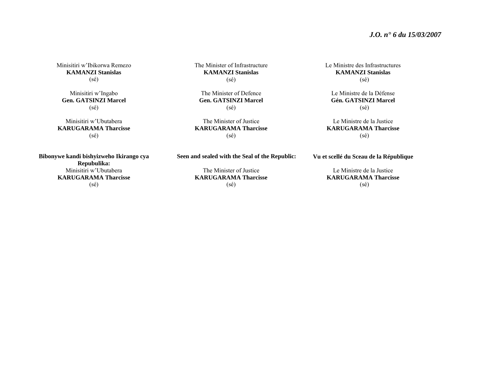#### *J.O. n° 6 du 15/03/2007*

Minisitiri w'Ibikorwa Remezo **KAMANZI Stanislas**(sé)

Minisitiri w'Ingabo **Gen. GATSINZI Marcel** (sé)

Minisitiri w'Ubutabera **KARUGARAMA Tharcisse** (sé)

**Bibonywe kandi bishyizweho Ikirango cya Repubulika:**  Minisitiri w'Ubutabera **KARUGARAMA Tharcisse** (sé)

The Minister of Infrastructure **KAMANZI Stanislas** (sé)

The Minister of Defence **Gen. GATSINZI Marcel** (sé)

The Minister of Justice **KARUGARAMA Tharcisse** (sé)

Le Ministre des Infrastructures **KAMANZI Stanislas** (sé)

Le Ministre de la Défense **Gén. GATSINZI Marcel** (sé)

Le Ministre de la Justice **KARUGARAMA Tharcisse** (sé)

**Vu et scellé du Sceau de la République** 

Le Ministre de la Justice **KARUGARAMA Tharcisse** (sé)

**Seen and sealed with the Seal of the Republic:** 

The Minister of Justice **KARUGARAMA Tharcisse** (sé)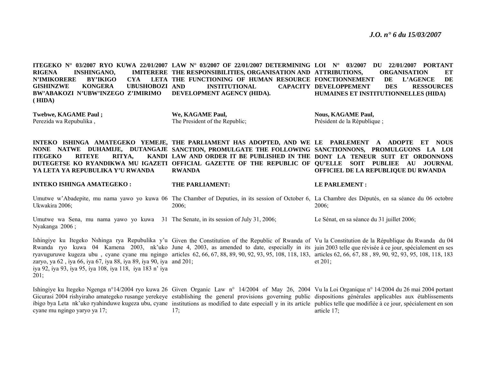**ITEGEKO N° 03/2007 RYO KUWA 22/01/2007 LAW N° 03/2007 OF 22/01/2007 DETERMINING LOI N° 03/2007 DU 22/01/2007 PORTANT RIGENA INSHINGANO, N'IMIKORERE BY'IKIGO CYA GISHINZWE KONGERA UBUSHOBOZI BW'ABAKOZI N'UBW'INZEGO Z'IMIRIMO ( HIDA) THE RESPONSIBILITIES, ORGANISATION AND ATTRIBUTIONS, ORGANISATION ET THE FUNCTIONING OF HUMAN RESOURCE FONCTIONNEMENT DE L'AGENCE DE INSTITUTIONAL DEVELOPMENT AGENCY (HIDA).**  CAPACITY DEVELOPPEMENT DES RESSOURCES **HUMAINES ET INSTITUTIONNELLES (HIDA)** 

**Twebwe, KAGAME Paul ;**  Perezida wa Repubulika ,

**We, KAGAME Paul,**  The President of the Republic; **Nous, KAGAME Paul,**  Président de la République ;

INTEKO ISHINGA AMATEGEKO YEMEJE, THE PARLIAMENT HAS ADOPTED, AND WE LE PARLEMENT A ADOPTE ET NOUS **NONE NATWE DUHAMIJE, DUTANGAJE SANCTION, PROMULGATE THE FOLLOWING SANCTIONNONS, PROMULGUONS LA LOI ITEGEKO RITEYE RITYA.** DUTEGETSE KO RYANDIKWA MU IGAZETI OFFICIAL GAZETTE OF THE REPUBLIC OF QU'ELLE SOIT PUBLIEE AU JOURNAL **YA LETA YA REPUBULIKA Y'U RWANDA LAW AND ORDER IT BE PUBLISHED IN THE DONT LA TENEUR SUIT ET ORDONNONS RWANDA OFFICIEL DE LA REPUBLIQUE DU RWANDA** 

**INTEKO ISHINGA AMATEGEKO :** Umutwe w'Abadepite, mu nama yawo yo kuwa 06 The Chamber of Deputies, in its session of October 6, La Chambre des Députés, en sa séance du 06 octobre Ukwakira 2006; **THE PARLIAMENT:** 2006; **LE PARLEMENT :** 2006;

Umutwe wa Sena, mu nama yawo yo kuwa 31 The Senate, in its session of July 31, 2006; Nyakanga 2006 ; Le Sénat, en sa séance du 31 juillet 2006;

Ishingiye ku Itegeko Nshinga rya Repubulika y'u Given the Constitution of the Republic of Rwanda of Vu la Constitution de la République du Rwanda du 04 Rwanda ryo kuwa 04 Kamena 2003, nk'uko June 4, 2003, as amended to date, especially in its juin 2003 telle que révisée à ce jour, spécialement en ses ryavuguruwe kugeza ubu, cyane cyane mu ngingo articles 62,66,67,88,89,90,92,93,95,108,118,183, articles 62,66,67,88,89,90,92,93,95,108,118,183 zaryo, ya 62 , iya 66, iya 67, iya 88, iya 89, iya 90, iya and 201; iya 92, iya 93, iya 95, iya 108, iya 118, iya 183 n' iya 201; et 201;

Ishingiye ku Itegeko Ngenga n°14/2004 ryo kuwa 26 Given Organic Law n° 14/2004 of May 26, 2004 Vu la Loi Organique n° 14/2004 du 26 mai 2004 portant Gicurasi 2004 rishyiraho amategeko rusange yerekeye establishing the general provisions governing public dispositions générales applicables aux établissements ibigo bya Leta nk'uko ryahinduwe kugeza ubu, cyane institutions as modified to date especiall y in its article publics telle que modifiée à ce jour, spécialement en son cyane mu ngingo yaryo ya 17; 17; article 17;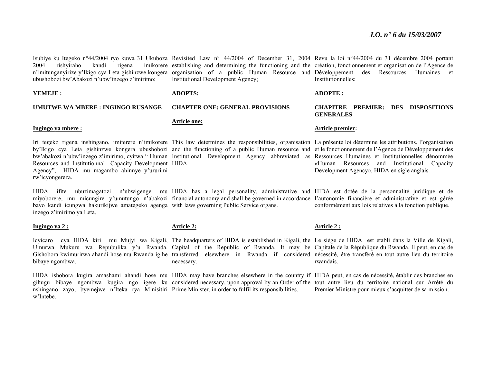ubushobozi bw'Abakozi n'ubw'inzego z'imirimo;

**YEMEJE :** 

#### **UMUTWE WA MBERE : INGINGO RUSANGE**

#### **Ingingo ya mbere :**

by'Ikigo cya Leta gishinzwe kongera ubushobozi and the functioning of a public Human resource and et le fonctionnement de l'Agence de Développement des bw'abakozi n'ubw'inzego z'imirimo, cyitwa " Human Institutional Development Agency abbreviated as Ressources Humaines et Institutionnelles dénommée Resources and Institutionnal Capacity Development HIDA. Agency", HIDA mu magambo ahinnye y'ururimi rw'icyongereza.

HIDA ifite ubuzimagatozi n'ubwigenge mu HIDA has a legal personality, administrative and HIDA est dotée de la personnalité juridique et de miyoborere, mu micungire y'umutungo n'abakozi financial autonomy and shall be governed in accordance l'autonomie financière et administrative et est gérée bayo kandi icungwa hakurikijwe amategeko agenga with laws governing Public Service organs. inzego z'imirimo ya Leta.

#### **Ingingo ya 2 :**

bibaye ngombwa.

w'Intebe.

#### **Article 2:**

necessary.

HIDA ishobora kugira amashami ahandi hose mu HIDA may have branches elsewhere in the country if HIDA peut, en cas de nécessité, établir des branches en gihugu bibaye ngombwa kugira ngo igere ku considered necessary, upon approval by an Order of the tout autre lieu du territoire national sur Arrêté du nshingano zayo, byemejwe n'Iteka rya Minisitiri Prime Minister, in order to fulfil its responsibilities.

#### Isubiye ku Itegeko n°44/2004 ryo kuwa 31 Ukuboza Revisited Law n° 44/2004 of December 31, 2004 Revu la loi n°44/2004 du 31 décembre 2004 portant 2004 rishyiraho kandi rigena imikorere establishing and determining the functioning and the création, fonctionnement et organisation de l'Agence de <sup>n</sup>'imitunganyirize y'Ikigo cya Leta gishinzwe kongera organisation of a public Human Resource and Développement des Ressources Humaines et Institutionnelles;

#### **ADOPTE :**

#### **CHAPITRE PREMIER: DES DISPOSITIONS GENERALES**

#### **Article premier:**

Iri tegeko rigena inshingano, imiterere n'imikorere This law determines the responsibilities, organisation La présente loi détermine les attributions, l'organisation «Human Resources and Institutional Capacity Development Agency», HIDA en sigle anglais.

conformément aux lois relatives à la fonction publique.

#### **Article 2 :**

Icyicaro cya HIDA kiri mu Mujyi wa Kigali, The headquarters of HIDA is established in Kigali, the Le siège de HIDA est établi dans la Ville de Kigali, Umurwa Mukuru wa Repubulika y'u Rwanda. Capital of the Republic of Rwanda. It may be Capitale de la République du Rwanda. Il peut, en cas de Gishobora kwimurirwa ahandi hose mu Rwanda igihe transferred elsewhere in Rwanda if considered nécessité, être transféré en tout autre lieu du territoire rwandais.

Premier Ministre pour mieux s'acquitter de sa mission.

## **ADOPTS:**

#### **CHAPTER ONE: GENERAL PROVISIONS**

Institutional Development Agency;

#### **Article one:**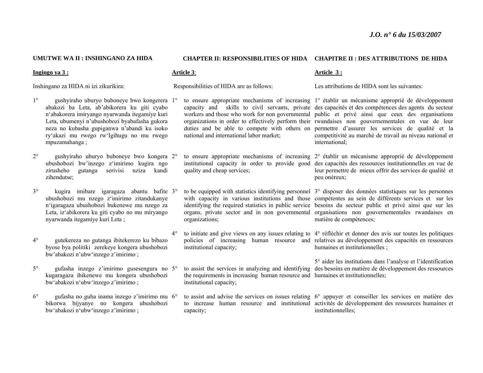#### **UMUTWE WA II : INSHINGANO ZA HIDA**

#### **CHAPTER II: RESPONSIBILITIES OF HIDA CHAPITRE II : DES ATTRIBUTIONS DE HIDA**

Inshingano za HIDA ni izi zikurikira:

**Ingingo ya 3 :**

- 1° gushyiraho uburyo buboneye bwo kongerera 1°abakozi ba Leta, ab'abikorera ku giti cyabo <sup>n</sup>'abakorera imiryango nyarwanda itegamiye kuri Leta, ubumenyi n'ubushobozi byabafasha gukora neza no kubasha gupiganwa n'abandi ku isoko ry'akazi mu rwego rw'Igihugu no mu rwego mpuzamahanga ;
- $2^{\circ}$  gushyiraho uburyo buboneye bwo kongera 2°ubushobozi bw'inzego z'imirimo kugira ngo zirusheho gutanga serivisi nziza kandi zihendutse;
- 3° kugira imibare igaragaza abantu bafite 3°ubushobozi mu nzego z'imirimo zitandukanye <sup>n</sup>'igaragaza ubushobozi bukenewe mu nzego za Leta, iz'abikorera ku giti cyabo no mu miryango nyarwanda itegamiye kuri Leta ;
- $4^\circ$  gutekereza no gutanga ibitekerezo ku bibazo byose bya politiki zerekeye kongera ubushobozi bw'abakozi n'ubw'inzego z'imirimo ;
- $5^{\circ}$  gufasha inzego z'imirimo gusesengura no 5°kugaragaza ibikenewe mu kongera ubushobozi bw'abakozi n'ubw'inzego z'imirimo ;
- $6^\circ$  gufasha no guha inama inzego z'imirimo mu 6°bikorwa bijyanye no kongera ubushobozi bw'abakozi n'ubw'inzego z'imirimo ;

#### **Article 3**:

Responsibilities of HIDA are as follows:

- national and international labor market;
- quality and cheap services;
- organizations;
- $4^\circ$ institutional capacity;
	- to assist the services in analyzing and identifying the requirements in increasing human resource and humaines et institutionnelles; institutional capacity;
	- capacity;

#### **Article 3 :**

Les attributions de HIDA sont les suivantes:

- to ensure appropriate mechanisms of increasing 1° établir un mécanisme approprié de développement capacity and skills to civil servants, private des capacités et des compétences des agents du secteur workers and those who work for non governmental public et privé ainsi que ceux des organisations organizations in order to effectively perform their rwandaises non gouvernementales en vue de leur duties and be able to compete with others on permettre d'assurer les services de qualité et la competitivité au marché de travail au niveau national et international;
- to ensure appropriate mechanisms of increasing 2° établir un mécanisme approprié de développement institutional capacity in order to provide good des capacités des ressources institutionnelles en vue de leur permettre de mieux offrir des services de qualité et peu onéreux;
- to be equipped with statistics identifying personnel 3° disposer des données statistiques sur les personnes with capacity in various institutions and those compétentes au sein de différents services et sur les identifying the required statistics in public service besoins du secteur public et privé ainsi que sur les organs, private sector and in non governmental organisations non gouvernementales rwandaises en matière de compétences;
- <sup>o</sup> to initiate and give views on any issues relating to 4° réfléchir et donner des avis sur toutes les politiques policies of increasing human resource and relatives au développement des capacités en ressources humaines et institutionnelles ;
	- 5° aider les institutions dans l'analyse et l'identification des besoins en matière de développement des ressources
- to assist and advise the services on issues relating 6° appuyer et conseiller les services en matière des to increase human resource and institutional activités de développement des ressources humaines et institutionnelles;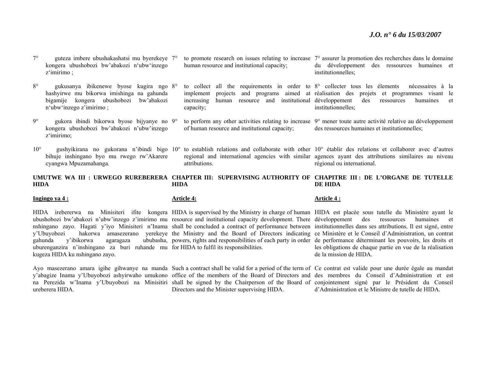- 7° guteza imbere ubushakashatsi mu byerekeye 7°kongera ubushobozi bw'abakozi n'ubw'inzego <sup>z</sup>'imirimo ;
- $8^\circ$  gukusanya ibikenewe byose kugira ngo 8°hashyirwe mu bikorwa imishinga na gahunda bigamije kongera ubushobozi bw'abakozi <sup>n</sup>'ubw'inzego z'imirimo ;
- 9° gukora ibindi bikorwa byose bijyanye no 9°kongera ubushobozi bw'abakozi n'ubw'inzego <sup>z</sup>'imirimo;
- bihuje inshingano byo mu rwego rw'Akarere cyangwa Mpuzamahanga.
- human resource and institutional capacity;
- capacity;
- of human resource and institutional capacity;
- attributions.

```
 to promote research on issues relating to increase 
7° assurer la promotion des recherches dans le domaine 
                                                   du développement des ressources humaines et 
                                                   institutionnelles;
```
 to collect all the requirements in order to 8° collecter tous les élements nécessaires à la implement projects and programs aimed at réalisation des projets et programmes visant le increasing human resource and institutional développement des ressources humaines et institutionnelles;

 to perform any other activities relating to increase 9° mener toute autre activité relative au développement des ressources humaines et institutionnelles;

10° gushyikirana no gukorana n'ibindi bigo 10° to establish relations and collaborate with other 10° établir des relations et collaborer avec d'autres regional and international agencies with similar agences ayant des attributions similaires au niveau régional ou international.

**UMUTWE WA III : URWEGO RUREBERERA CHAPTER III: SUPERVISING AUTHORITY OF CHAPITRE III : DE L'ORGANE DE TUTELLE HIDA HIDA DE HIDA** 

#### **Ingingo ya 4 :**

uburenganzira n'inshingano za buri ruhande mu for HIDA to fulfil its responsibilities. kugeza HIDA ku nshingano zayo.

ureberera HIDA.

#### **Article 4:**

HIDA irebererwa na Minisiteri ifite kongera HIDA is supervised by the Ministry in charge of human HIDA est placée sous tutelle du Ministère ayant le ubushobozi bw'abakozi n'ubw'inzego z'imirimo mu resource and institutional capacity development. There développement des ressources humaines et nshingano zayo. Hagati y'iyo Minisiteri n'Inama shall be concluded a contract of performance between institutionnelles dans ses attributions. Il est signé, entre y'Ubuyobozi hakorwa amasezerano yerekeye the Ministry and the Board of Directors indicating ce Ministère et le Conseil d'Administration, un contrat gahunda y'ibikorwa agaragaza ububasha, powers, rights and responsibilities of each party in order de performance déterminant les pouvoirs, les droits et

Directors and the Minister supervising HIDA.

## **Article 4 :**

les obligations de chaque partie en vue de la réalisation de la mission de HIDA.

Ayo masezerano amara igihe gihwanye na manda Such a contract shall be valid for a period of the term of Ce contrat est valide pour une durée égale au mandat y'abagize Inama y'Ubuyobozi ashyirwaho umukono office of the members of the Board of Directors and des membres du Conseil d'Administration et est na Perezida w'Inama y'Ubuyobozi na Minisitiri shall be signed by the Chairperson of the Board of conjointement signé par le Président du Conseil d'Administration et le Ministre de tutelle de HIDA.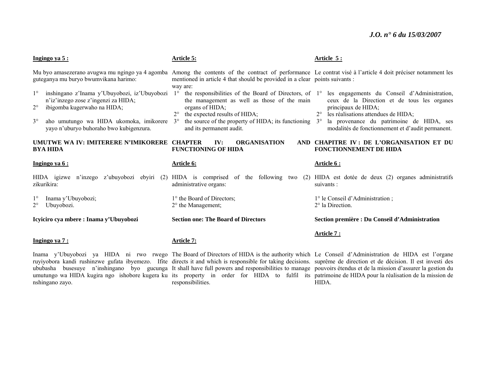| Ingingo ya 5:                                                                                                                                                                                                                        | <b>Article 5:</b>                                                                                                                                                                                                                                                                   | Article 5:                                                                                                                                                                                                                                                                |
|--------------------------------------------------------------------------------------------------------------------------------------------------------------------------------------------------------------------------------------|-------------------------------------------------------------------------------------------------------------------------------------------------------------------------------------------------------------------------------------------------------------------------------------|---------------------------------------------------------------------------------------------------------------------------------------------------------------------------------------------------------------------------------------------------------------------------|
| guteganya mu buryo bwumvikana harimo:                                                                                                                                                                                                | Mu byo amasezerano avugwa mu ngingo ya 4 agomba Among the contents of the contract of performance Le contrat visé à l'article 4 doit préciser notamment les<br>mentioned in article 4 that should be provided in a clear points suivants :<br>way are:                              |                                                                                                                                                                                                                                                                           |
| inshingano z'Inama y'Ubuyobozi, iz'Ubuyobozi<br>n'iz'inzego zose z'ingenzi za HIDA;<br>$2^{\circ}$<br>ibigomba kugerwaho na HIDA;<br>$3^\circ$<br>aho umutungo wa HIDA ukomoka, imikorere<br>yayo n'uburyo buhoraho bwo kubigenzura. | the responsibilities of the Board of Directors, of 1°<br>$1^{\circ}$<br>the management as well as those of the main<br>organs of HIDA;<br>the expected results of HIDA;<br>the source of the property of HIDA; its functioning $3^\circ$<br>$3^{\circ}$<br>and its permanent audit. | les engagements du Conseil d'Administration,<br>ceux de la Direction et de tous les organes<br>principaux de HIDA;<br>les réalisations attendues de HIDA;<br>$2^{\circ}$<br>la provenance du patrimoine de HIDA, ses<br>modalités de fonctionnement et d'audit permanent. |
| UMUTWE WA IV: IMITERERE N'IMIKORERE CHAPTER<br><b>BYA HIDA</b>                                                                                                                                                                       | <b>ORGANISATION</b><br>IV:<br><b>AND</b><br><b>FUNCTIONING OF HIDA</b>                                                                                                                                                                                                              | <b>CHAPITRE IV: DE L'ORGANISATION ET DU</b><br><b>FONCTIONNEMENT DE HIDA</b>                                                                                                                                                                                              |
| Ingingo ya 6:                                                                                                                                                                                                                        | Article 6:                                                                                                                                                                                                                                                                          | Article 6 :                                                                                                                                                                                                                                                               |
| HIDA igizwe n'inzego z'ubuyobozi ebyiri<br>(2)<br>zikurikira:                                                                                                                                                                        | HIDA is comprised of the following two<br>administrative organs:                                                                                                                                                                                                                    | (2) HIDA est dotée de deux (2) organes administratifs<br>suivants :                                                                                                                                                                                                       |
| Inama y'Ubuyobozi;<br>Ubuyobozi.                                                                                                                                                                                                     | 1° the Board of Directors;<br>$2^{\circ}$ the Management;                                                                                                                                                                                                                           | 1° le Conseil d'Administration;<br>2° la Direction.                                                                                                                                                                                                                       |
| Icyiciro cya mbere : Inama y'Ubuyobozi                                                                                                                                                                                               | <b>Section one: The Board of Directors</b>                                                                                                                                                                                                                                          | Section première : Du Conseil d'Administration                                                                                                                                                                                                                            |
| Ingingo va 7:                                                                                                                                                                                                                        | <b>Article 7:</b>                                                                                                                                                                                                                                                                   | Article 7:                                                                                                                                                                                                                                                                |

nshingano zayo.

Inama y'Ubuyobozi ya HIDA ni rwo rwego The Board of Directors of HIDA is the authority which Le Conseil d'Administration de HIDA est l'organe ruyiyobora kandi rushinzwe gufata ibyemezo. Ifite directs it and which is responsible for taking decisions. suprême de direction et de décision. Il est investi des ububasha busesuye n'inshingano byo gucunga It shall have full powers and responsibilities to manage pouvoirs étendus et de la mission d'assurer la gestion du umutungo wa HIDA kugira ngo ishobore kugera ku its property in order for HIDA to fulfil its patrimoine de HIDA pour la réalisation de la mission de responsibilities.

HIDA.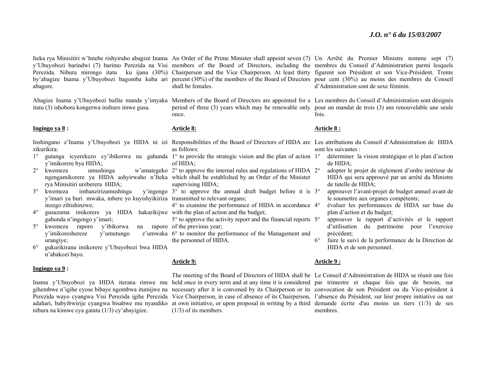abagore.

itatu (3) ishobora kongerwa inshuro imwe gusa.

#### **Ingingo ya 8 :**

zikurikira:

- 1°y'imikorere bya HIDA;
- 2° kwemeza rya Minisitiri ureberera HIDA;
- 3° kwemeza imbanzirizamushinga y'imari ya buri mwaka, mbere yo kuyishyikiriza transmitted to relevant organs; inzego zibishinzwe;
- $4^\circ$ <sup>o</sup> gusuzuma imikorere ya HIDA hakurikijwe with the plan of action and the budget; gahunda n'ingengo y'imari;
- 5° kwemeza raporo y'ibikorwa na raporo y'imikoreshereze y'umutungo urangiye;
- $6^{\circ}$  gukurikirana imikorere y'Ubuyobozi bwa HIDA <sup>n</sup>'abakozi bayo.

#### **Ingingo ya 9 :**

# gihembwe n'igihe cyose bibaye ngombwa itumijwe na nibura na kimwe cya gatatu (1/3) cy'abayigize.

shall be females.

Abagize Inama y'Ubuyobozi bafite manda y'imyaka Members of the Board of Directors are appointed for a Les membres du Conseil d'Administration sont désignés once.

#### **Article 8:**

- Inshingano z'Inama y'Ubuyobozi ya HIDA ni izi Responsibilities of the Board of Directors of HIDA are Les attributions du Conseil d'Administration de HIDA as follows:
- <sup>o</sup> gutanga icyerekezo cy'ibikorwa na gahunda 1° to provide the strategic vision and the plan of action 1° of HIDA;
- <sup>o</sup> kwemeza umushinga w'amategeko 2° to approve the internal rules and regulations of HIDA 2° ngengamikorere ya HIDA ashyirwaho n'Iteka which shall be established by an Order of the Minister supervising HIDA;
	- 3° to approve the annual draft budget before it is 3°
	- 4° to examine the performance of HIDA in accordance 4°
	- 5° to approve the activity report and the financial reports 5°na raporo of the previous year;
		- z'umwaka 6° to monitor the performance of the Management and the personnel of HIDA.

#### **Article 9:**

Inama y'Ubuyobozi ya HIDA iterana rimwe mu held once in every term and at any time it is considered par trimestre et chaque fois que de besoin, sur Perezida wayo cyangwa Visi Perezida igihe Perezida Vice Chairperson, in case of absence of its Chairperson, l'absence du Président, sur leur propre initiative ou sur adahari, babyibwirije cyangwa bisabwe mu nyandiko at own initiative, or upon proposal in writing by a third demande écrite d'au moins un tiers (1/3) de ses (1/3) of its members.

#### **Article 9 :**

The meeting of the Board of Directors of HIDA shall be Le Conseil d'Administration de HIDA se réunit une fois necessary after it is convened by its Chairperson or its convocation de son Président ou du Vice-président à membres.

Iteka rya Minisitiri w'Intebe rishyiraho abagize Inama An Order of the Prime Minister shall appoint seven (7) Un Arrêté du Premier Ministre nomme sept (7) y'Ubuyobozi barindwi (7) barimo Perezida na Visi members of the Board of Directors, including the membres du Conseil d'Administration parmi lesquels Perezida. Nibura mirongo itatu ku ijana (30%) Chairperson and the Vice Chairperson. At least thirty figurent son Président et son Vice-Président. Trente by'abagize Inama y'Ubuyobozi bagomba kuba ari percent (30%) of the members of the Board of Directors pour cent (30%) au moins des membres du Conseil d'Administration sont de sexe féminin.

> period of three (3) years which may be renewable only pour un mandat de trois (3) ans renouvelable une seule fois.

#### **Article 8 :**

sont les suivantes :

- déterminer la vision stratégique et le plan d'action de HIDA;
- adopter le projet de règlement d'ordre intérieur de HIDA qui sera approuvé par un arrêté du Ministre de tutelle de HIDA;
- approuver l'avant-projet de budget annuel avant de le soumettre aux organes compétents;
- évaluer les performances de HIDA sur base du plan d'action et du budget;
- approuver le rapport d'activités et le rapport d'utilisation du patrimoine pour l'exercice précédent;
- $6^{\circ}$  faire le suivi de la performance de la Direction de HIDA et de son personnel.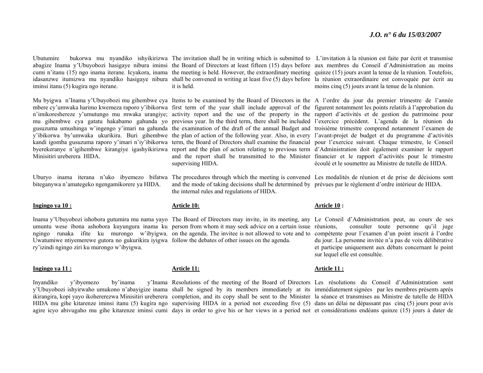iminsi itanu (5) kugira ngo iterane.

Minisitiri ureberera HIDA.

biteganywa n'amategeko ngengamikorere ya HIDA.

#### **Ingingo ya 10 :**

Uwatumiwe ntiyemerewe gutora no gukurikira iyigwa follow the debates of other issues on the agenda. ry'izindi ngingo ziri ku murongo w'ibyigwa.

#### **Ingingo ya 11 :**

# Inyandiko y'ibyemezo by'inama

Ubutumire bukorwa mu nyandiko ishyikirizwa The invitation shall be in writing which is submitted to L'invitation à la réunion est faite par écrit et transmise abagize Inama y'Ubuyobozi hasigaye nibura iminsi the Board of Directors at least fifteen (15) days before aux membres du Conseil d'Administration au moins cumi n'itanu (15) ngo inama iterane. Icyakora, inama the meeting is held. However, the extraordinary meeting quinze (15) jours avant la tenue de la réunion. Toutefois, idasanzwe itumizwa mu nyandiko hasigaye nibura shall be convened in writing at least five (5) days before la réunion extraordinaire est convoquée par écrit au it is held.

Mu byigwa n'Inama y'Ubuyobozi mu gihembwe cya Items to be examined by the Board of Directors in the A l'ordre du jour du premier trimestre de l'année mbere cy'umwaka harimo kwemeza raporo y'ibikorwa first term of the year shall include approval of the figurent notamment les points relatifs à l'approbation du n'imikoreshereze y'umutungo mu mwaka urangiye; activity report and the use of the property in the rapport d'activités et de gestion du patrimoine pour mu gihembwe cya gatatu hakabamo gahunda yo previous year. In the third term, there shall be included l'exercice précédent. L'agenda de la réunion du gusuzuma umushinga w'ingengo y'imari na gahunda the examination of the draft of the annual Budget and troisième trimestre comprend notamment l'examen de y'ibikorwa by'umwaka ukurikira. Buri gihembwe the plan of action of the following year. Also, in every l'avant-projet de budget et du programme d'activités kandi igomba gusuzuma raporo y'imari n'iy'ibikorwa term, the Board of Directors shall examine the financial pour l'exercice suivant. Chaque trimestre, le Conseil byerekeranye n'igihembwe kirangiye igashyikirizwa report and the plan of action relating to previous term d'Administration doit également examiner le rapport and the report shall be transmitted to the Minister financier et le rapport d'activités pour le trimestre supervising HIDA.

the internal rules and regulations of HIDA.

#### **Article 10:**

Inama y'Ubuyobozi ishobora gutumira mu nama yayo The Board of Directors may invite, in its meeting, any Le Conseil d'Administration peut, au cours de ses umuntu wese ibona ashobora kuyungura inama ku person from whom it may seek advice on a certain issue ngingo runaka ifite ku murongo w'ibyigwa. on the agenda. The invitee is not allowed to vote and to

**Article 11:**

agire icyo abivugaho mu gihe kitarenze iminsi cumi days in order to give his or her views in a period not et considérations endéans quinze (15) jours à dater de

moins cinq (5) jours avant la tenue de la réunion.

écoulé et le soumettre au Ministre de tutelle de HIDA.

Uburyo inama iterana n'uko ibyemezo bifatwa The procedures through which the meeting is convened Les modalités de réunion et de prise de décisions sont and the mode of taking decisions shall be determined by prévues par le règlement d'ordre intérieur de HIDA.

#### **Article 10 :**

consulter toute personne qu'il juge compétente pour l'examen d'un point inscrit à l'ordre du jour. La personne invitée n'a pas de voix délibérative et participe uniquement aux débats concernant le point sur lequel elle est consultée.

#### **Article 11 :**

y'Ubuyobozi ishyirwaho umukono n'abayigize inama shall be signed by its members immediately at its immédiatement signées par les membres présents après ikirangira, kopi yayo ikohererezwa Minisitiri ureberera completion, and its copy shall be sent to the Minister la séance et transmises au Ministre de tutelle de HIDA HIDA mu gihe kitarenze iminsi itanu (5) kugira ngo supervising HIDA in a period not exceeding five (5) dans un délai ne dépassant pas cinq (5) jours pour avis Resolutions of the meeting of the Board of Directors Les résolutions du Conseil d'Administration sont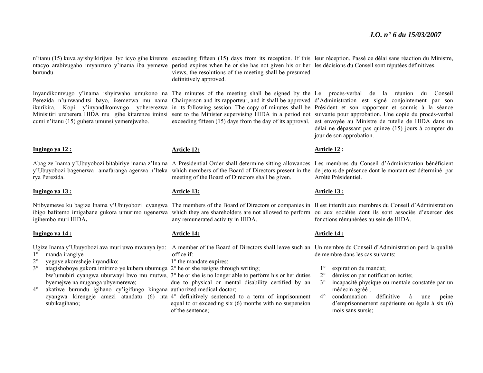burundu.

cumi n'itanu (15) guhera umunsi yemerejweho.

#### **Ingingo ya 12 :**

rya Perezida.

#### **Ingingo ya 13 :**

igihembo muri HIDA**.** 

#### **Ingingo ya 14 :**

1°manda irangiye

- $2^{\circ}$ yeguye akoresheje inyandiko;
- 3° $\degree$  atagishoboye gukora imirimo ye kubera ubumuga  $2^{\circ}$  he or she resigns through writing; byemejwe na muganga ubyemerewe;
- $4^\circ$  akatiwe burundu igihano cy'igifungo kingana authorized medical doctor; subikagihano;

ntacyo arabivugaho imyanzuro y'inama iba yemewe period expires when he or she has not given his or her les décisions du Conseil sont réputées définitives. views, the resolutions of the meeting shall be presumed definitively approved.

#### **Article 12:**

Abagize Inama y'Ubuyobozi bitabiriye inama z'Inama A Presidential Order shall determine sitting allowances Les membres du Conseil d'Administration bénéficient y'Ubuyobozi bagenerwa amafaranga agenwa n'Iteka which members of the Board of Directors present in the de jetons de présence dont le montant est déterminé par meeting of the Board of Directors shall be given.

#### **Article 13:**

any remunerated activity in HIDA.

#### **Article 14:**

Ugize Inama y'Ubuyobozi ava muri uwo mwanya iyo: A member of the Board of Directors shall leave such an Un membre du Conseil d'Administration perd la qualité office if:

1° the mandate expires;

- 
- bw'umubiri cyangwa uburwayi bwo mu mutwe, 3° he or she is no longer able to perform his or her duties due to physical or mental disability certified by an
- cyangwa kirengeje amezi atandatu (6) nta 4° definitively sentenced to a term of imprisonment equal to or exceeding six (6) months with no suspension of the sentence;

n'itanu (15) kuva ayishyikirijwe. Iyo icyo gihe kirenze exceeding fifteen (15) days from its reception. If this leur réception. Passé ce délai sans réaction du Ministre,

Inyandikomvugo y'inama ishyirwaho umukono na The minutes of the meeting shall be signed by the Le procès-verbal de la réunion du Conseil Perezida n'umwanditsi bayo, ikemezwa mu nama Chairperson and its rapporteur, and it shall be approved d'Administration est signé conjointement par son ikurikira. Kopi y'inyandikomvugo yohererezwa in its following session. The copy of minutes shall be Président et son rapporteur et soumis à la séance Minisitiri ureberera HIDA mu gihe kitarenze iminsi sent to the Minister supervising HIDA in a period not suivante pour approbation. Une copie du procès-verbal exceeding fifteen (15) days from the day of its approval. est envoyée au Ministre de tutelle de HIDA dans un délai ne dépassant pas quinze (15) jours à compter du jour de son approbation.

#### **Article 12 :**

Arrêté Présidentiel.

#### **Article 13 :**

Ntibyemewe ku bagize Inama y'Ubuyobozi cyangwa The members of the Board of Directors or companies in Il est interdit aux membres du Conseil d'Administration ibigo bafitemo imigabane gukora umurimo ugenerwa which they are shareholders are not allowed to perform ou aux sociétés dont ils sont associés d'exercer des fonctions rémunérées au sein de HIDA.

#### **Article 14 :**

de membre dans les cas suivants:

- $1^\circ$ expiration du mandat;
- $2^{\circ}$ démission par notification écrite;
- 3° incapacité physique ou mentale constatée par un médecin agréé ;
- 4° condamnation définitive à une peine d'emprisonnement supérieure ou égale à six (6) mois sans sursis;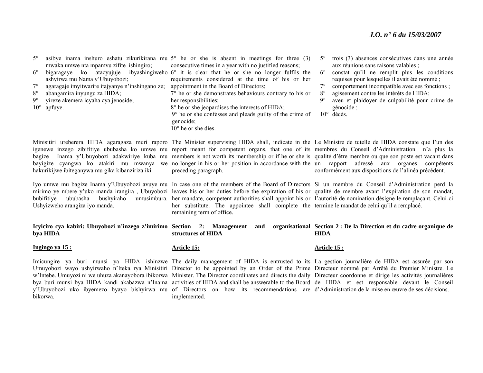#### *J.O. n° 6 du 15/03/2007*

5° $\degree$  asibye inama inshuro eshatu zikurikirana mu  $5\degree$  he or she is absent in meetings for three (3) mwaka umwe nta mpamvu zifite ishingiro;

6° bigaragaye ko atacyujuje ibyashingiweho 6° it is clear that he or she no longer fulfils the ashyirwa mu Nama y'Ubuyobozi;

- 7°agaragaje imyitwarire itajyanye n'inshingano ze;
- $8^\circ$ abangamira inyungu za HIDA;
- $9^\circ$ yireze akemera icyaha cya jenoside;
- 10° apfuye.

consecutive times in a year with no justified reasons;

requirements considered at the time of his or her appointment in the Board of Directors;

- 7° he or she demonstrates behaviours contrary to his or her responsibilities;
- 8° he or she jeopardises the interests of HIDA;
- 9° he or she confesses and pleads guilty of the crime of genocide;
- $10^\circ$  he or she dies.
- 5° trois (3) absences consécutives dans une année aux réunions sans raisons valables ;
- $6^\circ$  constat qu'il ne remplit plus les conditions requises pour lesquelles il avait été nommé ;
- $7^\circ$ comportement incompatible avec ses fonctions ;
- $8^\circ$ agissement contre les intérêts de HIDA;
- 9° aveu et plaidoyer de culpabilité pour crime de génocide ;
- 10° décès.

hakurikijwe ibiteganywa mu gika kibanziriza iki.

bubifitiye ububasha bushyiraho Ushyizweho arangiza iyo manda.

Minisitiri ureberera HIDA agaragaza muri raporo The Minister supervising HIDA shall, indicate in the Le Ministre de tutelle de HIDA constate que l'un des igenewe inzego zibifitiye ububasha ko umwe mu report meant for competent organs, that one of its membres du Conseil d'Administration n'a plus la bagize Inama y'Ubuyobozi adakwiriye kuba mu members is not worth its membership or if he or she is qualité d'être membre ou que son poste est vacant dans bayigize cyangwa ko atakiri mu mwanya we no longer in his or her position in accordance with the un rapport adressé aux organes compétents preceding paragraph.

conformément aux dispositions de l'alinéa précédent.

Iyo umwe mu bagize Inama y'Ubuyobozi avuye mu In case one of the members of the Board of Directors Si un membre du Conseil d'Administration perd la mirimo ye mbere y'uko manda irangira , Ubuyobozi leaves his or her duties before the expiration of his or qualité de membre avant l'expiration de son mandat, her mandate, competent authorities shall appoint his or l'autorité de nomination désigne le remplaçant. Celui-ci her substitute. The appointee shall complete the termine le mandat de celui qu'il a remplacé. remaining term of office.

**Icyiciro cya kabiri: Ubuyobozi n'inzego z'imirimo Section 2: Management and organisational Section 2 : De la Direction et du cadre organique de bya HIDA structures of HIDA HIDA** 

#### **Ingingo ya 15 :**

bikorwa.

#### **Article 15:**

Imicungire ya buri munsi ya HIDA ishinzwe The daily management of HIDA is entrusted to its La gestion journalière de HIDA est assurée par son Umuyobozi wayo ushyirwaho n'Iteka rya Minisitiri Director to be appointed by an Order of the Prime Directeur nommé par Arrêté du Premier Ministre. Le <sup>w</sup>'Intebe. Umuyozi ni we uhuza akanayobora ibikorwa Minister. The Director coordinates and directs the daily Directeur coordonne et dirige les activités journalières bya buri munsi bya HIDA kandi akabazwa n'Inama activities of HIDA and shall be answerable to the Board de HIDA et est responsable devant le Conseil y'Ubuyobozi uko ibyemezo byayo bishyirwa mu of Directors on how its recommendations are d'Administration de la mise en œuvre de ses décisions. implemented.

#### **Article 15 :**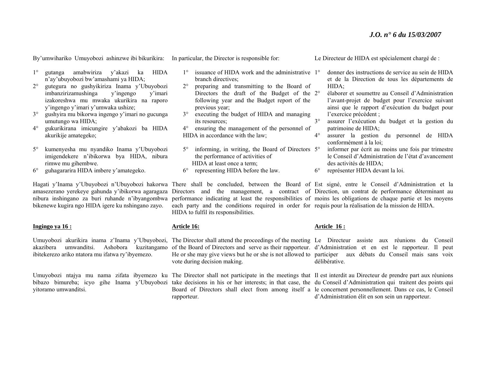By'umwihariko Umuyobozi ashinzwe ibi bikurikira: In particular, the Director is responsible for:

- 1° gutanga amabwiriza y'akazi ka HIDA <sup>n</sup>'ay'ubuyobozi bw'amashami ya HIDA;
- $2^{\circ}$  gutegura no gushyikiriza Inama y'Ubuyobozi imbanzirizamushinga y'ingengo y'imari izakoreshwa mu mwaka ukurikira na raporo y'ingengo y'imari y'umwaka ushize;
- $3^\circ$  gushyira mu bikorwa ingengo y'imari no gucunga umutungo wa HIDA;
- $4^\circ$  gukurikirana imicungire y'abakozi ba HIDA akurikije amategeko;
- 5° kumenyesha mu nyandiko Inama y'Ubuyobozi imigendekere n'ibikorwa bya HIDA, nibura rimwe mu gihembwe.
- $6^\circ$ guhagararira HIDA imbere y'amategeko.

nibura inshingano za buri ruhande n'ibyangombwa bikenewe kugira ngo HIDA igere ku nshingano zayo.

#### **Ingingo ya 16 :**

akazibera umwanditsi. Ashobora kuzitangamo ibitekerezo ariko ntatora mu ifatwa ry'ibyemezo.

yitoramo umwanditsi.

- 1°<sup>o</sup> issuance of HIDA work and the administrative 1<sup>o</sup> branch directives;
- $2^{\circ}$  preparing and transmitting to the Board of Directors the draft of the Budget of the 2°following year and the Budget report of the previous year;
- $3^\circ$  executing the budget of HIDA and managing its resources;
- 4° ensuring the management of the personnel of HIDA in accordance with the law;
- $5^{\circ}$ <sup>o</sup> informing, in writing, the Board of Directors 5<sup>o</sup> the performance of activities of HIDA at least once a term;  $6^\circ$ representing HIDA before the law.
- 

Le Directeur de HIDA est spécialement chargé de :

- donner des instructions de service au sein de HIDA et de la Direction de tous les départements de HIDA;
- élaborer et soumettre au Conseil d'Administration l'avant-projet de budget pour l'exercice suivant ainsi que le rapport d'exécution du budget pour l'exercice précédent ;
- 3° assurer l'exécution du budget et la gestion du patrimoine de HIDA;
- $4^\circ$  assurer la gestion du personnel de HIDA conformément à la loi;
	- informer par écrit au moins une fois par trimestre le Conseil d'Administration de l'état d'avancement des activités de HIDA;
- $6^\circ$ représenter HIDA devant la loi.

Hagati y'Inama y'Ubuyobozi n'Ubuyobozi hakorwa There shall be concluded, between the Board of Est signé, entre le Conseil d'Administration et la amasezerano yerekeye gahunda y'ibikorwa agaragaza Directors and the management, a contract of Direction, un contrat de performance déterminant au performance indicating at least the responsibilities of moins les obligations de chaque partie et les moyens each party and the conditions required in order for requis pour la réalisation de la mission de HIDA. HIDA to fulfil its responsibilities.

#### **Article 16:**

Umuyobozi akurikira inama z'Inama y'Ubuyobozi, The Director shall attend the proceedings of the meeting Le Directeur assiste aux réunions du Conseil of the Board of Directors and serve as their rapporteur. d'Administration et en est le rapporteur. Il peut He or she may give views but he or she is not allowed to participer aux débats du Conseil mais sans voix vote during decision making.

rapporteur.

#### **Article 16 :**

délibérative.

Umuyobozi ntajya mu nama zifata ibyemezo ku The Director shall not participate in the meetings that Il est interdit au Directeur de prendre part aux réunions bibazo bimureba; icyo gihe Inama y'Ubuyobozi take decisions in his or her interests; in that case, the du Conseil d'Administration qui traitent des points qui Board of Directors shall elect from among itself a le concernent personnellement. Dans ce cas, le Conseil d'Administration élit en son sein un rapporteur.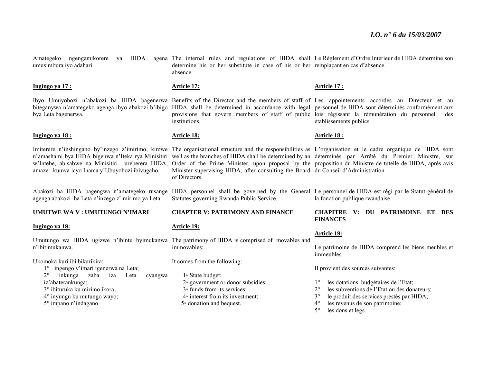Amategeko ngengamikorere ya HIDA agena The internal rules and regulations of HIDA shall Le-Règlement d'Ordre-Intérieur-de-HIDA détermine-son umusimbura iyo adahari. determine his or her substitute in case of his or her remplaçant en cas d'absence. absence.

#### **Ingingo ya 17 :**

bya Leta bagenerwa.

#### **Ingingo ya 18 :**

<sup>w</sup>'Intebe, abisabwe na Minisitiri ureberera HIDA, amaze kumva icyo Inama y'Ubuyobozi ibivugaho.

agenga abakozi ba Leta n'inzego z'imirimo ya Leta.

#### **UMUTWE WA V : UMUTUNGO N'IMARI**

#### **Ingingo ya 19:**

n'ibitimukanwa.

Ukomoka kuri ibi bikurikira:

- 1° ingengo y'imari igenerwa na Leta;
- 2° inkunga zaba iza Leta cyangwa iz'abaterankunga; 3° ibituruka ku mirimo ikora; 4° inyungu ku mutungo wayo;
- 5° impano n'indagano

#### **Article 17:**

Ibyo Umuyobozi n'abakozi ba HIDA bagenerwa Benefits of the Director and the members of staff of Les appointements accordés au Directeur et au biteganywa n'amategeko agenga ibyo abakozi b'ibigo HIDA shall be determined in accordance with legal personnel de HIDA sont déterminés conformément aux provisions that govern members of staff of public lois régissant la rémunération du personnel des institutions.

#### **Article 18:**

Imiterere n'inshingano by'inzego z'imirimo, kimwe The organisational structure and the responsibilities as L'organisation et le cadre organique de HIDA sont <sup>n</sup>'amashami bya HIDA bigenwa n'Iteka rya Minisitiri well as the branches of HIDA shall be determined by an déterminés par Arrêté du Premier Ministre, sur Order of the Prime Minister, upon proposal by the proposition du Ministre de tutelle de HIDA, après avis Minister supervising HIDA, after consulting the Board du Conseil d'Administration. of Directors.

Statutes governing Rwanda Public Service.

#### **CHAPTER V: PATRIMONY AND FINANCE**

#### **Article 19:**

Umutungo wa HIDA ugizwe n'ibintu byimukanwa The patrimony of HIDA is comprised of movables and immovables:

It comes from the following:

- 1◦ State budget;
- 2◦ government or donor subsidies;
- 3◦ funds from its services;
- 4◦ interest from its investment;
- 5◦ donation and bequest.

#### **Article 17 :**

établissements publics.

#### **Article 18 :**

Abakozi ba HIDA bagengwa n'amategeko rusange HIDA personnel shall be governed by the General Le personnel de HIDA est régi par le Statut général de la fonction publique rwandaise.

#### **CHAPITRE V: DU PATRIMOINE ET DES FINANCES**

#### **Article 19:**

Le patrimoine de HIDA comprend les biens meubles et immeubles.

Il provient des sources suivantes:

- $1^{\circ}$ les dotations budgétaires de l'Etat;
- $2^{\circ}$ les subventions de l'Etat ou des donateurs;
- $3^\circ$ le produit des services prestés par HIDA;
- $4^\circ$ les revenus de son patrimoine;
- $5^\circ$ les dons et legs.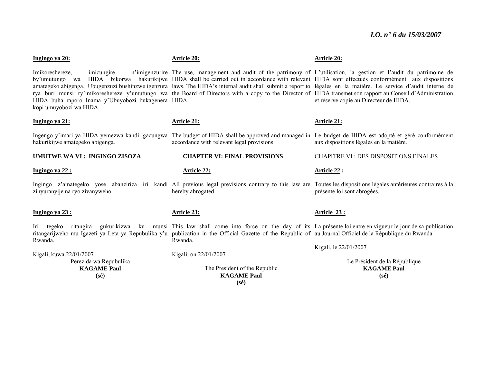| Ingingo ya 20:                                                                                                                    | <b>Article 20:</b>                                                                                                                                                                                                                                                                                                                                                                                                                                                                                                                                                                          | <b>Article 20:</b>                                                    |
|-----------------------------------------------------------------------------------------------------------------------------------|---------------------------------------------------------------------------------------------------------------------------------------------------------------------------------------------------------------------------------------------------------------------------------------------------------------------------------------------------------------------------------------------------------------------------------------------------------------------------------------------------------------------------------------------------------------------------------------------|-----------------------------------------------------------------------|
| imicungire<br>Imikoreshereze,<br>by'umutungo wa<br>HIDA buha raporo Inama y'Ubuyobozi bukagenera HIDA.<br>kopi umuyobozi wa HIDA. | n'imigenzurire The use, management and audit of the patrimony of L'utilisation, la gestion et l'audit du patrimoine de<br>HIDA bikorwa hakurikijwe HIDA shall be carried out in accordance with relevant HIDA sont effectués conformément aux dispositions<br>amategeko abigenga. Ubugenzuzi bushinzwe igenzura laws. The HIDA's internal audit shall submit a report to légales en la matière. Le service d'audit interne de<br>rya buri munsi ry'imikoreshereze y'umutungo wa the Board of Directors with a copy to the Director of HIDA transmet son rapport au Conseil d'Administration | et réserve copie au Directeur de HIDA.                                |
| Ingingo ya 21:                                                                                                                    | <b>Article 21:</b>                                                                                                                                                                                                                                                                                                                                                                                                                                                                                                                                                                          | Article 21:                                                           |
| hakurikijwe amategeko abigenga.                                                                                                   | Ingengo y'imari ya HIDA yemezwa kandi igacungwa The budget of HIDA shall be approved and managed in Le budget de HIDA est adopté et géré conformément<br>accordance with relevant legal provisions.                                                                                                                                                                                                                                                                                                                                                                                         | aux dispositions légales en la matière.                               |
| UMUTWE WA VI: INGINGO ZISOZA                                                                                                      | <b>CHAPTER VI: FINAL PROVISIONS</b>                                                                                                                                                                                                                                                                                                                                                                                                                                                                                                                                                         | <b>CHAPITRE VI : DES DISPOSITIONS FINALES</b>                         |
| Ingingo ya 22:                                                                                                                    | <b>Article 22:</b>                                                                                                                                                                                                                                                                                                                                                                                                                                                                                                                                                                          | Article 22 :                                                          |
| zinyuranyije na ryo zivanyweho.                                                                                                   | Ingingo z'amategeko yose abanziriza iri kandi All previous legal previsions contrary to this law are Toutes les dispositions légales antérieures contraires à la<br>hereby abrogated.                                                                                                                                                                                                                                                                                                                                                                                                       | présente loi sont abrogées.                                           |
| Ingingo ya 23 :                                                                                                                   | Article 23:                                                                                                                                                                                                                                                                                                                                                                                                                                                                                                                                                                                 | <b>Article 23:</b>                                                    |
| Iri tegeko<br>ritangira<br>Rwanda.                                                                                                | gukurikizwa ku munsi This law shall come into force on the day of its La présente loi entre en vigueur le jour de sa publication<br>ritangarijweho mu Igazeti ya Leta ya Repubulika y'u publication in the Official Gazette of the Republic of au Journal Officiel de la République du Rwanda.<br>Rwanda.                                                                                                                                                                                                                                                                                   |                                                                       |
| Kigali, kuwa 22/01/2007                                                                                                           | Kigali, on 22/01/2007                                                                                                                                                                                                                                                                                                                                                                                                                                                                                                                                                                       | Kigali, le 22/01/2007                                                 |
| Perezida wa Repubulika<br><b>KAGAME Paul</b><br>$(s\acute{e})$                                                                    | The President of the Republic<br><b>KAGAME Paul</b><br>$(s\acute{e})$                                                                                                                                                                                                                                                                                                                                                                                                                                                                                                                       | Le Président de la République<br><b>KAGAME Paul</b><br>$(s\acute{e})$ |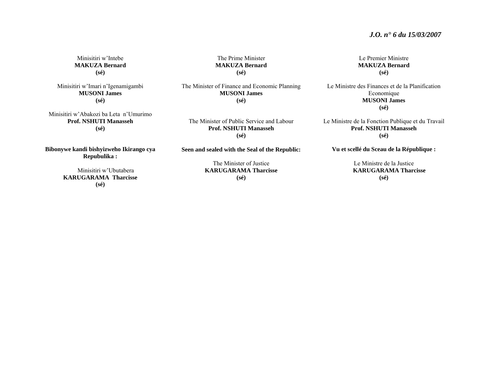Minisitiri w'Intebe **MAKUZA Bernard (sé)** 

Minisitiri w'Imari n'Igenamigambi **MUSONI James (sé)** 

Minisitiri w'Abakozi ba Leta n'Umurimo **Prof. NSHUTI Manasseh (sé)** 

**(sé)**  The Minister of Finance and Economic Planning

The Prime Minister **MAKUZA Bernard** 

**MUSONI James (sé)** 

The Minister of Public Service and Labour **Prof. NSHUTI Manasseh (sé)** 

**Bibonywe kandi bishyizweho Ikirango cya Repubulika :** 

> Minisitiri w'Ubutabera **KARUGARAMA Tharcisse (sé)**

**Seen and sealed with the Seal of the Republic:** 

The Minister of Justice **KARUGARAMA Tharcisse (sé)**

Le Premier Ministre **MAKUZA Bernard (sé)** 

Le Ministre des Finances et de la Planification Economique **MUSONI James (sé)**

Le Ministre de la Fonction Publique et du Travail **Prof. NSHUTI Manasseh(sé)** 

**Vu et scellé du Sceau de la République :** 

Le Ministre de la Justice **KARUGARAMA Tharcisse (sé)**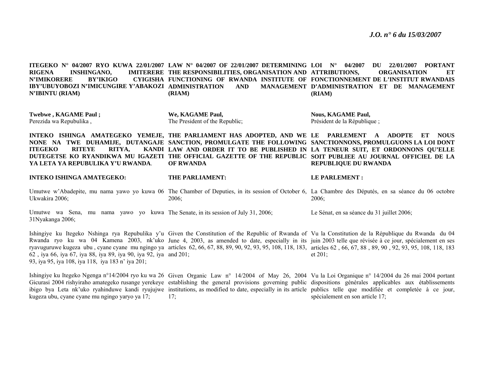**ITEGEKO N° 04/2007 RYO KUWA 22/01/2007 LAW N° 04/2007 OF 22/01/2007 DETERMINING RIGENA INSHINGANO, N'IMIKORERE BY'IKIGO FUNCTIONING OF RWANDA INSTITUTE OF FONCTIONNEMENT DE L'INSTITUT RWANDAIS IBY'UBUYOBOZI N'IMICUNGIRE Y'ABAKOZI ADMINISTRATION AND MANAGEMENT N'IBINTU (RIAM) IMITERERE THE RESPONSIBILITIES, ORGANISATION AND ATTRIBUTIONS. (RIAM) LOI N° 04/2007 DU 22/01/2007 PORTANT ORGANISATION ET D'ADMINISTRATION ET DE MANAGEMENT (RIAM)** 

**Twebwe , KAGAME Paul ;**  Perezida wa Repubulika ,

**We, KAGAME Paul,**  The President of the Republic; **Nous, KAGAME Paul,**  Président de la République ;

INTEKO ISHINGA AMATEGEKO YEMEJE, THE PARLIAMENT HAS ADOPTED, AND WE LE PARLEMENT A ADOPTE ET NOUS **NONE NA TWE DUHAMIJE, DUTANGAJE SANCTION, PROMULGATE THE FOLLOWING SANCTIONNONS, PROMULGUONS LA LOI DONT ITEGEKO RITEYE RITYA, DUTEGETSE KO RYANDIKWA MU IGAZETI THE OFFICIAL GAZETTE OF THE REPUBLIC SOIT PUBLIEE AU JOURNAL OFFICIEL DE LA YA LETA YA REPUBULIKA Y'U RWANDA**. **LAW AND ORDER IT TO BE PUBLISHED IN LA TENEUR SUIT, ET ORDONNONS QU'ELLE OF RWANDA REPUBLIQUE DU RWANDA** 

**INTEKO ISHINGA AMATEGEKO:** 

**THE PARLIAMENT:** 

**LE PARLEMENT :** 

Umutwe w'Abadepite, mu nama yawo yo kuwa 06 The Chamber of Deputies, in its session of October 6, La Chambre des Députés, en sa séance du 06 octobre Ukwakira 2006; 2006; 2006;

Umutwe wa Sena, mu nama yawo yo kuwa The Senate, in its session of July 31, 2006; 31Nyakanga 2006; Le Sénat, en sa séance du 31 juillet 2006;

Ishingiye ku Itegeko Nshinga rya Repubulika y'u Given the Constitution of the Republic of Rwanda of Vu la Constitution de la République du Rwanda du 04 Rwanda ryo ku wa 04 Kamena 2003, nk'uko June 4, 2003, as amended to date, especially in its juin 2003 telle que révisée à ce jour, spécialement en ses ryavuguruwe kugeza ubu , cyane cyane mu ngingo ya articles 62, 66, 67, 88, 89, 90, 92, 93, 95, 108, 118, 183, articles 62 , 66, 67, 88 , 89, 90 , 92, 93, 95, 108, 118, 183 62 , iya 66, iya 67, iya 88, iya 89, iya 90, iya 92, iya and 201; 93, iya 95, iya 108, iya 118, iya 183 n' iya 201; et 201;

Ishingiye ku Itegeko Ngenga n°14/2004 ryo ku wa 26 Given Organic Law n° 14/2004 of May 26, 2004 Vu la Loi Organique n° 14/2004 du 26 mai 2004 portant Gicurasi 2004 rishyiraho amategeko rusange yerekeye establishing the general provisions governing public dispositions générales applicables aux établissements ibigo bya Leta nk'uko ryahinduwe kandi ryujujwe institutions, as modified to date, especially in its article publics telle que modifiée et completée à ce jour, kugeza ubu, cyane cyane mu ngingo yaryo ya 17; 17; spécialement en son article 17;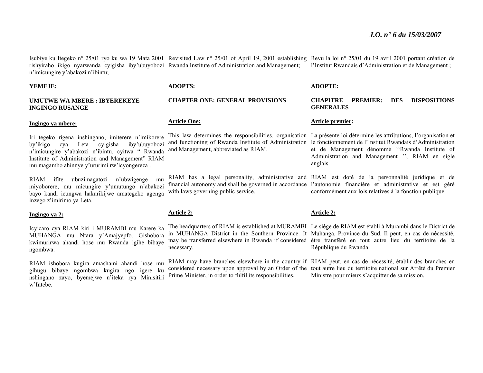Isubiye ku Itegeko n° 25/01 ryo ku wa 19 Mata 2001 Revisited Law n° 25/01 of April 19, 2001 establishing Revu la loi n° 25/01 du 19 avril 2001 portant création de rishyiraho ikigo nyarwanda cyigisha iby'ubuyobozi Rwanda Institute of Administration and Management; <sup>n</sup>'imicungire y'abakozi n'ibintu; l'Institut Rwandais d'Administration et de Management ;

#### **YEMEJE:**

#### **UMUTWE WA MBERE : IBYEREKEYE INGINGO RUSANGE**

#### **Ingingo ya mbere:**

Iri tegeko rigena inshingano, imiterere n'imikorere by'ikigo cya Leta cyigisha iby'ubuyobozi <sup>n</sup>'imicungire y'abakozi n'ibintu, cyitwa " Rwanda Institute of Administration and Management" RIAM mu magambo ahinnye y'ururimi rw'icyongereza .

RIAM ifite ubuzimagatozi n'ubwigenge mu miyoborere, mu micungire y'umutungo n'abakozi bayo kandi icungwa hakurikijwe amategeko agenga inzego z'imirimo ya Leta.

#### **Ingingo ya 2:**

Icyicaro cya RIAM kiri i MURAMBI mu Karere ka MUHANGA mu Ntara y'Amajyepfo. Gishobora kwimurirwa ahandi hose mu Rwanda igihe bibaye ngombwa.

RIAM ishobora kugira amashami ahandi hose mu gihugu bibaye ngombwa kugira ngo igere ku nshingano zayo, byemejwe n'iteka rya Minisitiri w'Intebe.

#### **ADOPTS:**

### **CHAPTER ONE: GENERAL PROVISIONS**

#### **Article One:**

and Management, abbreviated as RIAM.

with laws governing public service.

#### **Article 2:**

necessary.

Prime Minister, in order to fulfil its responsibilities.

#### **ADOPTE:**

#### **CHAPITRE PREMIER: DES DISPOSITIONS GENERALES**

#### **Article premier:**

This law determines the responsibilities, organisation La présente loi détermine les attributions, l'organisation et and functioning of Rwanda Institute of Administration le fonctionnement de l'Institut Rwandais d'Administration et de Management dénommé ''Rwanda Institute of Administration and Management '', RIAM en sigle anglais.

RIAM has a legal personality, administrative and RIAM est doté de la personnalité juridique et de financial autonomy and shall be governed in accordance l'autonomie financière et administrative et est géré conformément aux lois relatives à la fonction publique.

#### **Article 2:**

The headquarters of RIAM is established at MURAMBI Le siège de RIAM est établi à Murambi dans le District de in MUHANGA District in the Southern Province. It Muhanga, Province du Sud. Il peut, en cas de nécessité, may be transferred elsewhere in Rwanda if considered être transféré en tout autre lieu du territoire de la République du Rwanda.

RIAM may have branches elsewhere in the country if RIAM peut, en cas de nécessité, établir des branches en considered necessary upon approval by an Order of the tout autre lieu du territoire national sur Arrêté du Premier Ministre pour mieux s'acquitter de sa mission.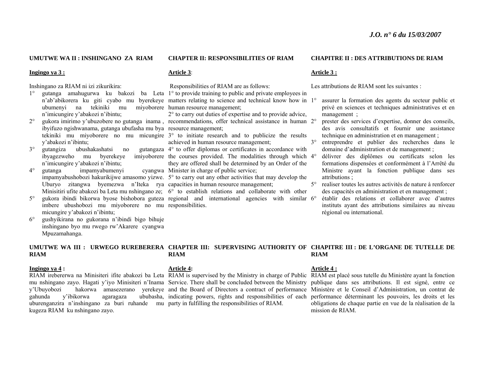#### **UMUTWE WA II : INSHINGANO ZA RIAM**

#### **Ingingo ya 3 :**

Inshingano za RIAM ni izi zikurikira:

- ubumenyi na tekiniki mu <sup>n</sup>'imicungire y'abakozi n'ibintu;
- $2^{\circ}$ ibyifuzo ngishwanama, gutanga ubufasha mu bya resource management; y'abakozi n'ibintu;
- 3° gutangiza ubushakashatsi no gutangaza ibyagezweho mu byerekeye <sup>n</sup>'imicungire y'abakozi n'ibintu;
- 4°gutanga impamyabumenyi Uburyo zitangwa byemezwa n'Iteka rya capacities in human resource management;
- 5°imbere ubushobozi mu miyoborere no mu responsibilities. micungire y'abakozi n'ibintu;
- $6^\circ$  gushyikirana no gukorana n'ibindi bigo bihuje inshingano byo mu rwego rw'Akarere cyangwa Mpuzamahanga.

#### **CHAPTER II: RESPONSIBILITIES OF RIAM**

#### **Article 3**:

Responsibilities of RIAM are as follows:

1° gutanga amahugurwa ku bakozi ba Leta 1° to provide training to public and private employees in n'ab'abikorera ku giti cyabo mu byerekeye matters relating to science and technical know how in 1° miyoborere human resource management;

<sup>o</sup> gukora imirimo y'ubuzobere no gutanga inama, recommendations, offer technical assistance in human 2° 2° to carry out duties of expertise and to provide advice,

tekiniki mu miyoborere no mu micungire 3° to initiate research and to publicize the results achieved in human resource management;

4° to offer diplomas or certificates in accordance with the courses provided. The modalities through which 4°they are offered shall be determined by an Order of the cyangwa Minister in charge of public service;

impamyabushobozi hakurikijwe amasomo yizwe. 5° to carry out any other activities that may develop the

Minisitiri ufite abakozi ba Leta mu nshingano ze; 6° to establish relations and collaborate with other <sup>o</sup> gukora ibindi bikorwa byose bishobora guteza regional and international agencies with similar 6°

#### **CHAPITRE II : DES ATTRIBUTIONS DE RIAM**

#### **Article 3 :**

Les attributions de RIAM sont les suivantes :

- assurer la formation des agents du secteur public et privé en sciences et techniques administratives et en management ;
- prester des services d'expertise, donner des conseils, des avis consultatifs et fournir une assistance technique en administration et en management ;
- $3^\circ$  entreprendre et publier des recherches dans le domaine d'administration et de management ;
	- délivrer des diplômes ou certificats selon les formations dispensées et conformément à l'Arrêté du Ministre ayant la fonction publique dans ses attributions ;
- 5° realiser toutes les autres activités de nature à renforcer des capacités en administration et en management ;
	- établir des relations et collaborer avec d'autres instituts ayant des attributions similaires au niveau régional ou international.

#### **UMUTWE WA III : URWEGO RUREBERERA CHAPTER III: SUPERVISING AUTHORITY OF CHAPITRE III : DE L'ORGANE DE TUTELLE DE RIAM RIAM RIAM**

#### **Ingingo ya 4 :**

gahunda y'ibikorwa agaragaza uburenganzira n'inshingano za buri ruhande mu party in fulfilling the responsibilities of RIAM. kugeza RIAM ku nshingano zayo.

#### **Article 4:**

#### **Article 4 :**

RIAM irebererwa na Minisiteri ifite abakozi ba Leta RIAM is supervised by the Ministry in charge of Public RIAM est placé sous tutelle du Ministère ayant la fonction mu nshingano zayo. Hagati y'iyo Minisiteri n'Inama Service. There shall be concluded between the Ministry publique dans ses attributions. Il est signé, entre ce y'Ubuyobozi hakorwa amasezerano yerekeye and the Board of Directors a contract of performance Ministère et le Conseil d'Administration, un contrat de indicating powers, rights and responsibilities of each performance déterminant les pouvoirs, les droits et les obligations de chaque partie en vue de la réalisation de la mission de RIAM.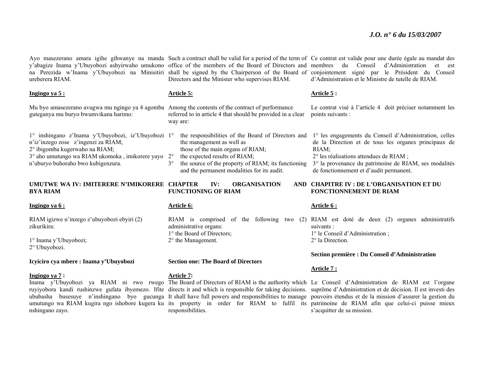ureberera RIAM.

**Ingingo ya 5 :**

Mu byo amasezerano avugwa mu ngingo ya 4 agomba Among the contents of the contract of performance guteganya mu buryo bwumvikana harimo:

1° inshingano z'Inama y'Ubuyobozi, iz'Ubuyobozi 1°<sup>n</sup>'iz'inzego zose z'ingenzi za RIAM; 2° ibigomba kugerwaho na RIAM; 3° aho umutungo wa RIAM ukomoka , imikorere yayo 2°<sup>n</sup>'uburyo buhoraho bwo kubigenzura. 3°

#### **UMUTWE WA IV: IMITERERE N'IMIKORERE BYA RIAM**

#### **Ingingo ya 6 :**

RIAM igizwe n'inzego z'ubuyobozi ebyiri (2) zikurikira:

1° Inama y'Ubuyobozi; 2° Ubuyobozi.

**Icyiciro cya mbere : Inama y'Ubuyobozi** 

#### **Ingingo ya 7 :**

nshingano zayo.

Directors and the Minister who supervises RIAM.

referred to in article 4 that should be provided in a clear

the responsibilities of the Board of Directors and

the source of the property of RIAM; its functioning

**IV: ORGANISATION** 

Ayo masezerano amara igihe gihwanye na manda Such a contract shall be valid for a period of the term of Ce contrat est valide pour une durée égale au mandat des y'abagize Inama y'Ubuyobozi ashyirwaho umukono office of the members of the Board of Directors and membres du Conseil d'Administration et est na Perezida w'Inama y'Ubuyobozi na Minisitiri shall be signed by the Chairperson of the Board of conjointement signé par le Président du Conseil d'Administration et le Ministre de tutelle de RIAM.

#### **Article 5 :**

Le contrat visé à l'article 4 doit préciser notamment les points suivants :

1° les engagements du Conseil d'Administration, celles de la Direction et de tous les organes principaux de RIAM;

- 2° les réalisations attendues de RIAM ;
- 3° la provenance du patrimoine de RIAM, ses modalités de fonctionnement et d'audit permanent.

#### **CHAPITRE IV : DE L'ORGANISATION ET DU FONCTIONNEMENT DE RIAM**

#### **Article 6:**

**Article 5:**

way are:

administrative organs: 1° the Board of Directors; 2° the Management.

**Section one: The Board of Directors** 

the management as well as

**FUNCTIONING OF RIAM** 

those of the main organs of RIAM; the expected results of RIAM;

and the permanent modalities for its audit.

#### **Article 7:**

responsibilities.

#### **Article 6 :**

RIAM is comprised of the following two (2) RIAM est doté de deux (2) organes administratifs suivants : 1° le Conseil d'Administration ; 2° la Direction.

#### **Section première : Du Conseil d'Administration**

#### **Article 7 :**

Inama y'Ubuyobozi ya RIAM ni rwo rwego The Board of Directors of RIAM is the authority which Le Conseil d'Administration de RIAM est l'organe ruyiyobora kandi rushinzwe gufata ibyemezo. Ifite directs it and which is responsible for taking decisions. suprême d'Administration et de décision. Il est investi des ububasha busesuye n'inshingano byo gucunga It shall have full powers and responsibilities to manage pouvoirs étendus et de la mission d'assurer la gestion du umutungo wa RIAM kugira ngo ishobore kugera ku its property in order for RIAM to fulfil its patrimoine de RIAM afin que celui-ci puisse mieux s'acquitter de sa mission.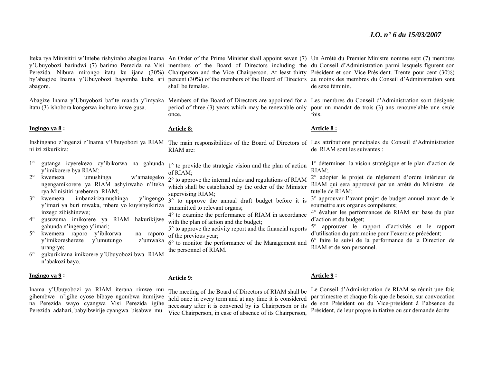abagore.

itatu (3) ishobora kongerwa inshuro imwe gusa.

#### **Ingingo ya 8 :**

ni izi zikurikira:

- 1°<sup>o</sup> gutanga icyerekezo cy'ibikorwa na gahunda  $1^\circ$  to provide the strategic vision and the plan of action y'imikorere bya RIAM;
- $2^{\circ}$  kwemeza umushinga w'amategeko ngengamikorere ya RIAM ashyirwaho n'Iteka rya Minisitiri ureberera RIAM;
- 3° kwemeza imbanzirizamushinga y'ingengo y'imari ya buri mwaka, mbere yo kuyishyikiriza inzego zibishinzwe;
- $4^{\circ}$  gusuzuma imikorere ya RIAM hakurikijwe gahunda n'ingengo y'imari;
- $5^{\circ}$  kwemeza raporo y'ibikorwa na raporo y'imikoreshereze y'umutungo z'umwaka urangiye;
- $6^{\circ}$  gukurikirana imikorere y'Ubuyobozi bwa RIAM <sup>n</sup>'abakozi bayo.

#### **Ingingo ya 9 :**

Inama y'Ubuyobozi ya RIAM iterana rimwe mu gihembwe n'igihe cyose bibaye ngombwa itumijwe na Perezida wayo cyangwa Visi Perezida igihe Perezida adahari, babyibwirije cyangwa bisabwe mu

shall be females.

once.

#### **Article 8:**

- RIAM are:
- of RIAM;
- 2° to approve the internal rules and regulations of RIAM which shall be established by the order of the Minister supervising RIAM;
- 3° to approve the annual draft budget before it is transmitted to relevant organs;
- 4° to examine the performance of RIAM in accordance with the plan of action and the budget:
- 5° to approve the activity report and the financial reports of the previous year;
- 6° to monitor the performance of the Management and the personnel of RIAM.

#### **Article 9:**

The meeting of the Board of Directors of RIAM shall be held once in every term and at any time it is considered necessary after it is convened by its Chairperson or its Vice Chairperson, in case of absence of its Chairperson,

Iteka rya Minisitiri w'Intebe rishyiraho abagize Inama An Order of the Prime Minister shall appoint seven (7) Un Arrêté du Premier Ministre nomme sept (7) membres y'Ubuyobozi barindwi (7) barimo Perezida na Visi members of the Board of Directors including the du Conseil d'Administration parmi lesquels figurent son Perezida. Nibura mirongo itatu ku ijana (30%) Chairperson and the Vice Chairperson. At least thirty Président et son Vice-Président. Trente pour cent (30%) by'abagize Inama y'Ubuyobozi bagomba kuba ari percent (30%) of the members of the Board of Directors au moins des membres du Conseil d'Administration sont de sexe féminin.

Abagize Inama y'Ubuyobozi bafite manda y'imyaka Members of the Board of Directors are appointed for a Les membres du Conseil d'Administration sont désignés period of three (3) years which may be renewable only pour un mandat de trois (3) ans renouvelable une seule fois.

#### **Article 8 :**

Inshingano z'ingenzi z'Inama y'Ubuyobozi ya RIAM The main responsibilities of the Board of Directors of Les attributions principales du Conseil d'Administration de RIAM sont les suivantes :

> 1° déterminer la vision stratégique et le plan d'action de RIAM;

> 2° adopter le projet de règlement d'ordre intérieur de RIAM qui sera approuvé par un arrêté du Ministre de tutelle de RIAM;

> 3° approuver l'avant-projet de budget annuel avant de le soumettre aux organes compétents;

> 4° évaluer les performances de RIAM sur base du plan d'action et du budget;

> 5° approuver le rapport d'activités et le rapport d'utilisation du patrimoine pour l'exercice précédent;

> 6° faire le suivi de la performance de la Direction de RIAM et de son personnel.

#### **Article 9 :**

Le Conseil d'Administration de RIAM se réunit une fois par trimestre et chaque fois que de besoin, sur convocation de son Président ou du Vice-président à l'absence du Président, de leur propre initiative ou sur demande écrite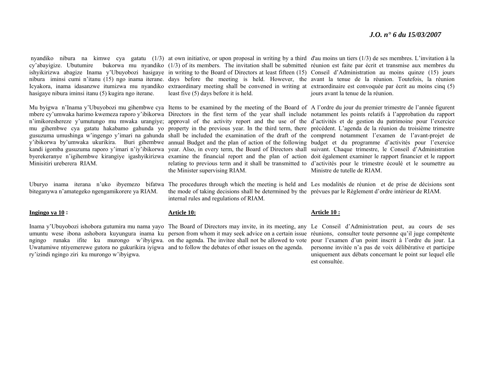hasigaye nibura iminsi itanu (5) kugira ngo iterane.

Minisitiri ureberera RIAM.

biteganywa n'amategeko ngengamikorere ya RIAM.

#### **Ingingo ya 10 :**

ry'izindi ngingo ziri ku murongo w'ibyigwa.

least five (5) days before it is held.

the Minister supervising RIAM.

the mode of taking decisions shall be determined by the prévues par le Règlement d'ordre intérieur de RIAM. internal rules and regulations of RIAM.

#### **Article 10:**

Uwatumiwe ntiyemerewe gutora no gukurikira iyigwa and to follow the debates of other issues on the agenda.

nyandiko nibura na kimwe cya gatatu (1/3) at own initiative, or upon proposal in writing by a third d'au moins un tiers (1/3) de ses membres. L'invitation à la cy'abayigize. Ubutumire bukorwa mu nyandiko (1/3) of its members. The invitation shall be submitted réunion est faite par écrit et transmise aux membres du ishyikirizwa abagize Inama y'Ubuyobozi hasigaye in writing to the Board of Directors at least fifteen (15) Conseil d'Administration au moins quinze (15) jours nibura iminsi cumi n'itanu (15) ngo inama iterane. days before the meeting is held. However, the avant la tenue de la réunion. Toutefois, la réunion Icyakora, inama idasanzwe itumizwa mu nyandiko extraordinary meeting shall be convened in writing at extraordinaire est convoquée par écrit au moins cinq (5) jours avant la tenue de la réunion.

Mu byigwa n'Inama y'Ubuyobozi mu gihembwe cya Items to be examined by the meeting of the Board of A l'ordre du jour du premier trimestre de l'année figurent mbere cy'umwaka harimo kwemeza raporo y'ibikorwa Directors in the first term of the year shall include notamment les points relatifs à l'approbation du rapport n'imikoreshereze y'umutungo mu mwaka urangiye; approval of the activity report and the use of the d'activités et de gestion du patrimoine pour l'exercice mu gihembwe cya gatatu hakabamo gahunda yo property in the previous year. In the third term, there précédent. L'agenda de la réunion du troisième trimestre gusuzuma umushinga w'ingengo y'imari na gahunda shall be included the examination of the draft of the comprend notamment l'examen de l'avant-projet de y'ibikorwa by'umwaka ukurikira. Buri gihembwe annual Budget and the plan of action of the following budget et du programme d'activités pour l'exercice kandi igomba gusuzuma raporo y'imari n'iy'ibikorwa year. Also, in every term, the Board of Directors shall suivant. Chaque trimestre, le Conseil d'Administration byerekeranye n'igihembwe kirangiye igashyikirizwa examine the financial report and the plan of action doit également examiner le rapport financier et le rapport relating to previous term and it shall be transmitted to d'activités pour le trimestre écoulé et le soumettre au Ministre de tutelle de RIAM.

Uburyo inama iterana n'uko ibyemezo bifatwa The procedures through which the meeting is held and Les modalités de réunion et de prise de décisions sont

#### **Article 10 :**

Inama y'Ubuyobozi ishobora gutumira mu nama yayo The Board of Directors may invite, in its meeting, any Le Conseil d'Administration peut, au cours de ses umuntu wese ibona ashobora kuyungura inama ku person from whom it may seek advice on a certain issue réunions, consulter toute personne qu'il juge compétente ngingo runaka ifite ku murongo w'ibyigwa. on the agenda. The invitee shall not be allowed to vote pour l'examen d'un point inscrit à l'ordre du jour. La personne invitée n'a pas de voix délibérative et participe uniquement aux débats concernant le point sur lequel elle est consultée.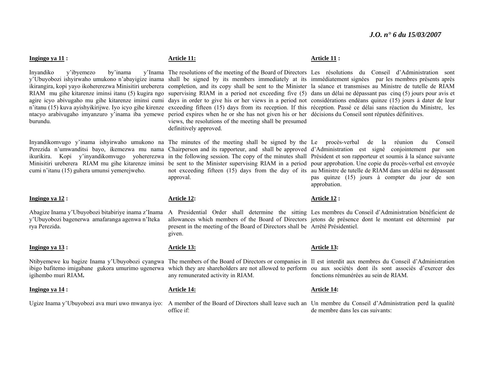#### **Ingingo ya 11 :**

Inyandiko y'ibyemezo by'inama burundu.

cumi n'itanu (15) guhera umunsi yemerejweho.

#### **Ingingo ya 12 :**

Abagize Inama y'Ubuyobozi bitabiriye inama z'Inama y'Ubuyobozi bagenerwa amafaranga agenwa n'Iteka rya Perezida.

#### **Ingingo ya 13 :**

igihembo muri RIAM**.** 

#### **Ingingo ya 14 :**

#### **Article 11:**

ntacyo arabivugaho imyanzuro y'inama iba yemewe period expires when he or she has not given his or her décisions du Conseil sont réputées définitives. views, the resolutions of the meeting shall be presumed definitively approved.

# approval.

#### **Article 12:**

present in the meeting of the Board of Directors shall be Arrêté Présidentiel. given.

#### **Article 13:**

any remunerated activity in RIAM.

#### **Article 14:**

office if:

#### **Article 11 :**

y'Ubuyobozi ishyirwaho umukono n'abayigize inama shall be signed by its members immediately at its immédiatement signées par les membres présents après ikirangira, kopi yayo ikohererezwa Minisitiri ureberera completion, and its copy shall be sent to the Minister la séance et transmises au Ministre de tutelle de RIAM RIAM mu gihe kitarenze iminsi itanu (5) kugira ngo supervising RIAM in a period not exceeding five (5) dans un délai ne dépassant pas cinq (5) jours pour avis et agire icyo abivugaho mu gihe kitarenze iminsi cumi days in order to give his or her views in a period not considérations endéans quinze (15) jours à dater de leur n'itanu (15) kuva ayishyikirijwe. Iyo icyo gihe kirenze exceeding fifteen (15) days from its reception. If this réception. Passé ce délai sans réaction du Ministre, les The resolutions of the meeting of the Board of Directors Les résolutions du Conseil d'Administration sont

Inyandikomvugo y'inama ishyirwaho umukono na The minutes of the meeting shall be signed by the Le procès-verbal de la réunion du Conseil Perezida n'umwanditsi bayo, ikemezwa mu nama Chairperson and its rapporteur, and shall be approved d'Administration est signé conjointement par son ikurikira. Kopi y'inyandikomvugo yohererezwa in the following session. The copy of the minutes shall Président et son rapporteur et soumis à la séance suivante Minisitiri ureberera RIAM mu gihe kitarenze iminsi be sent to the Minister supervising RIAM in a period pour approbation. Une copie du procès-verbal est envoyée not exceeding fifteen (15) days from the day of its au Ministre de tutelle de RIAM dans un délai ne dépassant pas quinze (15) jours à compter du jour de son approbation.

#### **Article 12 :**

A Presidential Order shall determine the sitting Les membres du Conseil d'Administration bénéficient de allowances which members of the Board of Directors jetons de présence dont le montant est déterminé par

#### **Article 13:**

Ntibyemewe ku bagize Inama y'Ubuyobozi cyangwa The members of the Board of Directors or companies in Il est interdit aux membres du Conseil d'Administration ibigo bafitemo imigabane gukora umurimo ugenerwa which they are shareholders are not allowed to perform ou aux sociétés dont ils sont associés d'exercer des fonctions rémunérées au sein de RIAM.

#### **Article 14:**

Ugize Inama y'Ubuyobozi ava muri uwo mwanya iyo: A member of the Board of Directors shall leave such an Un membre du Conseil d'Administration perd la qualité de membre dans les cas suivants: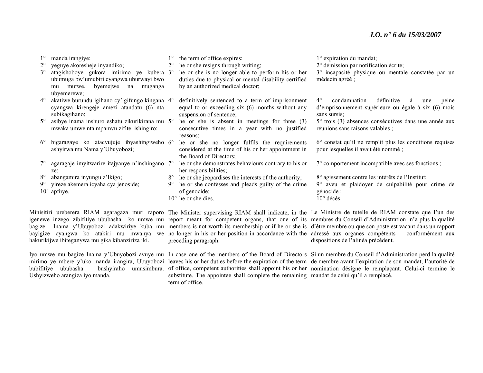| $2^{\circ}$<br>$3^\circ$                                                                                                                                  | manda irangiye;<br>yeguye akoresheje inyandiko;<br>atagishoboye gukora imirimo ye kubera 3°<br>ubumuga bw'umubiri cyangwa uburwayi bwo<br>mutwe, byemejwe na<br>muganga<br>mu | $2^{\circ}$ | the term of office expires;<br>he or she resigns through writing;<br>he or she is no longer able to perform his or her<br>duties due to physical or mental disability certified<br>by an authorized medical doctor; | $1^\circ$ expiration du mandat;<br>2° démission par notification écrite;<br>3° incapacité physique ou mentale constatée par un<br>médecin agréé; |
|-----------------------------------------------------------------------------------------------------------------------------------------------------------|-------------------------------------------------------------------------------------------------------------------------------------------------------------------------------|-------------|---------------------------------------------------------------------------------------------------------------------------------------------------------------------------------------------------------------------|--------------------------------------------------------------------------------------------------------------------------------------------------|
| $4^{\circ}$                                                                                                                                               | ubyemerewe;<br>akatiwe burundu igihano cy'igifungo kingana 4°<br>cyangwa kirengeje amezi atandatu (6) nta<br>subikagihano;                                                    |             | definitively sentenced to a term of imprisonment<br>equal to or exceeding six (6) months without any<br>suspension of sentence;                                                                                     | définitive<br>$4^\circ$<br>condamnation<br>à<br>peine<br>une<br>d'emprisonnement supérieure ou égale à six (6) mois<br>sans sursis:              |
| $5^\circ$                                                                                                                                                 | asibye inama inshuro eshatu zikurikirana mu 5°<br>mwaka umwe nta mpamvu zifite ishingiro;                                                                                     |             | he or she is absent in meetings for three $(3)$<br>consecutive times in a year with no justified<br>reasons;                                                                                                        | 5° trois (3) absences consécutives dans une année aux<br>réunions sans raisons valables;                                                         |
| $6^{\circ}$                                                                                                                                               | bigaragaye ko atacyujuje ibyashingiweho 6°<br>ashyirwa mu Nama y'Ubuyobozi;                                                                                                   |             | he or she no longer fulfils the requirements<br>considered at the time of his or her appointment in<br>the Board of Directors;                                                                                      | $6^{\circ}$ constat qu'il ne remplit plus les conditions requises<br>pour lesquelles il avait été nommé ;                                        |
|                                                                                                                                                           | agaragaje imvitwarire itajyanye n'inshingano 7°<br>ze:                                                                                                                        |             | he or she demonstrates behaviours contrary to his or<br>her responsibilities;                                                                                                                                       | 7° comportement incompatible avec ses fonctions;                                                                                                 |
| $8^{\circ}$                                                                                                                                               | abangamira inyungu z'Ikigo;                                                                                                                                                   | $8^{\circ}$ | the or she jeopardises the interests of the authority;                                                                                                                                                              | 8° agissement contre les intérêts de l'Institut;                                                                                                 |
| 9°                                                                                                                                                        | yireze akemera icyaha cya jenoside;                                                                                                                                           | $9^{\circ}$ | he or she confesses and pleads guilty of the crime                                                                                                                                                                  | 9° aveu et plaidoyer de culpabilité pour crime de                                                                                                |
|                                                                                                                                                           | $10^{\circ}$ apfuye.                                                                                                                                                          |             | of genocide;                                                                                                                                                                                                        | génocide;                                                                                                                                        |
|                                                                                                                                                           |                                                                                                                                                                               |             | $10^{\circ}$ he or she dies.                                                                                                                                                                                        | $10^{\circ}$ décès.                                                                                                                              |
| Minisitiri ureberera RIAM agaragaza muri raporo The Minister supervising RIAM shall indicate, in the Le Ministre de tutelle de RIAM constate que l'un des |                                                                                                                                                                               |             |                                                                                                                                                                                                                     |                                                                                                                                                  |

hakurikijwe ibiteganywa mu gika kibanziriza iki.

Ushyizweho arangiza iyo manda.

preceding paragraph.

substitute. The appointee shall complete the remaining mandat de celui qu'il a remplacé. term of office.

igenewe inzego zibifitiye ububasha ko umwe mu report meant for competent organs, that one of its membres du Conseil d'Administration n'a plus la qualité bagize Inama y'Ubuyobozi adakwiriye kuba mu members is not worth its membership or if he or she is d'être membre ou que son poste est vacant dans un rapport bayigize cyangwa ko atakiri mu mwanya we no longer in his or her position in accordance with the adressé aux organes compétents conformément aux dispositions de l'alinéa précédent.

Iyo umwe mu bagize Inama y'Ubuyobozi avuye mu In case one of the members of the Board of Directors Si un membre du Conseil d'Administration perd la qualité mirimo ye mbere y'uko manda irangira, Ubuyobozi leaves his or her duties before the expiration of the term de membre avant l'expiration de son mandat, l'autorité de bubifitiye ububasha bushyiraho umusimbura. of office, competent authorities shall appoint his or her nomination désigne le remplaçant. Celui-ci termine le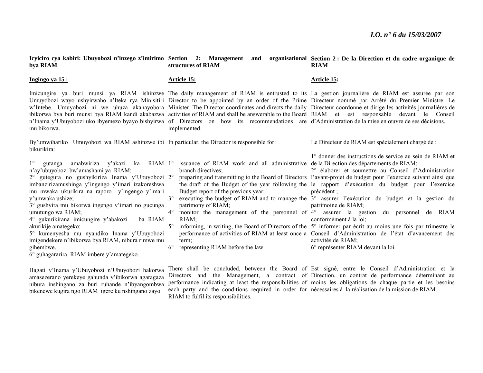| Icyiciro cya kabiri: Ubuyobozi n'inzego z'imirimo Section 2: Management<br>bya RIAM                                                                                                                                                                                                                                                                                                                                                                                                                                                                                                          | structures of RIAM                                                                                                                                                                                                                                                          | and organisational Section 2: De la Direction et du cadre organique de<br><b>RIAM</b>                                                                                                                                                                                                                                                                                                                                                                                                                                                                                                                                                                                                                                                                                                                                                                                                                                 |
|----------------------------------------------------------------------------------------------------------------------------------------------------------------------------------------------------------------------------------------------------------------------------------------------------------------------------------------------------------------------------------------------------------------------------------------------------------------------------------------------------------------------------------------------------------------------------------------------|-----------------------------------------------------------------------------------------------------------------------------------------------------------------------------------------------------------------------------------------------------------------------------|-----------------------------------------------------------------------------------------------------------------------------------------------------------------------------------------------------------------------------------------------------------------------------------------------------------------------------------------------------------------------------------------------------------------------------------------------------------------------------------------------------------------------------------------------------------------------------------------------------------------------------------------------------------------------------------------------------------------------------------------------------------------------------------------------------------------------------------------------------------------------------------------------------------------------|
| Ingingo ya 15:                                                                                                                                                                                                                                                                                                                                                                                                                                                                                                                                                                               | <u> Article 15:</u>                                                                                                                                                                                                                                                         | <u>Article 15:</u>                                                                                                                                                                                                                                                                                                                                                                                                                                                                                                                                                                                                                                                                                                                                                                                                                                                                                                    |
| mu bikorwa.                                                                                                                                                                                                                                                                                                                                                                                                                                                                                                                                                                                  | n'Inama y'Ubuyobozi uko ibyemezo byayo bishyirwa of Directors on how its recommendations are d'Administration de la mise en œuvre de ses décisions.<br>implemented.                                                                                                         | Imicungire ya buri munsi ya RIAM ishinzwe The daily management of RIAM is entrusted to its La gestion journalière de RIAM est assurée par son<br>Umuyobozi wayo ushyirwaho n'Iteka rya Minisitiri Director to be appointed by an order of the Prime Directeur nommé par Arrêté du Premier Ministre. Le<br>w'Intebe. Umuyobozi ni we uhuza akanayobora Minister. The Director coordinates and directs the daily Directeur coordonne et dirige les activités journalières de<br>ibikorwa bya buri munsi bya RIAM kandi akabazwa activities of RIAM and shall be answerable to the Board RIAM et est responsable devant le Conseil                                                                                                                                                                                                                                                                                       |
| By'umwihariko Umuyobozi wa RIAM ashinzwe ibi In particular, the Director is responsible for:<br>bikurikira:                                                                                                                                                                                                                                                                                                                                                                                                                                                                                  |                                                                                                                                                                                                                                                                             | Le Directeur de RIAM est spécialement chargé de :                                                                                                                                                                                                                                                                                                                                                                                                                                                                                                                                                                                                                                                                                                                                                                                                                                                                     |
| $1^{\circ}$<br>gutanga amabwiriza y'akazi ka RIAM l°<br>n'ay'ubuyobozi bw'amashami ya RIAM;<br>2° gutegura no gushyikiriza Inama y'Ubuyobozi 2°<br>imbanzirizamushinga y'ingengo y'imari izakoreshwa<br>mu mwaka ukurikira na raporo y'ingengo y'imari<br>y'umwaka ushize;<br>3° gushyira mu bikorwa ingengo y'imari no gucunga<br>umutungo wa RIAM;<br>4° gukurikirana imicungire y'abakozi<br>ba RIAM<br>akurikije amategeko;<br>5° kumenyesha mu nyandiko Inama y'Ubuyobozi<br>imigendekere n'ibikorwa bya RIAM, nibura rimwe mu<br>gihembwe.<br>6° guhagararira RIAM imbere y'amategeko. | issuance of RIAM work and all administrative de la Direction des départements de RIAM;<br>branch directives:<br>Budget report of the previous year;<br>$3^{\circ}$<br>patrimony of RIAM;<br>$4^\circ$<br>RIAM:<br>$5^{\circ}$<br>term;<br>representing RIAM before the law. | 1° donner des instructions de service au sein de RIAM et<br>2° élaborer et soumettre au Conseil d'Administration<br>preparing and transmitting to the Board of Directors l'avant-projet de budget pour l'exercice suivant ainsi que<br>the draft of the Budget of the year following the le rapport d'exécution du budget pour l'exercice<br>$pr\acute{e}c\acute{e}dent$ ;<br>executing the budget of RIAM and to manage the 3° assurer l'exécution du budget et la gestion du<br>patrimoine de RIAM;<br>monitor the management of the personnel of 4° assurer la gestion du personnel de RIAM<br>conformément à la loi:<br>informing, in writing, the Board of Directors of the $5^\circ$ informer par écrit au moins une fois par trimestre le<br>performance of activities of RIAM at least once a Conseil d'Administration de l'état d'avancement des<br>activités de RIAM;<br>6° représenter RIAM devant la loi. |

Hagati y'Inama y'Ubuyobozi n'Ubuyobozi hakorwa amasezerano yerekeye gahunda y'ibikorwa agaragaza nibura inshingano za buri ruhande n'ibyangombwa bikenewe kugira ngo RIAM igere ku nshingano zayo.

performance indicating at least the responsibilities of each party and the conditions required in order for RIAM to fulfil its responsibilities.

There shall be concluded, between the Board of Est signé, entre le Conseil d'Administration et la Directors and the Management, a contract of Direction, un contrat de performance déterminant au moins les obligations de chaque partie et les besoins nécessaires à la réalisation de la mission de RIAM.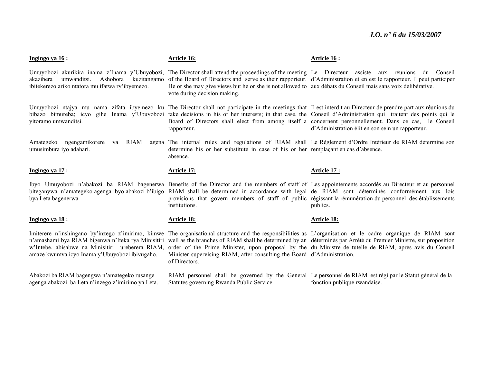| Ingingo ya 16 :                                                                                                                                          | Article 16:                                                                                                                                                                                                                                                                              | Article 16 :                                                                                                                                                                                                                                                                                                                                                                                                                                                                                     |
|----------------------------------------------------------------------------------------------------------------------------------------------------------|------------------------------------------------------------------------------------------------------------------------------------------------------------------------------------------------------------------------------------------------------------------------------------------|--------------------------------------------------------------------------------------------------------------------------------------------------------------------------------------------------------------------------------------------------------------------------------------------------------------------------------------------------------------------------------------------------------------------------------------------------------------------------------------------------|
| umwanditsi.<br>Ashobora<br>akazibera<br>kuzitangamo<br>ibitekerezo ariko ntatora mu ifatwa ry'ibyemezo.                                                  | Umuyobozi akurikira inama z'Inama y'Ubuyobozi, The Director shall attend the proceedings of the meeting Le Directeur assiste aux réunions<br>He or she may give views but he or she is not allowed to aux débats du Conseil mais sans voix délibérative.<br>vote during decision making. | du Conseil<br>of the Board of Directors and serve as their rapporteur. d'Administration et en est le rapporteur. Il peut participer                                                                                                                                                                                                                                                                                                                                                              |
| vitoramo umwanditsi.                                                                                                                                     | rapporteur.                                                                                                                                                                                                                                                                              | Umuyobozi ntajya mu nama zifata ibyemezo ku The Director shall not participate in the meetings that Il est interdit au Directeur de prendre part aux réunions du<br>bibazo bimureba; icyo gihe Inama y'Ubuyobozi take decisions in his or her interests; in that case, the Conseil d'Administration qui traitent des points qui le<br>Board of Directors shall elect from among itself a concernent personnellement. Dans ce cas, le Conseil<br>d'Administration élit en son sein un rapporteur. |
| Amategeko ngengamikorere<br>RIAM<br>va<br>umusimbura iyo adahari.                                                                                        | determine his or her substitute in case of his or her remplaçant en cas d'absence.<br>absence.                                                                                                                                                                                           | agena The internal rules and regulations of RIAM shall Le Règlement d'Ordre Intérieur de RIAM détermine son                                                                                                                                                                                                                                                                                                                                                                                      |
| Ingingo ya $17$ :                                                                                                                                        | <b>Article 17:</b>                                                                                                                                                                                                                                                                       | Article 17 :                                                                                                                                                                                                                                                                                                                                                                                                                                                                                     |
| biteganywa n'amategeko agenga ibyo abakozi b'ibigo<br>bya Leta bagenerwa.                                                                                | institutions.                                                                                                                                                                                                                                                                            | Ibyo Umuyobozi n'abakozi ba RIAM bagenerwa Benefits of the Director and the members of staff of Les appointements accordés au Directeur et au personnel<br>RIAM shall be determined in accordance with legal de RIAM sont déterminés conformément aux lois<br>provisions that govern members of staff of public régissant la rémunération du personnel des établissements<br>publics.                                                                                                            |
| Ingingo ya $18$ :                                                                                                                                        | <b>Article 18:</b>                                                                                                                                                                                                                                                                       | Article 18:                                                                                                                                                                                                                                                                                                                                                                                                                                                                                      |
| n'amashami bya RIAM bigenwa n'Iteka rya Minisitiri<br>w'Intebe, abisabwe na Minisitiri ureberera RIAM,<br>amaze kwumva icyo Inama y'Ubuyobozi ibivugaho. | Minister supervising RIAM, after consulting the Board d'Administration.<br>of Directors.                                                                                                                                                                                                 | Imiterere n'inshingano by'inzego z'imirimo, kimwe The organisational structure and the responsibilities as L'organisation et le cadre organique de RIAM sont<br>well as the branches of RIAM shall be determined by an déterminés par Arrêté du Premier Ministre, sur proposition<br>order of the Prime Minister, upon proposal by the du Ministre de tutelle de RIAM, après avis du Conseil                                                                                                     |

Abakozi ba RIAM bagengwa n'amategeko rusange agenga abakozi ba Leta n'inzego z'imirimo ya Leta. RIAM personnel shall be governed by the General Statutes governing Rwanda Public Service.

Le personnel de RIAM est régi par le Statut général de la fonction publique rwandaise.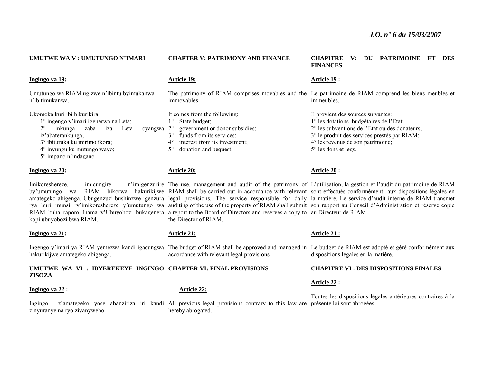| UMUTWE WA V : UMUTUNGO N'IMARI                                                        | <b>CHAPTER V: PATRIMONY AND FINANCE</b>                                                                                       | <b>PATRIMOINE</b><br><b>CHAPITRE</b><br>DU<br><b>DES</b><br>V:<br>ET<br><b>FINANCES</b>                                                                                                                                                                                                                                           |
|---------------------------------------------------------------------------------------|-------------------------------------------------------------------------------------------------------------------------------|-----------------------------------------------------------------------------------------------------------------------------------------------------------------------------------------------------------------------------------------------------------------------------------------------------------------------------------|
| Ingingo ya 19:                                                                        | Article 19:                                                                                                                   | <u>Article 19</u> :                                                                                                                                                                                                                                                                                                               |
| Umutungo wa RIAM ugizwe n'ibintu byimukanwa<br>n'ibitimukanwa.                        | immovables:                                                                                                                   | The patrimony of RIAM comprises movables and the Le patrimoine de RIAM comprend les biens meubles et<br>immeubles.                                                                                                                                                                                                                |
| Ukomoka kuri ibi bikurikira:                                                          | It comes from the following:                                                                                                  | Il provient des sources suivantes:                                                                                                                                                                                                                                                                                                |
| 1° ingengo y'imari igenerwa na Leta;<br>inkunga<br>zaba<br>$2^{\circ}$<br>iza<br>Leta | State budget;<br>government or donor subsidies;<br>$2^{\circ}$                                                                | 1° les dotations budgétaires de l'Etat;<br>2° les subventions de l'Etat ou des donateurs;                                                                                                                                                                                                                                         |
| cyangwa<br>iz'abaterankunga;                                                          | funds from its services;<br>$3^\circ$                                                                                         | 3° le produit des services prestés par RIAM;                                                                                                                                                                                                                                                                                      |
| 3° ibituruka ku mirimo ikora;                                                         | interest from its investment;<br>$4^{\circ}$                                                                                  | $4^{\circ}$ les revenus de son patrimoine;                                                                                                                                                                                                                                                                                        |
| 4° inyungu ku mutungo wayo;<br>5° impano n'indagano                                   | donation and bequest.<br>$5^\circ$                                                                                            | 5° les dons et legs.                                                                                                                                                                                                                                                                                                              |
| Ingingo ya 20:                                                                        | <b>Article 20:</b>                                                                                                            | <b>Article 20:</b>                                                                                                                                                                                                                                                                                                                |
| Imikoreshereze,<br>imicungire                                                         |                                                                                                                               | n'imigenzurire The use, management and audit of the patrimony of L'utilisation, la gestion et l'audit du patrimoine de RIAM                                                                                                                                                                                                       |
| by'umutungo wa                                                                        |                                                                                                                               | RIAM bikorwa hakurikijwe RIAM shall be carried out in accordance with relevant sont effectués conformément aux dispositions légales en                                                                                                                                                                                            |
|                                                                                       |                                                                                                                               | amategeko abigenga. Ubugenzuzi bushinzwe igenzura legal provisions. The service responsible for daily la matière. Le service d'audit interne de RIAM transmet<br>rya buri munsi ry'imikoreshereze y'umutungo wa auditing of the use of the property of RIAM shall submit son rapport au Conseil d'Administration et réserve copie |
|                                                                                       | RIAM buha raporo Inama y'Ubuyobozi bukagenera a report to the Board of Directors and reserves a copy to au Directeur de RIAM. |                                                                                                                                                                                                                                                                                                                                   |
| kopi ubuyobozi bwa RIAM.                                                              | the Director of RIAM.                                                                                                         |                                                                                                                                                                                                                                                                                                                                   |
|                                                                                       |                                                                                                                               |                                                                                                                                                                                                                                                                                                                                   |

**Ingingo ya 21:** 

hakurikijwe amategeko abigenga.

**UMUTWE WA VI : IBYEREKEYE INGINGO CHAPTER VI: FINAL PROVISIONS ZISOZA** 

#### **Ingingo ya 22 :**

zinyuranye na ryo zivanyweho.

## **Article 21:**

accordance with relevant legal provisions.

#### **Article 22:**

Ingingo z'amategeko yose abanziriza iri kandi All previous legal provisions contrary to this law are présente loi sont abrogées. hereby abrogated.

#### **Article 21 :**

Ingengo y'imari ya RIAM yemezwa kandi igacungwa The budget of RIAM shall be approved and managed in Le budget de RIAM est adopté et géré conformément aux dispositions légales en la matière.

#### **CHAPITRE VI : DES DISPOSITIONS FINALES**

#### **Article 22 :**

Toutes les dispositions légales antérieures contraires à la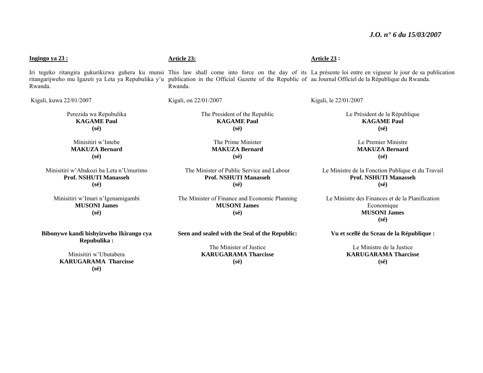#### Iri tegeko ritangira gukurikizwa guhera ku munsi This law shall come into force on the day of its La présente loi entre en vigueur le jour de sa publication ritangarijweho mu Igazeti ya Leta ya Repubulika y'u publication in the Official Gazette of the Republic of au Journal Officiel de la République du Rwanda. Rwanda. Kigali, kuwa 22/01/2007 Perezida wa Repubulika **KAGAME Paul (sé)**  Minisitiri w'Intebe **MAKUZA Bernard (sé)**  Minisitiri w'Abakozi ba Leta n'Umurimo **Prof. NSHUTI Manasseh(sé)**  Minisitiri w'Imari n'Igenamigambi **Article 23:** Rwanda. Kigali, on 22/01/2007 The President of the Republic **KAGAME Paul (sé)**  The Prime Minister **MAKUZA Bernard (sé)**  The Minister of Public Service and Labour **Prof. NSHUTI Manasseh (sé)**  The Minister of Finance and Economic Planning **Article 23 :**  Kigali, le 22/01/2007 Le Président de la République **KAGAME Paul (sé)**  Le Premier Ministre **MAKUZA Bernard (sé) Prof. NSHUTI Manasseh(sé)**

**MUSONI James(sé)** 

**Bibonywe kandi bishyizweho Ikirango cya Repubulika :** 

**Ingingo ya 23 :**

Minisitiri w'Ubutabera **KARUGARAMA Tharcisse (sé)** 

**Seen and sealed with the Seal of the Republic:** 

The Minister of Justice **KARUGARAMA Tharcisse (sé)** 

**Vu et scellé du Sceau de la République :** 

Le Ministre de la Justice **KARUGARAMA Tharcisse(sé)** 

**MUSONI James (sé)** 

Le Ministre de la Fonction Publique et du Travail

Le Ministre des Finances et de la Planification Economique **MUSONI James (sé)**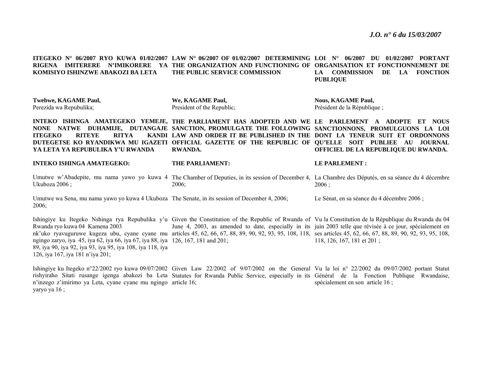**ITEGEKO N° 06/2007 RYO KUWA 01/02/2007 LAW N° 06/2007 OF 01/02/2007 DETERMINING LOI N° 06/2007 DU 01/02/2007 PORTANT RIGENA IMITERERE N'IMIKORERE YA THE ORGANIZATION AND FUNCTIONING OF ORGANISATION ET FONCTIONNEMENT DE KOMISIYO ISHINZWE ABAKOZI BA LETA THE PUBLIC SERVICE COMMISSION LA COMMISSION DE LA FONCTION PUBLIQUE** 

| <b>Twebwe, KAGAME Paul.</b> | We. KAGAME Paul.           | <b>Nous, KAGAME Paul.</b>    |
|-----------------------------|----------------------------|------------------------------|
| Perezida wa Repubulika:     | President of the Republic: | Président de la République : |

INTEKO ISHINGA AMATEGEKO YEMEJE, THE PARLIAMENT HAS ADOPTED AND WE LE PARLEMENT A ADOPTE ET NOUS **NONE NATWE DUHAMIJE, DUTANGAJE SANCTION, PROMULGATE THE FOLLOWING SANCTIONNONS, PROMULGUONS LA LOI ITEGEKO RITEYE RITYA DUTEGETSE KO RYANDIKWA MU IGAZETI OFFICIAL GAZETTE OF THE REPUBLIC OF QU'ELLE SOIT PUBLIEE AU JOURNAL YA LETA YA REPUBULIKA Y'U RWANDALAW AND ORDER IT BE PUBLISHED IN THE DONT LA TENEUR SUIT ET ORDONNONS RWANDA. OFFICIEL DE LA REPUBLIQUE DU RWANDA.** 

**INTEKO ISHINGA AMATEGEKO:**  Umutwe w'Abadepite, mu nama yawo yo kuwa 4 The Chamber of Deputies, in its session of December 4, La Chambre des Députés, en sa séance du 4 décembre **THE PARLIAMENT: LE PARLEMENT :** 

2006;

Umutwe wa Sena, mu nama yawo yo kuwa 4 Ukuboza The Senate, in its session of December 4, 2006; Le Sénat, en sa séance du 4 décembre 2006 ;

 $2006:$ 

Ishingiye ku Itegeko Nshinga rya Repubulika y'u Given the Constitution of the Republic of Rwanda of Vu la Constitution de la République du Rwanda du 04 Rwanda ryo kuwa 04 Kamena 2003 nk'uko ryavuguruwe kugeza ubu, cyane cyane mu articles 45, 62, 66, 67, 88, 89, 90, 92, 93, 95, 108, 118, ses articles 45, 62, 66, 67, 88, 89, 90, 92, 93, 95, 108, ngingo zaryo, iya 45, iya 62, iya 66, iya 67, iya 88, iya 126, 167, 181 and 201; 89, iya 90, iya 92, iya 93, iya 95, iya 108, iya 118, iya June 4, 2003, as amended to date, especially in its juin 2003 telle que révisée à ce jour, spécialement en 118, 126, 167, 181 et 201 ;

126, iya 167, iya 181 n'iya 201;

Ukuboza 2006 ;

2006;

Ishingiye ku Itegeko n°22/2002 ryo kuwa 09/07/2002 Given Law 22/2002 of 9/07/2002 on the General Vu la loi n° 22/2002 du 09/07/2002 portant Statut rishyiraho Sitati rusange igenga abakozi ba Leta Statutes for Rwanda Public Service, especially in its Général de la Fonction Publique Rwandaise, <sup>n</sup>'inzego z'imirimo ya Leta, cyane cyane mu ngingo article 16; yaryo ya 16 ; spécialement en son article 16 ;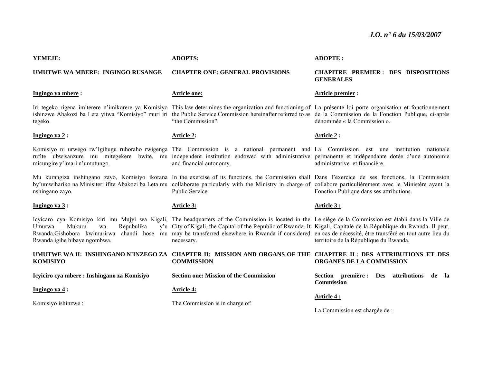#### **YEMEJE:**

#### **UMUTWE WA MBERE: INGINGO RUSANGE**

#### **Ingingo ya mbere :**

tegeko.

#### **Ingingo ya 2 :**

micungire y'imari n'umutungo.

nshingano zayo.

#### **Ingingo ya 3 :**

**Ingingo ya 4 :** 

Komisiyo ishinzwe :

Umurwa Mukuru wa Repubulika Rwanda igihe bibaye ngombwa.

**Icyiciro cya mbere : Inshingano za Komisiyo** 

#### **ADOPTS:**

**CHAPTER ONE: GENERAL PROVISIONS** 

#### **Article one:**

Iri tegeko rigena imiterere n'imikorere ya Komisiyo This law determines the organization and functioning of La présente loi porte organisation et fonctionnement ishinzwe Abakozi ba Leta yitwa "Komisiyo" muri iri the Public Service Commission hereinafter referred to as de la Commission de la Fonction Publique, ci-après "the Commission".

#### **Article 2:**

**Article 3:**

Komisiyo ni urwego rw'Igihugu ruhoraho rwigenga The Commission is a national permanent and La Commission est une institution nationale rufite ubwisanzure mu mitegekere bwite, mu independent institution endowed with administrative permanente et indépendante dotée d'une autonomie and financial autonomy.

Mu kurangiza inshingano zayo, Komisiyo ikorana In the exercise of its functions, the Commission shall Dans l'exercice de ses fonctions, la Commission by'umwihariko na Minisiteri ifite Abakozi ba Leta mu collaborate particularly with the Ministry in charge of collabore particulièrement avec le Ministère ayant la Public Service.

Icyicaro cya Komisiyo kiri mu Mujyi wa Kigali, The headquarters of the Commission is located in the Le siège de la Commission est établi dans la Ville de Rwanda.Gishobora kwimurirwa ahandi hose mu may be transferred elsewhere in Rwanda if considered en cas de nécessité, être transféré en tout autre lieu du City of Kigali, the Capital of the Republic of Rwanda. It Kigali, Capitale de la République du Rwanda. Il peut, necessary.

#### **UMUTWE WA II: INSHINGANO N'INZEGO ZA CHAPTER II: MISSION AND ORGANS OF THE CHAPITRE II : DES ATTRIBUTIONS ET DES KOMISIYO COMMISSION ORGANES DE LA COMMISSION**

**Section one: Mission of the Commission** 

#### **Article 4:**

The Commission is in charge of:

#### **ADOPTE :**

#### **CHAPITRE PREMIER : DES DISPOSITIONS GENERALES**

#### **Article premier :**

dénommée « la Commission ».

#### **Article 2 :**

administrative et financière.

Fonction Publique dans ses attributions.

#### **Article 3 :**

territoire de la République du Rwanda.

**Section première : Des attributions de la** 

**Commission** 

#### **Article 4 :**

La Commission est chargée de :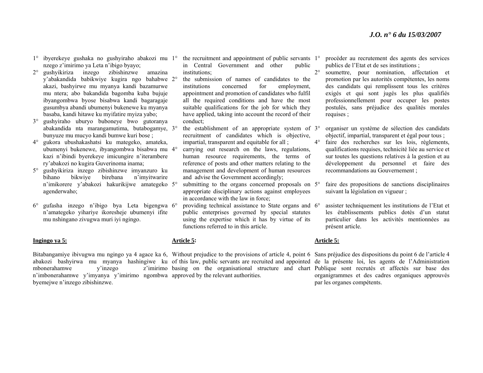- 1° ibyerekeye gushaka no gushyiraho abakozi mu 1° the recruitment and appointment of public servants 1°nzego z'imirimo ya Leta n'ibigo byayo;
- 2° gushyikiriza inzego zibishinzwe amazina y'abakandida babikwiye kugira ngo bahabwe 2°akazi, bashyirwe mu myanya kandi bazamurwe mu ntera; abo bakandida bagomba kuba bujuje ibyangombwa byose bisabwa kandi bagaragaje gusumbya abandi ubumenyi bukenewe ku myanya basaba, kandi hitawe ku myifatire myiza yabo;
- $3^\circ$  gushyiraho uburyo buboneye bwo gutoranya abakandida nta marangamutima, butabogamye, 3°bunyuze mu mucyo kandi bumwe kuri bose ;
- $4^\circ$  gukora ubushakashatsi ku mategeko, amateka, ubumenyi bukenewe, ibyangombwa bisabwa mu 4°kazi n'ibindi byerekeye imicungire n'iterambere ry'abakozi no kugira Guverinoma inama;
- 5° gushyikiriza inzego zibishinzwe imyanzuro ku bihano bikwiye birebana n'imyitwarire <sup>n</sup>'imikorere y'abakozi hakurikijwe amategeko 5°agenderwaho;
- $6^{\circ}$  gufasha inzego n'ibigo bya Leta bigengwa 6°<sup>n</sup>'amategeko yihariye ikoresheje ubumenyi ifite mu nshingano zivugwa muri iyi ngingo.

#### **Ingingo ya 5:**

mbonerahamwe v'inzego <sup>n</sup>'imbonerahamwe y'imyanya y'imirimo ngombwa approved by the relevant authorities. byemejwe n'inzego zibishinzwe.

- in Central Government and other public institutions;
- the submission of names of candidates to the institutions concerned for employment, appointment and promotion of candidates who fulfil all the required conditions and have the most suitable qualifications for the job for which they have applied, taking into account the record of their conduct;
- $\degree$  the establishment of an appropriate system of 3 $\degree$ recruitment of candidates which is objective, impartial, transparent and equitable for all :
- carrying out research on the laws, regulations, human resource requirements, the terms of reference of posts and other matters relating to the management and development of human resources and advise the Government accordingly;
- <sup>o</sup> submitting to the organs concerned proposals on 5<sup>o</sup> appropriate disciplinary actions against employees in accordance with the law in force;
- <sup>o</sup> providing technical assistance to State organs and 6<sup>o</sup> public enterprises governed by special statutes using the expertise which it has by virtue of its functions referred to in this article.

#### **Article 5:**

Bitabangamiye ibivugwa mu ngingo ya 4 agace ka 6, Without prejudice to the provisions of article 4, point 6 Sans préjudice des dispositions du point 6 de l'article 4 abakozi bashyirwa mu myanya hashingiwe ku of this law, public servants are recruited and appointed de la présente loi, les agents de l'Administration basing on the organisational structure and chart Publique sont recrutés et affectés sur base des

- procéder au recrutement des agents des services publics de l'Etat et de ses institutions ;
- $2^{\circ}$  soumettre, pour nomination, affectation et promotion par les autorités compétentes, les noms des candidats qui remplissent tous les critères exigés et qui sont jugés les plus qualifiés professionnellement pour occuper les postes postulés, sans préjudice des qualités morales requises ;
- organiser un système de sélection des candidats objectif, impartial, transparent et égal pour tous ;
- $4^\circ$  faire des recherches sur les lois, règlements, qualifications requises, technicité liée au service et sur toutes les questions relatives à la gestion et au développement du personnel et faire des recommandations au Gouvernement ;
- faire des propositions de sanctions disciplinaires suivant la législation en vigueur ;
- assister techniquement les institutions de l'Etat et les établissements publics dotés d'un statut particulier dans les activités mentionnées au présent article.

#### **Article 5:**

organigrammes et des cadres organiques approuvés par les organes compétents.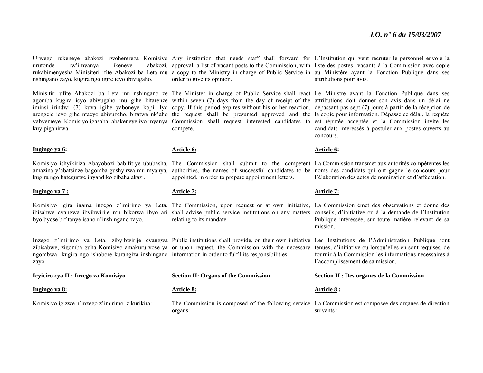urutonde rw'imyanya ikeneye nshingano zayo, kugira ngo igire icyo ibivugaho.

kuyipiganirwa.

#### **Ingingo ya 6:**

amazina y'abatsinze bagomba gushyirwa mu myanya, kugira ngo hategurwe inyandiko zibaha akazi.

#### **Ingingo ya 7 :**

byo byose bifitanye isano n'inshingano zayo.

Inzego z'imirimo ya Leta, zibyibwirije cyangwa Publicinstitutions shall provide, on their own initiative Les Institutions de l'Administration Publique sont zibisabwe, zigomba guha Komisiyo amakuru yose ya or upon request, the Commission with the necessary ngombwa kugira ngo ishobore kurangiza inshingano information in order to fulfil its responsibilities. zayo.

#### **Icyiciro cya II : Inzego za Komisiyo**

#### **Ingingo ya 8:**

Komisiyo igizwe n'inzego z'imirimo zikurikira:

Urwego rukeneye abakozi rwoherereza Komisiyo Any institution that needs staff shall forward for L'Institution qui veut recruter le personnel envoie la rukabimenyesha Minisiteri ifite Abakozi ba Leta mu a copy to the Ministry in charge of Public Service in au Ministère ayant la Fonction Publique dans ses order to give its opinion.

Minisitiri ufite Abakozi ba Leta mu nshingano ze The Minister in charge of Public Service shall react Le Ministre ayant la Fonction Publique dans ses agomba kugira icyo abivugaho mu gihe kitarenze within seven (7) days from the day of receipt of the attributions doit donner son avis dans un délai ne iminsi irindwi (7) kuva igihe yaboneye kopi. Iyo copy. If this period expires without his or her reaction, dépassant pas sept (7) jours à partir de la réception de arengeje icyo gihe ntacyo abivuzeho, bifatwa nk'aho the request shall be presumed approved and the la copie pour information. Dépassé ce délai, la requête yabyemeye Komisiyo igasaba abakeneye iyo myanya Commission shall request interested candidates to est réputée acceptée et la Commission invite les compete.

#### **Article 6:**

Komisiyo ishyikiriza Abayobozi babifitiye ububasha, The Commission shall submit to the competent La Commission transmet aux autorités compétentes les authorities, the names of successful candidates to be noms des candidats qui ont gagné le concours pour appointed, in order to prepare appointment letters.

#### **Article 7:**

Komisiyo igira inama inzego z'imirimo ya Leta, The Commission, upon request or at own initiative, La Commission émet des observations et donne des ibisabwe cyangwa ibyibwirije mu bikorwa ibyo ari shall advise public service institutions on any matters conseils, d'initiative ou à la demande de l'Institution relating to its mandate.

#### **Section II: Organs of the Commission**

#### **Article 8:**

organs:

approval, a list of vacant posts to the Commission, with liste des postes vacants à la Commission avec copie attributions pour avis.

> candidats intéressés à postuler aux postes ouverts au concours.

#### **Article 6:**

l'élaboration des actes de nomination et d'affectation.

#### **Article 7:**

Publique intéressée, sur toute matière relevant de sa mission.

tenues, d'initiative ou lorsqu'elles en sont requises, de fournir à la Commission les informations nécessaires à l'accomplissement de sa mission.

#### **Section II : Des organes de la Commission**

#### **Article 8 :**

The Commission is composed of the following service La Commission est composée des organes de direction suivants :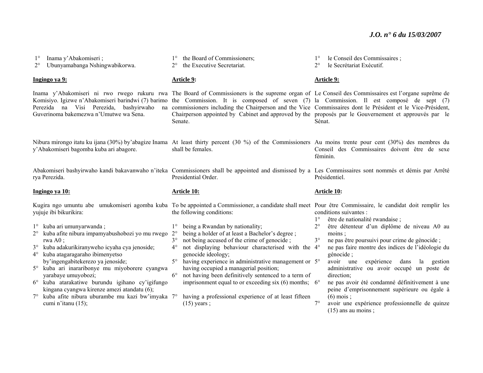| Inama y'Abakomiseri;<br>Ubunyamabanga Nshingwabikorwa.<br>$2^{\circ}$                                                                                                                                                                                                                                                                                                                                                  | the Board of Commissioners;<br>the Executive Secretariat.                                                                                                                                                                                                                                                                                                                                                                                                                                                                      | le Conseil des Commissaires;<br>$1^{\circ}$<br>le Secrétariat Exécutif.<br>$2^{\circ}$                                                                                                                                                                                                                                                                               |
|------------------------------------------------------------------------------------------------------------------------------------------------------------------------------------------------------------------------------------------------------------------------------------------------------------------------------------------------------------------------------------------------------------------------|--------------------------------------------------------------------------------------------------------------------------------------------------------------------------------------------------------------------------------------------------------------------------------------------------------------------------------------------------------------------------------------------------------------------------------------------------------------------------------------------------------------------------------|----------------------------------------------------------------------------------------------------------------------------------------------------------------------------------------------------------------------------------------------------------------------------------------------------------------------------------------------------------------------|
| Ingingo ya 9:                                                                                                                                                                                                                                                                                                                                                                                                          | Article 9:                                                                                                                                                                                                                                                                                                                                                                                                                                                                                                                     | Article 9:                                                                                                                                                                                                                                                                                                                                                           |
| Komisiyo. Igizwe n'Abakomiseri barindwi (7) barimo<br>Perezida na Visi Perezida, bashyirwaho<br>na<br>Guverinoma bakemezwa n'Umutwe wa Sena.                                                                                                                                                                                                                                                                           | Inama y'Abakomiseri ni rwo rwego rukuru rwa The Board of Commissioners is the supreme organ of Le Conseil des Commissaires est l'organe suprême de<br>the Commission. It is composed of seven (7) la Commission. Il est composé de sept (7)<br>commissioners including the Chairperson and the Vice Commissaires dont le Président et le Vice-Président,<br>Chairperson appointed by Cabinet and approved by the proposés par le Gouvernement et approuvés par le<br>Senate.                                                   | Sénat.                                                                                                                                                                                                                                                                                                                                                               |
| y'Abakomiseri bagomba kuba ari abagore.                                                                                                                                                                                                                                                                                                                                                                                | Nibura mirongo itatu ku ijana (30%) by abagize Inama At least thirty percent (30 %) of the Commissioners Au moins trente pour cent (30%) des membres du<br>shall be females.                                                                                                                                                                                                                                                                                                                                                   | Conseil des Commissaires doivent être de sexe<br>féminin.                                                                                                                                                                                                                                                                                                            |
| rya Perezida.                                                                                                                                                                                                                                                                                                                                                                                                          | Abakomiseri bashyirwaho kandi bakavanwaho n'iteka Commissioners shall be appointed and dismissed by a Les Commissaires sont nommés et démis par Arrêté<br>Presidential Order.                                                                                                                                                                                                                                                                                                                                                  | Présidentiel.                                                                                                                                                                                                                                                                                                                                                        |
| Ingingo ya 10:                                                                                                                                                                                                                                                                                                                                                                                                         | <b>Article 10:</b>                                                                                                                                                                                                                                                                                                                                                                                                                                                                                                             | Article 10:                                                                                                                                                                                                                                                                                                                                                          |
| yujuje ibi bikurikira:                                                                                                                                                                                                                                                                                                                                                                                                 | Kugira ngo umuntu abe umukomiseri agomba kuba To be appointed a Commissioner, a candidate shall meet Pour être Commissaire, le candidat doit remplir les<br>the following conditions:                                                                                                                                                                                                                                                                                                                                          | conditions suivantes :<br>être de nationalité rwandaise ;<br>$1^{\circ}$                                                                                                                                                                                                                                                                                             |
| 1° kuba ari umunyarwanda;<br>kuba afite nibura impamyabushobozi yo mu rwego<br>rwa $A0$ ;<br>kuba adakurikiranyweho icyaha cya jenoside;<br>$3^\circ$<br>kuba atagaragaraho ibimenyetso<br>$4^{\circ}$<br>by'ingengabitekerezo ya jenoside;<br>5° kuba ari inararibonye mu miyoborere cyangwa<br>yarabaye umuyobozi;<br>6° kuba atarakatiwe burundu igihano cy'igifungo<br>kingana cyangwa kirenze amezi atandatu (6); | being a Rwandan by nationality;<br>$1^{\circ}$<br>being a holder of at least a Bachelor's degree;<br>$2^{\circ}$<br>not being accused of the crime of genocide;<br>$3^{\circ}$<br>not displaying behaviour characterised with the 4°<br>$4^\circ$<br>genocide ideology;<br>having experience in administrative management or 5°<br>$5^\circ$<br>having occupied a managerial position;<br>$6^{\circ}$<br>not having been definitively sentenced to a term of<br>imprisonment equal to or exceeding six (6) months; $6^{\circ}$ | $2^{\circ}$<br>être détenteur d'un diplôme de niveau A0 au<br>moins;<br>$3^\circ$<br>ne pas être poursuivi pour crime de génocide ;<br>ne pas faire montre des indices de l'idéologie du<br>génocide;<br>expérience<br>dans<br>avoir une<br>la gestion<br>administrative ou avoir occupé un poste de<br>direction;<br>ne pas avoir été condamné définitivement à une |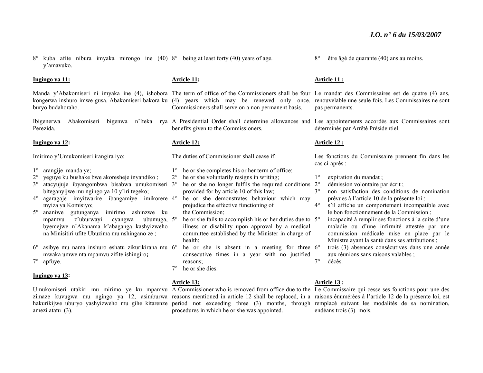8° kuba afite nibura imyaka mirongo ine (40) 8° being at least forty (40) years of age. y'amavuko.

#### **Ingingo ya 11:**

buryo budahoraho.

Perezida.

#### **Ingingo ya 12:**

Imirimo y'Umukomiseri irangira iyo:

- 1° arangije manda ye;
- 2° yeguye ku bushake bwe akoresheje inyandiko ;
- 3° atacyujuje ibyangombwa bisabwa umukomiseri 3° he or she no longer fulfils the required conditions biteganyijwe mu ngingo ya 10 y'iri tegeko;
- 4° agaragaje imyitwarire ibangamiye imikorere 4°myiza ya Komisiyo;
- 5° ananiwe gutunganya imirimo ashinzwe ku mpamvu z'uburwayi cyangwa byemejwe n'Akanama k'abaganga kashyizweho na Minisitiri ufite Ubuzima mu nshingano ze ; ubumuga, 5°
- $6^{\circ}$  $\degree$  asibye mu nama inshuro eshatu zikurikirana mu 6 $\degree$ mwaka umwe nta mpamvu zifite ishingiro**;**  7° apfuye.

#### **Ingingo ya 13:**

amezi atatu (3).

#### **Article 11:**

Manda y'Abakomiseri ni imyaka ine (4), ishobora The term of office of the Commissioners shall be four Le mandat des Commissaires est de quatre (4) ans, kongerwa inshuro imwe gusa. Abakomiseri bakora ku (4) years which may be renewed only once. renouvelable une seule fois. Les Commissaires ne sont Commissioners shall serve on a non permanent basis.

Ibigenerwa Abakomiseri bigenwa n'Iteka rya A Presidential Order shall determine allowances and Les appointements accordés aux Commissaires sont benefits given to the Commissioners.

#### **Article 12:**

The duties of Commissioner shall cease if:

- 1° he or she completes his or her term of office;
- 2° he or she voluntarily resigns in writing;
	- provided for by article 10 of this law;
	- he or she demonstrates behaviour which may prejudice the effective functioning of the Commission;
- <sup>o</sup> he or she fails to accomplish his or her duties due to 5<sup>o</sup> illness or disability upon approval by a medical committee established by the Minister in charge of health;
- <sup>o</sup> he or she is absent in a meeting for three 6<sup>o</sup> consecutive times in a year with no justified reasons;  $7^\circ$
- 7° he or she dies.

#### **Article 13:**

Umukomiseri utakiri mu mirimo ye ku mpamvu A Commissioner who is removed from office due to the Le Commissaire qui cesse ses fonctions pour une des zimaze kuvugwa mu ngingo ya 12, asimburwa reasons-mentioned in article 12 shall be replaced, in a raisons énumérées à l'article 12 de la présente loi, est hakurikijwe uburyo yashyizweho mu gihe kitarenze period not exceeding three (3) months, through remplacé suivant les modalités de sa nomination, procedures in which he or she was appointed.

 $8^\circ$ être âgé de quarante (40) ans au moins.

#### **Article 11 :**

pas permanents.

déterminés par Arrêté Présidentiel.

#### **Article 12 :**

Les fonctions du Commissaire prennent fin dans les cas ci-après :

- $1^{\circ}$ expiration du mandat ;
- 2°démission volontaire par écrit ;
- $3^{\circ}$  non satisfaction des conditions de nomination prévues à l'article 10 de la présente loi ;
- $4^\circ$  <sup>s</sup>'il affiche un comportement incompatible avec le bon fonctionnement de la Commission ;
	- incapacité à remplir ses fonctions à la suite d'une maladie ou d'une infirmité attestée par une commission médicale mise en place par le Ministre ayant la santé dans ses attributions ;
	- trois (3) absences consécutives dans une année aux réunions sans raisons valables ;
- décès.

#### **Article 13 :**

endéans trois (3) mois.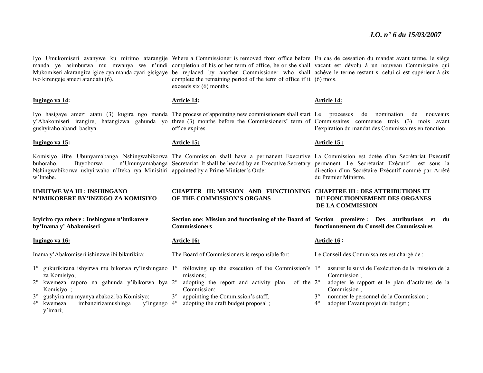iyo kirengeje amezi atandatu (6).

# gushyiraho abandi bashya.

#### **Ingingo ya 15:**

**Ingingo ya 14:** 

Nshingwabikorwa ushyirwaho n'Iteka rya Minisitiri appointed by a Prime Minister's Order. w'Intebe.

**UMUTWE WA III : INSHINGANO N'IMIKORERE BY'INZEGO ZA KOMISIYO** 

**Icyiciro cya mbere : Inshingano n'imikorere** 

# **Ingingo ya 16:**

**by'Inama y' Abakomiseri** 

Inama y'Abakomiseri ishinzwe ibi bikurikira:

- za Komisiyo;
- 2° kwemeza raporo na gahunda y'ibikorwa bya 2°Komisiyo ;
- 3° gushyira mu myanya abakozi ba Komisiyo;
- 4° kwemeza imbanzirizamushinga y'imari; y'ingengo 4°

Iyo Umukomiseri avanywe ku mirimo atarangije Where a Commissioner is removed from office before En cas de cessation du mandat avant terme, le siège manda ye asimburwa mu mwanya we n'undi completion of his or her term of office, he or she shall vacant est dévolu à un nouveau Commissaire qui Mukomiseri akarangiza igice cya manda cyari gisigaye be replaced by another Commissioner who shall achève le terme restant si celui-ci est supérieur à six complete the remaining period of the term of office if it (6) mois. exceeds six (6) months.

#### **Article 14:**

Iyo hasigaye amezi atatu (3) kugira ngo manda The process of appointing new commissioners shall start Le processus de nomination de nouveaux y'Abakomiseri irangire, hatangizwa gahunda yo three (3) months before the Commissioners' term of Commissaires commence trois (3) mois avant office expires.

#### **Article 15:**

Komisiyo ifite Ubunyamabanga Nshingwabikorwa The Commission shall have a permanent Executive La Commission est dotée d'un Secrétariat Exécutif buhoraho. Buyoborwa n'Umunyamabanga Secretariat. It shall be headed by an Executive Secretary permanent. Le Secrétariat Exécutif est sous la

> **CHAPTER III: MISSION AND FUNCTIONING CHAPITRE III : DES ATTRIBUTIONS ET OF THE COMMISSION'S ORGANS**

**Section one: Mission and functioning of the Board of Section première : Des attributions et du Commissioners** 

#### **Article 16:**

The Board of Commissioners is responsible for:

- 1° gukurikirana ishyirwa mu bikorwa ry'inshingano 1° following up the execution of the Commission's 1°missions;
	- <sup>o</sup> adopting the report and activity plan of the 2<sup>o</sup> Commission;
	- 3°appointing the Commission's staff;
	- adopting the draft budget proposal ;

#### **Article 14:**

l'expiration du mandat des Commissaires en fonction.

#### **Article 15 :**

direction d'un Secrétaire Exécutif nommé par Arrêté du Premier Ministre.

## **DU FONCTIONNEMENT DES ORGANES DE LA COMMISSION**

**fonctionnement du Conseil des Commissaires** 

#### **Article 16 :**

- Le Conseil des Commissaires est chargé de :
	- assurer le suivi de l'exécution de la mission de la Commission ;
- adopter le rapport et le plan d'activités de la Commission ;
- $3^\circ$ nommer le personnel de la Commission ;
- $4^\circ$ adopter l'avant projet du budget ;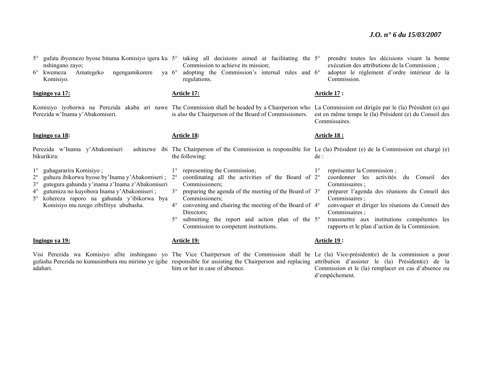- 5° gufata ibyemezo byose bituma Komisiyo igera ku 5° taking all decisions aimed at facilitating the 5°nshingano zayo;
- 6° kwemeza Amategeko ngengamikorere Komisiyo.

#### **Ingingo ya 17:**

Perezida w'Inama y'Abakomiseri.

#### **Ingingo ya 18:**

Perezida w'Inama y'Abakomiseri bikurikira:

- 1°guhagararira Komisiyo ;
- $2^{\circ}$ guhuza ibikorwa byose by'Inama y'Abakomiseri ;
- $3^\circ$ gutegura gahunda y'inama z'Inama z'Abakomiseri
- 4° gutumiza no kuyobora Inama y'Abakomiseri ;
- 5° kohereza raporo na gahunda y'ibikorwa bya Komisiyo mu nzego zibifitiye ububasha.

#### **Ingingo ya 19:**

adahari.

- Commission to achieve its mission;
- 6° adopting the Commission's internal rules and 6°regulations.

#### **Article 17:**

Komisiyo iyoborwa na Perezida akaba ari nawe The Commission shall be headed by a Chairperson who La Commission est dirigée par le (la) Président (e) qui is also the Chairperson of the Board of Commissioners.

#### **Article 18:**

- The Chairperson of the Commission is responsible for Le (la) Président (e) de la Commission est chargé (e) the following: de :
- 1° representing the Commission;
- $2^{\circ}$ <sup>o</sup> coordinating all the activities of the Board of 2<sup>o</sup> Commissioners;
- 3° preparing the agenda of the meeting of the Board of 3°Commissioners;
- 4° convening and chairing the meeting of the Board of 4°Directors;
- $5^\circ$ <sup>o</sup> submitting the report and action plan of the 5<sup>o</sup> Commission to competent institutions.

#### **Article 19:**

Visi Perezida wa Komisiyo afite inshingano yo The Vice Chairperson of the Commission shall be Le (la) Vice-président(e) de la commission a pour gufasha Perezida no kumusimbura mu mirimo ye igihe responsible for assisting the Chairperson and replacing attribution d'assister le (la) Président(e) de la him or her in case of absence.

- prendre toutes les décisions visant la bonne exécution des attributions de la Commission ;
- adopter le règlement d'ordre intérieur de la Commission.

#### **Article 17 :**

est en même temps le (la) Président (e) du Conseil des Commissaires.

#### **Article 18 :**

- - 1°représenter la Commission ;
	- coordonner les activités du Conseil des Commissaires ;
	- préparer l'agenda des réunions du Conseil des Commissaires ;
	- convoquer et diriger les réunions du Conseil des Commissaires ;
	- transmettre aux institutions compétentes les rapports et le plan d'action de la Commission.

#### **Article 19 :**

Commission et le (la) remplacer en cas d'absence ou d'empêchement.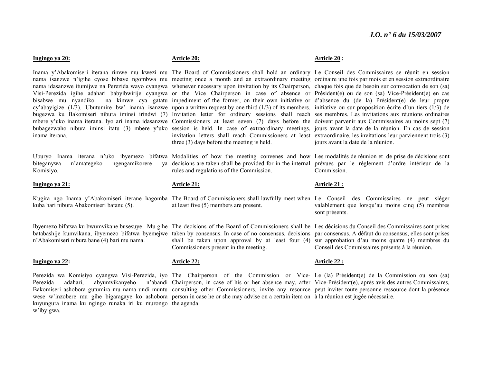#### **Ingingo ya 20:**

bisabwe mu nyandiko na kimwe cya gatatu impediment of the former, on their own initiative or d'absence du (de la) Président(e) de leur propre bugezwa ku Bakomiseri nibura iminsi irindwi (7) Invitation letter for ordinary sessions shall reach ses-membres. Les invitations aux réunions ordinaires bubagezwaho nibura iminsi itatu (3) mbere y'uko session is held. In case of extraordinary meetings, jours avant la date de la réunion. En cas de session inama iterana.

biteganywa n'amategeko ngengamikorere Komisiyo.

#### **Ingingo ya 21:**

kuba hari nibura Abakomiseri batanu (5).

<sup>n</sup>'Abakomiseri nibura bane (4) bari mu nama.

#### **Ingingo ya 22:**

kuyungura inama ku ngingo runaka iri ku murongo the agenda. <sup>w</sup>'ibyigwa.

#### **Article 20:**

Inama y'Abakomiseri iterana rimwe mu kwezi mu The Board of Commissioners shall hold an ordinary Le Conseil des Commissaires se réunit en session nama isanzwe n'igihe cyose bibaye ngombwa mu meeting once a month and an extraordinary meeting ordinaire une fois par mois et en session extraordinaire nama idasanzwe itumijwe na Perezida wayo cyangwa whenever necessary upon invitation by its Chairperson, chaque fois que de besoin sur convocation de son (sa) Visi-Perezida igihe adahari babyibwirije cyangwa or the Vice Chairperson in case of absence or Président(e) ou de son (sa) Vice-Président(e) en cas cy'abayigize (1/3). Ubutumire bw' inama isanzwe upon a written request by one third (1/3) of its members. initiative ou sur proposition écrite d'un tiers (1/3) de mbere y'uko inama iterana. Iyo ari inama idasanzwe Commissioners at least seven (7) days before the doivent parvenir aux Commissaires au moins sept (7) invitation letters shall reach Commissioners at least extraordinaire, les invitations leur parviennent trois (3) three (3) days before the meeting is held.

Uburyo Inama iterana n'uko ibyemezo bifatwa Modalities of how the meeting convenes and how Les modalités de réunion et de prise de décisions sont decisions are taken shall be provided for in the internal prévues par le règlement d'ordre intérieur de la rules and regulations of the Commission.

#### **Article 21:**

Kugira ngo Inama y'Abakomiseri iterane hagomba The Board of Commissioners shall lawfully meet when Le Conseil des Commissaires ne peut siéger at least five (5) members are present.

Ibyemezo bifatwa ku bwumvikane busesuye. Mu gihe The decisions of the Board of Commissioners shall be Les décisions du Conseil des Commissaires sont prises batabashije kumvikana, ibyemezo bifatwa byemejwe taken by consensus. In case of no consensus, decisions par consensus. A défaut du consensus, elles sont prises shall be taken upon approval by at least four (4) sur approbation d'au moins quatre (4) membres du Commissioners present in the meeting.

#### **Article 22:**

Perezida wa Komisiyo cyangwa Visi-Perezida, iyo The Chairperson of the Commission or Vice-Le (la) Président(e) de la Commission ou son (sa) Perezida adahari, abyumvikanyeho n'abandi Chairperson, in case of his or her absence may, after Vice-Président(e), après avis des autres Commissaires, Bakomiseri ashobora gutumira mu nama undi muntu consulting other Commissioners, invite any resource peut inviter toute personne ressource dont la présence wese w'inzobere mu gihe bigaragaye ko ashobora person in case he or she may advise on a certain item on à la réunion est jugée nécessaire.

#### **Article 20 :**

jours avant la date de la réunion.

Commission.

#### **Article 21 :**

valablement que lorsqu'au moins cinq (5) membres sont présents.

Conseil des Commissaires présents à la réunion.

#### **Article 22 :**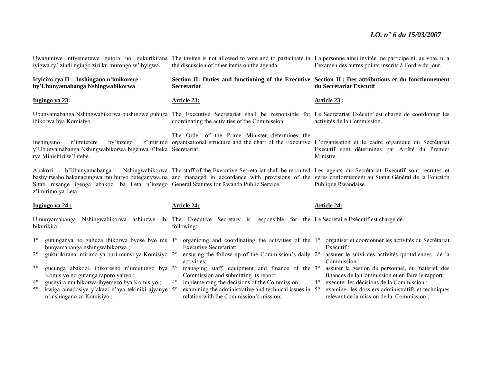| iyigwa ry'izindi ngingo ziri ku murongo w'ibyigwa.                                                                                                                                                                                          | Uwatumiwe ntiyemerewe gutora no gukurikirana The invitee is not allowed to vote and to participate in La personne ainsi invitée ne participe ni au vote, ni à<br>the discussion of other items on the agenda.                                                                         | l'examen des autres points inscrits à l'ordre du jour.                                                                                                                                                          |  |
|---------------------------------------------------------------------------------------------------------------------------------------------------------------------------------------------------------------------------------------------|---------------------------------------------------------------------------------------------------------------------------------------------------------------------------------------------------------------------------------------------------------------------------------------|-----------------------------------------------------------------------------------------------------------------------------------------------------------------------------------------------------------------|--|
| Icyiciro cya II : Inshingano n'imikorere<br>by'Ubunyamabanga Nshingwabikorwa                                                                                                                                                                | Section II: Duties and functioning of the Executive Section II : Des attributions et du fonctionnement<br><b>Secretariat</b>                                                                                                                                                          | du Secrétariat Exécutif                                                                                                                                                                                         |  |
| Ingingo ya 23:                                                                                                                                                                                                                              | Article 23:                                                                                                                                                                                                                                                                           | Article 23 :                                                                                                                                                                                                    |  |
| ibikorwa bya Komisiyo.                                                                                                                                                                                                                      | Ubunyamabanga Nshingwabikorwa bushinzwe guhuza The Executive Secretariat shall be responsible for Le Secrétariat Exécutif est chargé de coordonner les<br>coordinating the activities of the Commission.                                                                              | activités de la Commission.                                                                                                                                                                                     |  |
| Inshingano<br>n'imiterere<br>by inzego<br>y'Ubunyamabanga Nshingwabikorwa bigenwa n'Iteka Secretariat.<br>rya Minisitiri w'Intebe.                                                                                                          | The Order of the Prime Minister determines the<br>z'imirimo organisational structure and the chart of the Executive L'organisation et le cadre organique du Secrétariat                                                                                                               | Exécutif sont déterminés par Arrêté du Premier<br>Ministre.                                                                                                                                                     |  |
| Abakozi<br>b'Ubunyamabanga<br>Sitati rusange igenga abakozi ba Leta n'inzego General Statutes for Rwanda Public Service.<br>z'imirimo ya Leta.                                                                                              | Nshingwabikorwa The staff of the Executive Secretariat shall be recruited Les agents du Secrétariat Exécutif sont recrutés et<br>bashyirwaho bakanacungwa mu buryo buteganywa na and managed in accordance with provisions of the gérés conformément au Statut Général de la Fonction | Publique Rwandaise.                                                                                                                                                                                             |  |
| Ingingo ya 24 :                                                                                                                                                                                                                             | <b>Article 24:</b>                                                                                                                                                                                                                                                                    | <b>Article 24:</b>                                                                                                                                                                                              |  |
| Umunyamabanga<br>bikurikira:                                                                                                                                                                                                                | Nshingwabikorwa ashinzwe ibi The Executive Secretary is responsible for the Le Secrétaire Exécutif est chargé de :<br>following:                                                                                                                                                      |                                                                                                                                                                                                                 |  |
| $1^{\circ}$<br>gutunganya no guhuza ibikorwa byose byo mu 1 <sup>°</sup><br>bunyamabanga nshingwabikorwa;<br>$2^{\circ}$<br>gukurikirana imirimo ya buri munsi ya Komisiyo 2°<br>$3^\circ$<br>gucunga abakozi, ibikoresho n'umutungo bya 3° | organizing and coordinating the activities of the 1°<br><b>Executive Secretariat;</b><br>ensuring the follow up of the Commission's daily 2°<br>activities:<br>managing staff, equipment and finance of the 3°                                                                        | organiser et coordonner les activités du Secrétariat<br>Exécutif ;<br>assurer le suivi des activités quotidiennes de la<br>Commission ;<br>assurer la gestion du personnel, du matériel, des                    |  |
| Komisiyo no gutanga raporo yabyo;<br>gushyira mu bikorwa ibyemezo bya Komisiyo;<br>$4^{\circ}$<br>kwiga amadosiye y'akazi n'aya tekiniki ajyanye 5°<br>$5^\circ$<br>n'inshingano za Komisiyo;                                               | Commission and submitting its report;<br>implementing the decisions of the Commission;<br>$4^{\circ}$<br>examining the administrative and technical issues in 5°<br>relation with the Commission's mission;                                                                           | finances de la Commission et en faire le rapport ;<br>exécuter les décisions de la Commission;<br>$4^{\circ}$<br>examiner les dossiers administratifs et techniques<br>relevant de la mission de la Commission; |  |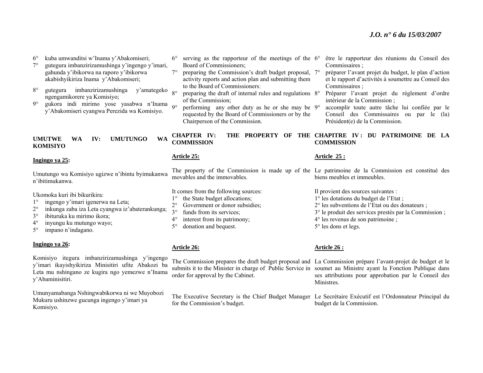$6^\circ$ kuba umwanditsi w'Inama y'Abakomiseri;

- 7° gutegura imbanzirizamushinga y'ingengo y'imari, gahunda y'ibikorwa na raporo y'ibikorwa akabishyikiriza Inama y'Abakomiseri;
- $8^\circ$  gutegura imbanzirizamushinga y'amategeko ngengamikorere ya Komisiyo;
- $9^\circ$ <sup>o</sup> gukora indi mirimo yose yasabwa n'Inama <sub>9</sub>° y'Abakomiseri cyangwa Perezida wa Komisiyo.

#### **UMUTWE WA IV: UMUTUNGO WA KOMISIYO**

#### **Ingingo ya 25:**

Umutungo wa Komisiyo ugizwe n'ibintu byimukanwa n'ibitimukanwa.

Ukomoka kuri ibi bikurikira:

- 1°ingengo y'imari igenerwa na Leta;
- $2^{\circ}$ inkunga zaba iza Leta cyangwa iz'abaterankunga;
- 3°ibituruka ku mirimo ikora;
- $4^\circ$ inyungu ku mutungo wayo;
- 5°impano n'indagano.

#### **Ingingo ya 26:**

Komisiyo itegura imbanzirizamushinga y'ingengo y'imari ikayishyikiriza Minisitiri ufite Abakozi ba Leta mu nshingano ze kugira ngo yemezwe n'Inama y'Abaminisitiri.

Umunyamabanga Nshingwabikorwa ni we Muyobozi Mukuru ushinzwe gucunga ingengo y'imari ya Komisiyo.

- 6° serving as the rapporteur of the meetings of the 6°Board of Commissioners;
- $7^\circ$ <sup>o</sup> preparing the Commission's draft budget proposal, 7<sup>o</sup> activity reports and action plan and submitting them to the Board of Commissioners;
- 8°<sup>o</sup> preparing the draft of internal rules and regulations 8<sup>o</sup> of the Commission;
- <sup>o</sup> performing any other duty as he or she may be 9<sup>o</sup> requested by the Board of Commissioners or by the Chairperson of the Commission.
- être le rapporteur des réunions du Conseil des Commissaires ;
- préparer l'avant projet du budget, le plan d'action et le rapport d'activités à soumettre au Conseil des Commissaires ;
- Préparer l'avant projet du règlement d'ordre intérieur de la Commission ;
- accomplir toute autre tâche lui confiée par le Conseil des Commissaires ou par le (la) Président(e) de la Commission.

#### **CHAPTER IV: THE PROPERTY OF THE CHAPITRE IV : DU PATRIMOINE DE LA COMMISSION COMMISSION**

#### **Article 25:**

The property of the Commission is made up of the Le patrimoine de la Commission est constitué des movables and the immovables.

It comes from the following sources:

- $1^{\circ}$ the State budget allocations;
- $2^{\circ}$ Government or donor subsidies;
- $3^\circ$ funds from its services;
- $4^{\circ}$ interest from its patrimony;
- 5° donation and bequest.

#### **Article 26:**

The Commission prepares the draft budget proposal and La Commission prépare l'avant-projet de budget et le submits it to the Minister in charge of Public Service in soumet au Ministre ayant la Fonction Publique dans order for approval by the Cabinet.

for the Commission's budget.

#### **Article 25 :**

biens meubles et immeubles.

Il provient des sources suivantes : 1° les dotations du budget de l'Etat ; 2° les subventions de l'Etat ou des donateurs ;

- 3° le produit des services prestés par la Commission ;
- 4° les revenus de son patrimoine ;
- 5° les dons et legs.

#### **Article 26 :**

ses attributions pour approbation par le Conseil des Ministres.

The Executive Secretary is the Chief Budget Manager Le Secrétaire Exécutif est l'Ordonnateur Principal du budget de la Commission.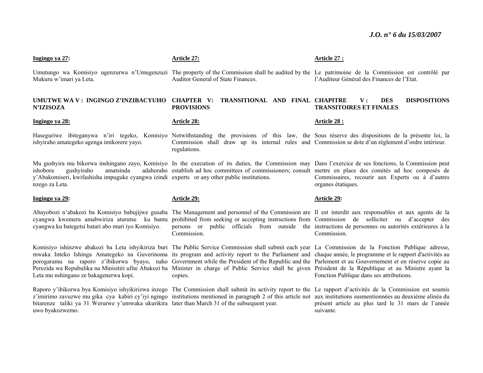| Ingingo ya 27:                                                                                                                                        | <b>Article 27:</b>                                                                                                                                                                                                                                                                                                                                                                                                                                                                                                                                                                                                                                        | Article 27 :                                                              |
|-------------------------------------------------------------------------------------------------------------------------------------------------------|-----------------------------------------------------------------------------------------------------------------------------------------------------------------------------------------------------------------------------------------------------------------------------------------------------------------------------------------------------------------------------------------------------------------------------------------------------------------------------------------------------------------------------------------------------------------------------------------------------------------------------------------------------------|---------------------------------------------------------------------------|
| Mukuru w'imari ya Leta.                                                                                                                               | Umutungo wa Komisiyo ugenzurwa n'Umugenzuzi The property of the Commission shall be audited by the Le patrimoine de la Commission est contrôlé par<br>Auditor General of State Finances.                                                                                                                                                                                                                                                                                                                                                                                                                                                                  | l'Auditeur Général des Finances de l'Etat.                                |
| UMUTWE WA V: INGINGO Z'INZIBACYUHO<br><b>N'IZISOZA</b>                                                                                                | CHAPTER V:<br>TRANSITIONAL AND FINAL CHAPITRE<br><b>PROVISIONS</b>                                                                                                                                                                                                                                                                                                                                                                                                                                                                                                                                                                                        | <b>DISPOSITIONS</b><br>V:<br><b>DES</b><br><b>TRANSITOIRES ET FINALES</b> |
| Ingingo ya 28:                                                                                                                                        | <b>Article 28:</b>                                                                                                                                                                                                                                                                                                                                                                                                                                                                                                                                                                                                                                        | <b>Article 28:</b>                                                        |
| ishyiraho amategeko agenga imikorere yayo.                                                                                                            | Haseguriwe ibiteganywa n'iri tegeko, Komisiyo Notwithstanding the provisions of this law, the Sous réserve des dispositions de la présente loi, la<br>Commission shall draw up its internal rules and Commission se dote d'un règlement d'ordre intérieur.<br>regulations.                                                                                                                                                                                                                                                                                                                                                                                |                                                                           |
| amatsinda<br>ishobora<br>gushviraho<br>y'Abakomiseri, kwifashisha impuguke cyangwa izindi experts or any other public institutions.<br>nzego za Leta. | Mu gushyira mu bikorwa inshingano zayo, Komisiyo In the execution of its duties, the Commission may Dans l'exercice de ses fonctions, la Commission peut<br>adahoraho establish ad hoc committees of commissioners; consult mettre en place des comités ad hoc composés de                                                                                                                                                                                                                                                                                                                                                                                | Commissaires, recourir aux Experts ou à d'autres<br>organes étatiques.    |
| Ingingo ya 29:                                                                                                                                        | <u> Article 29:</u>                                                                                                                                                                                                                                                                                                                                                                                                                                                                                                                                                                                                                                       | <b>Article 29:</b>                                                        |
| cyangwa ku bategetsi batari abo muri iyo Komisiyo.                                                                                                    | Abayobozi n'abakozi ba Komisiyo babujijwe gusaba The Management and personnel of the Commission are Il est interdit aux responsables et aux agents de la<br>cyangwa kwemera amabwiriza aturutse ku bantu prohibited from seeking or accepting instructions from Commission de solliciter ou d'accepter des<br>persons or public officials from outside the instructions de personnes ou autorités extérieures à la<br>Commission.                                                                                                                                                                                                                         | Commission.                                                               |
| Leta mu nshingano ze bakagenerwa kopi.                                                                                                                | Komisiyo ishinzwe abakozi ba Leta ishyikiriza buri The Public Service Commission shall submit each year La Commission de la Fonction Publique adresse,<br>mwaka Inteko Ishinga Amategeko na Guverinoma its program and activity report to the Parliament and chaque année, le programme et le rapport d'activités au<br>porogaramu na raporo z'ibikorwa byayo, naho Government while the President of the Republic and the Parlement et au Gouvernement et en réserve copie au<br>Perezida wa Repubulika na Minisitiri ufite Abakozi ba Minister in charge of Public Service shall be given Président de la République et au Ministre ayant la<br>copies. | Fonction Publique dans ses attributions.                                  |

Raporo y'ibikorwa bya Komisiyo ishyikirizwa inzego <sup>z</sup>'imirimo zavuzwe mu gika cya kabiri cy'iyi ngingo

uwo byakozwemo.

bitarenze taliki ya 31 Werurwe y'umwaka ukurikira later than March 31 of the subsequent year. The Commission shall submit its activity report to the institutions mentioned in paragraph 2 of this article not suivante.

# Le rapport d'activités de la Commission est soumis aux institutions susmentionnées au deuxième alinéa du présent article au plus tard le 31 mars de l'année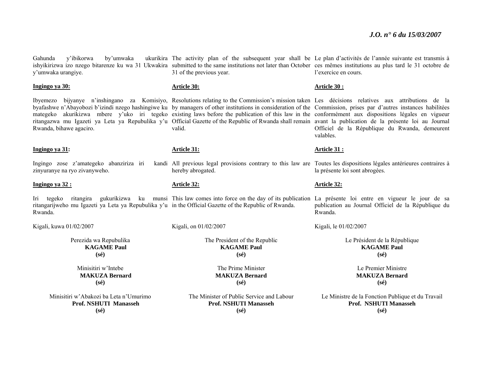Gahunda y'ibikorwa by'umwaka y'umwaka urangiye.

**Ingingo ya 30:**

Rwanda, bihawe agaciro.

#### **Ingingo ya 31:**

Ingingo zose z'amategeko abanziriza iri kandi zinyuranye na ryo zivanyweho.

#### **Ingingo ya 32 :**

Iri tegeko ritangira gukurikizwa ku munsi This-law-comes-into-force-on-the-day-of-its-publication La présente loi entre en vigueur le jour de sa ritangarijweho mu Igazeti ya Leta ya Repubulika y'u in the Official Gazette of the Republic of Rwanda. Rwanda.

Kigali, kuwa 01/02/2007

Perezida wa Repubulika **KAGAME Paul (sé)** 

> Minisitiri w'Intebe **MAKUZA Bernard (sé)**

Minisitiri w'Abakozi ba Leta n'Umurimo **Prof. NSHUTI Manasseh (sé)** 

ishyikirizwa izo nzego bitarenze ku wa 31 Ukwakira submitted to the same institutions not later than October ces mêmes institutions au plus tard le 31 octobre de 31 of the previous year.

#### **Article 30:**

Ibyemezo bijyanye n'inshingano za Komisiyo, Resolutions relating to the Commission's mission taken Les décisions relatives aux attributions de la byafashwe n'Abayobozi b'izindi nzego hashingiwe ku by managers of other institutions in consideration of the Commission, prises par d'autres instances habilitées mategeko akurikizwa mbere y'uko iri tegeko existing laws before the publication of this law in the conformément aux dispositions légales en vigueur ritangazwa mu Igazeti ya Leta ya Repubulika y'u Official Gazette of the Republic of Rwanda shall remain avant la publication de la présente loi au Journal valid.

#### **Article 31:**

hereby abrogated.

**Article 32:**

Kigali, on 01/02/2007

The President of the Republic **KAGAME Paul (sé)** 

> The Prime Minister **MAKUZA Bernard (sé)**

The Minister of Public Service and Labour **Prof. NSHUTI Manasseh (sé)** 

The activity plan of the subsequent year shall be Le plan d'activités de l'année suivante est transmis à l'exercice en cours.

#### **Article 30 :**

Officiel de la République du Rwanda, demeurent valables.

#### **Article 31 :**

All previous legal provisions contrary to this law are Toutes les dispositions légales antérieures contraires à la présente loi sont abrogées.

#### **Article 32:**

publication au Journal Officiel de la République du Rwanda.

Kigali, le 01/02/2007

Le Président de la République **KAGAME Paul (sé)** 

> Le Premier Ministre **MAKUZA Bernard (sé)**

Le Ministre de la Fonction Publique et du Travail **Prof. NSHUTI Manasseh (sé)**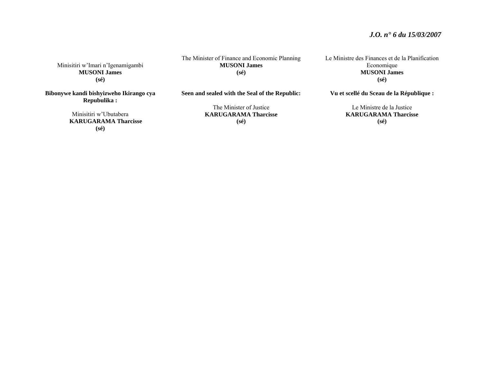Minisitiri w'Imari n'Igenamigambi **MUSONI James (sé)** 

**Bibonywe kandi bishyizweho Ikirango cya Repubulika :** 

> Minisitiri w'Ubutabera **KARUGARAMA Tharcisse (sé)**

The Minister of Finance and Economic Planning **MUSONI James (sé)** 

**Seen and sealed with the Seal of the Republic:** 

The Minister of Justice **KARUGARAMA Tharcisse (sé)** 

Le Ministre des Finances et de la Planification Economique **MUSONI James (sé)** 

**Vu et scellé du Sceau de la République :** 

Le Ministre de la Justice **KARUGARAMA Tharcisse (sé)**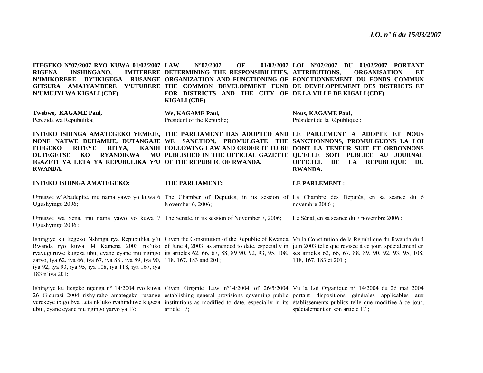**ITEGEKO N°07/2007 RYO KUWA 01/02/2007 RIGENA INSHINGANO, N'IMIKORERE BY'IKIGEGA RUSANGE ORGANIZATION AND FUNCTIONING OF FONCTIONNEMENT DU FONDS COMMUN GITSURA AMAJYAMBERE Y'UTURERE THE COMMON DEVELOPMENT FUND DE DEVELOPPEMENT DES DISTRICTS ET N'UMUJYI WA KIGALI (CDF) LAW N°07/2007 OF 01/02/2007 LOI N°07/2007 DU 01/02/2007 PORTANT DETERMINING THE RESPONSIBILITIES, ATTRIBUTIONS, ORGANISATION ET FOR DISTRICTS AND THE CITY OF DE LA VILLE DE KIGALI (CDF) KIGALI (CDF) Twebwe, KAGAME Paul,**  Perezida wa Repubulika; **INTEKO ISHINGA AMATEGEKO YEMEJE, THE PARLIAMENT HAS ADOPTED AND LE PARLEMENT A ADOPTE ET NOUS NONE NATWE DUHAMIJE, DUTANGAJE WE SANCTION, PROMULGATE THE SANCTIONNONS, PROMULGUONS LA LOI ITEGEKO RITEYE RITYA, DUTEGETSE KO RYANDIKWA PUBLISHED IN THE OFFICIAL GAZETTE QU'ELLE SOIT PUBLIEE AU JOURNAL IGAZETI YA LETA YA REPUBULIKA Y'U OF THE REPUBLIC OF RWANDA. RWANDA***.* **INTEKO ISHINGA AMATEGEKO:** Umutwe w'Abadepite, mu nama yawo yo kuwa 6 The Chamber of Deputies, in its session of La Chambre des Députés, en sa séance du 6 Ugushyingo 2006; Umutwe wa Sena, mu nama yawo yo kuwa 7 The Senate, in its session of November 7, 2006; Ugushyingo 2006 ; Ishingiye ku Itegeko Nshinga rya Repubulika y'u Given the Constitution of the Republic of Rwanda Vu la Constitution de la République du Rwanda du 4 Rwanda ryo kuwa 04 Kamena 2003 nk'uko of June 4, 2003, as amended to date, especially in juin 2003 telle que révisée à ce jour, spécialement en ryavuguruwe kugeza ubu, cyane cyane mu ngingo its articles 62, 66, 67, 88, 89 90, 92, 93, 95, 108, ses articles 62, 66, 67, 88, 89, 90, 92, 93, 95, 108, zaryo, iya 62, iya 66, iya 67, iya 88 , iya 89, iya 90, 118, 167, 183 and 201; iya 92, iya 93, iya 95, iya 108, iya 118, iya 167, iya 183 n'iya 201; Ishingiye ku Itegeko ngenga n° 14/2004 ryo kuwa Given Organic Law n°14/2004 of 26/5/2004 Vu la Loi Organique n° 14/2004 du 26 mai 2004 26 Gicurasi 2004 rishyiraho amategeko rusange establishing general provisions governing public portant dispositions générales applicables aux yerekeye ibigo bya Leta nk'uko ryahinduwe kugeza institutions as modified to date, especially in its établissements publics telle que modifiée à ce jour, ubu , cyane cyane mu ngingo yaryo ya 17; **We, KAGAME Paul,**  President of the Republic; **FOLLOWING LAW AND ORDER IT TO BE DONT LA TENEUR SUIT ET ORDONNONS THE PARLIAMENT:** November 6, 2006; article 17; **Nous, KAGAME Paul,**  Président de la République ; **OFFICIEL DE LA REPUBLIQUE DU RWANDA. LE PARLEMENT :** novembre 2006 ; Le Sénat, en sa séance du 7 novembre 2006 ; 118, 167, 183 et 201 ; spécialement en son article 17 ;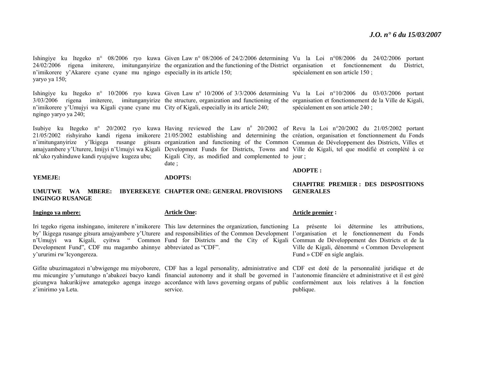Ishingiye ku Itegeko n° 08/2006 ryo kuwa Given-Law-n°08/2006 of 24/2/2006 determining Vu la Loi n°08/2006 du 24/02/2006 portant 24/02/2006 rigena imiterere, imitunganyirize the organization and the functioning of the District organisation et fonctionnement du District, <sup>n</sup>'imikorere y'Akarere cyane cyane mu ngingo especially in its article 150; yaryo ya 150; spécialement en son article 150 ;

Ishingiye ku Itegeko n° 10/2006 ryo kuwa Given Law n° 10/2006 of 3/3/2006 determining Vu la Loi n°10/2006 du 03/03/2006 portant 3/03/2006 rigena imiterere, imitunganyirize the structure, organization and functioning of the organisation et fonctionnement de la Ville de Kigali, <sup>n</sup>'imikorere y'Umujyi wa Kigali cyane cyane mu City of Kigali, especially in its article 240; ngingo yaryo ya 240;

nk'uko ryahinduwe kandi ryujujwe kugeza ubu;

#### **ADOPTS:**

date ;

#### **ADOPTE :**

#### **UMUTWE WA MBERE: IBYEREKEYE CHAPTER ONE: GENERAL PROVISIONS INGINGO RUSANGE**

#### **Ingingo ya mbere:**

**YEMEJE:** 

Development Fund", CDF mu magambo ahinnye abbreviated as "CDF". y'ururimi rw'Icyongereza.

Gifite ubuzimagatozi n'ubwigenge mu miyoborere, CDF has a legal personality, administrative and CDF est doté de la personnalité juridique et de <sup>z</sup>'imirimo ya Leta.

#### **Article One:**

service.

#### **Article premier :**

Iri tegeko rigena inshingano, imiterere n'imikorere This law determines the organization, functioning La présente loi détermine les attributions, by' Ikigega rusange gitsura amajyambere y'Uturere and responsibilities of the Common Development l'organisation et le fonctionnement du Fonds <sup>n</sup>'Umujyi wa Kigali, cyitwa " Common Fund for Districts and the City of Kigali Commun de Développement des Districts et de la Ville de Kigali, dénommé « Common Development Fund » CDF en sigle anglais.

mu micungire y'umutungo n'abakozi bacyo kandi financial autonomy and it shall be governed in l'autonomie financière et administrative et il est géré gicungwa hakurikijwe amategeko agenga inzego accordance with laws governing organs of public conformément aux lois relatives à la fonction publique.

#### **CHAPITRE PREMIER : DES DISPOSITIONS GENERALES**

spécialement en son article 240 ;

Isubiye ku Itegeko n° 20/2002 ryo kuwa Having reviewed the Law n° 20/2002 of Revu la Loi n°20/2002 du 21/05/2002 portant 21/05/2002 rishyiraho kandi rigena imikorere 21/05/2002 establishing and determining the création, organisation et fonctionnement du Fonds <sup>n</sup>'imitunganyirize y'Ikigega rusange gitsura organization and functioning of the Common Commun de Développement des Districts, Villes et amajyambere y'Uturere, Imijyi n'Umujyi wa Kigali Development Funds for Districts, Towns and Ville de Kigali, tel que modifié et complété à ce Kigali City, as modified and complemented to jour ;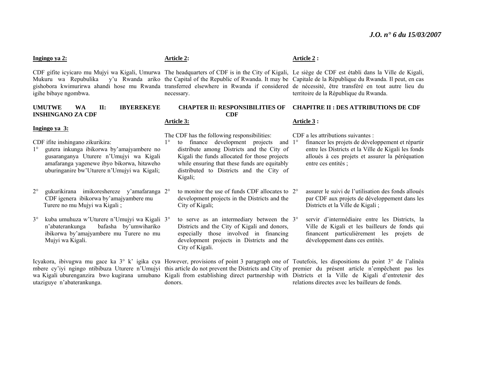#### **Ingingo ya 2:**

Mukuru wa Repubulika igihe bibaye ngombwa.

#### **UMUTWE WA II: IBYEREKEYE INSHINGANO ZA CDF**

#### **Ingingo ya 3:**

CDF ifite inshingano zikurikira:

1° gutera inkunga ibikorwa by'amajyambere no gusaranganya Uturere n'Umujyi wa Kigali amafaranga yagenewe ibyo bikorwa, hitaweho uburinganire bw'Uturere n'Umujyi wa Kigali;

- $2^{\circ}$  gukurikirana imikoreshereze y'amafaranga 2°CDF igenera ibikorwa by'amajyambere mu Turere no mu Mujyi wa Kigali ;
- 3° kuba umuhuza w'Uturere n'Umujyi wa Kigali 3°<sup>n</sup>'abaterankunga bafasha by'umwihariko ibikorwa by'amajyambere mu Turere no mu Mujyi wa Kigali.

utaziguye n'abaterankunga.

#### **Article 2:**

**Article 3:**

donors.

necessary.

# **CDF**

The CDF has the following responsibilities:

1°<sup>o</sup> to finance development projects and 1<sup>o</sup> distribute among Districts and the City of Kigali the funds allocated for those projects while ensuring that these funds are equitably distributed to Districts and the City of Kigali;

<sup>o</sup> to monitor the use of funds CDF allocates to 2<sup>o</sup> development projects in the Districts and the City of Kigali;

<sup>o</sup> to serve as an intermediary between the 3<sup>o</sup> Districts and the City of Kigali and donors, especially those involved in financing development projects in Districts and the City of Kigali.

#### **Article 2 :**

CDF gifite icyicaro mu Mujyi wa Kigali, Umurwa The headquarters of CDF is in the City of Kigali, Le siège de CDF est établi dans la Ville de Kigali, gishobora kwimurirwa ahandi hose mu Rwanda transferred elsewhere in Rwanda if considered de nécessité, être transféré en tout autre lieu du the Capital of the Republic of Rwanda. It may be Capitale de la République du Rwanda. Il peut, en cas territoire de la République du Rwanda.

#### **CHAPTER II: RESPONSIBILITIES OF CHAPITRE II : DES ATTRIBUTIONS DE CDF**

#### **Article 3 :**

CDF a les attributions suivantes :

- financer les projets de développement et répartir entre les Districts et la Ville de Kigali les fonds alloués à ces projets et assurer la péréquation entre ces entités ;
- assurer le suivi de l'utilisation des fonds alloués par CDF aux projets de développement dans les Districts et la Ville de Kigali ;
- servir d'intermédiaire entre les Districts, la Ville de Kigali et les bailleurs de fonds qui financent particulièrement les projets de développement dans ces entités.

Icyakora, ibivugwa mu gace ka 3° k' igika cya However, provisions of point 3 paragraph one of Toutefois, les dispositions du point 3° de l'alinéa mbere cy'iyi ngingo ntibibuza Uturere n'Umujyi this article do not prevent the Districts and City of premier du présent article n'empêchent pas les wa Kigali uburenganzira bwo kugirana umubano Kigali from establishing direct partnership with Districts et la Ville de Kigali d'entretenir des relations directes avec les bailleurs de fonds.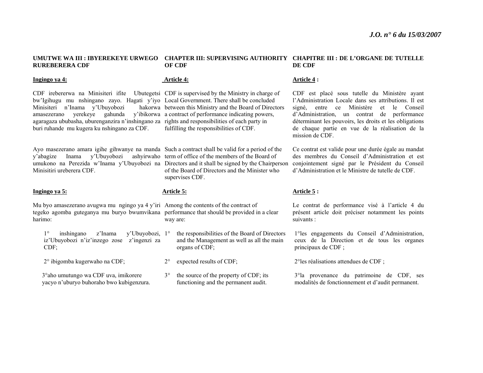#### **UMUTWE WA III : IBYEREKEYE URWEGO CHAPTER III: SUPERVISING AUTHORITY CHAPITRE III : DE L'ORGANE DE TUTELLE RUREBERERA CDF OF CDF DE CDF**

#### **Ingingo ya 4:**

CDF irebererwa na Minisiteri ifite Ubutegetsi CDF is supervised by the Ministry in charge of bw'Igihugu mu nshingano zayo. Hagati y'iyo Local Government. There shall be concluded Minisiteri n'Inama y'Ubuyobozi amasezerano yerekeye gahunda y'ibikorwa a contract of performance indicating powers, agaragaza ububasha, uburenganzira n'inshingano za rights and responsibilities of each party in buri ruhande mu kugera ku nshingano za CDF.

Ayo masezerano amara igihe gihwanye na manda Such a contract shall be valid for a period of the y'abagize Inama y'Ubuyobozi ashyirwaho term of office of the members of the Board of umukono na Perezida w'Inama y'Ubuyobozi na Directors and it shall be signed by the Chairperson Minisitiri ureberera CDF.

#### **Ingingo ya 5:**

Mu byo amasezerano avugwa mu ngingo ya 4 y'iri Among the contents of the contract of tegeko agomba guteganya mu buryo bwumvikana performance that should be provided in a clear harimo:

1° inshingano z'Inama y'Ubuyobozi, 1°iz'Ubuyobozi n'iz'inzego zose z'ingenzi za CDF;

2° ibigomba kugerwaho na CDF;

 3°aho umutungo wa CDF uva, imikorere yacyo n'uburyo buhoraho bwo kubigenzura.

#### **Article 4:**

hakorwa between this Ministry and the Board of Directors fulfilling the responsibilities of CDF.

> of the Board of Directors and the Minister who supervises CDF.

#### **Article 5:**

way are:

 the responsibilities of the Board of Directors and the Management as well as all the main organs of CDF;

- $2^{\circ}$ expected results of CDF;
- 3° the source of the property of CDF; its functioning and the permanent audit.

#### **Article 4 :**

CDF est placé sous tutelle du Ministère ayant l'Administration Locale dans ses attributions. Il est signé, entre ce Ministère et le Conseil d'Administration, un contrat de performance déterminant les pouvoirs, les droits et les obligations de chaque partie en vue de la réalisation de la mission de CDF.

Ce contrat est valide pour une durée égale au mandat des membres du Conseil d'Administration et est conjointement signé par le Président du Conseil d'Administration et le Ministre de tutelle de CDF.

#### **Article 5 :**

Le contrat de performance visé à l'article 4 du présent article doit préciser notamment les points suivants :

1°les engagements du Conseil d'Administration, ceux de la Direction et de tous les organes principaux de CDF ;

2°les réalisations attendues de CDF ;

3°la provenance du patrimoine de CDF, ses modalités de fonctionnement et d'audit permanent.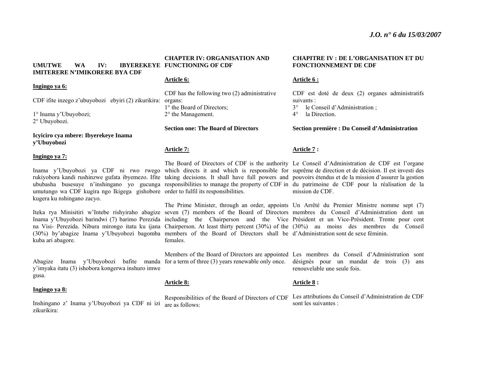**UMUTWE WA IV: IBYEREKEYE FUNCTIONING OF CDF IMITERERE N'IMIKORERE BYA CDF** 

#### **Ingingo ya 6:**

CDF ifite inzego z'ubuyobozi ebyiri (2) zikurikira: organs:

1° Inama y'Ubuyobozi; 2° Ubuyobozi.

**Icyiciro cya mbere: Ibyerekeye Inama y'Ubuyobozi** 

#### **Ingingo ya 7:**

umutungo wa CDF kugira ngo Ikigega gishobore order to fulfil its responsibilities. kugera ku nshingano zacyo.

kuba ari abagore.

Abagize Inama y'Ubuyobozi bafite manda for a term of three (3) years renewable only once. y'imyaka itatu (3) ishobora kongerwa inshuro imwe gusa.

#### **Ingingo ya 8:**

Inshingano z' Inama y'Ubuyobozi ya CDF ni izi are as follows: zikurikira:

# **CHAPTER IV: ORGANISATION AND**

#### **Article 6:**

CDF has the following two (2) administrative 1° the Board of Directors; 2° the Management.

**Section one: The Board of Directors** 

#### **Article 7:**

**Article 8:** 

Iteka rya Minisitiri w'Intebe rishyiraho abagize seven (7) members of the Board of Directors membres du Conseil d'Administration dont un Inama y'Ubuyobozi barindwi (7) barimo Perezida including the Chairperson and the Vice Président et un Vice-Président. Trente pour cent na Visi- Perezida. Nibura mirongo itatu ku ijana Chairperson. At least thirty percent (30%) of the (30%) au moins des membres du Conseil (30%) by'abagize Inama y'Ubuyobozi bagomba members of the Board of Directors shall be d'Administration sont de sexe féminin. The Prime Minister, through an order, appoints Un Arrêté du Premier Ministre nomme sept (7) females.

Members of the Board of Directors are appointed Les membres du Conseil d'Administration sont

#### **Article 8 :**

Responsibilities of the Board of Directors of CDF Les attributions du Conseil d'Administration de CDF sont les suivantes :

#### **CHAPITRE IV : DE L'ORGANISATION ET DU FONCTIONNEMENT DE CDF**

#### **Article 6 :**

CDF est doté de deux (2) organes administratifs suivants · 3°le Conseil d'Administration ;

 $4^{\circ}$ la Direction.

**Section première : Du Conseil d'Administration** 

#### **Article 7 :**

Inama y'Ubuyobozi ya CDF ni rwo rwego which directs it and which is responsible for suprême de direction et de décision. Il est investi des rukiyobora kandi rushinzwe gufata ibyemezo. Ifite taking decisions. It shall have full powers and pouvoirs étendus et de la mission d'assurer la gestion ububasha busesuye n'inshingano yo gucunga responsibilities tomanage the property of CDF in du patrimoine de CDF pour la réalisation de la The Board of Directors of CDF is the authority Le Conseil d'Administration de CDF est l'organe mission de CDF.

désignés pour un mandat de trois (3) ans renouvelable une seule fois.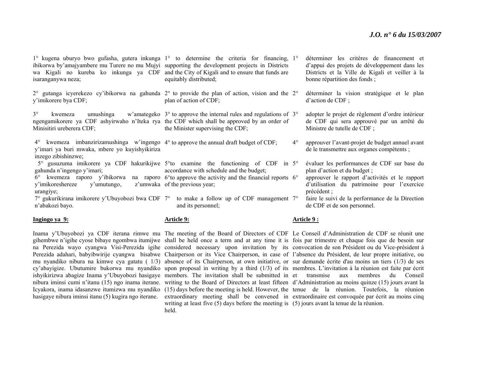1° kugena uburyo bwo gufasha, gutera inkunga 1° to determine the criteria for financing, 1°ibikorwa by'amajyambere mu Turere no mu Mujyi supporting the development projects in Districts wa Kigali no kureba ko inkunga ya CDF and the City of Kigali and to ensure that funds are isaranganywa neza;

y'imikorere bya CDF;

ngengamikorere ya CDF ashyirwaho n'Iteka rya the CDF which shall be approved by an order of Minisitiri ureberera CDF;

4° kwemeza imbanzirizamushinga w'ingengo 4° to approve the annual draft budget of CDF; y'imari ya buri mwaka, mbere yo kuyishyikiriza inzego zibishinzwe;

gahunda n'ingengo y'imari; 6° kwemeza raporo y'ibikorwa na raporo 6°to approve the activity and the financial reports 6°y'imikoreshereze y'umutungo, urangiye;

<sup>n</sup>'abakozi bayo.

#### **Ingingo ya 9:**

equitably distributed;

2° gutanga icyerekezo cy'ibikorwa na gahunda 2° to provide the plan of action, vision and the 2°plan of action of CDF;

3° kwemeza umushinga w'amategeko 3° to approve the internal rules and regulations of 3°the Minister supervising the CDF;

 5° gusuzuma imikorere ya CDF hakurikijwe 5°to examine the functioning of CDF in 5°accordance with schedule and the budget;

z'umwaka of the previous year;

7° gukurikirana imikorere y'Ubuyobozi bwa CDF 7° to make a follow up of CDF management 7°and its personnel;

#### **Article 9:**

writing at least five (5) days before the meeting is (5) jours avant la tenue de la réunion. held.

 déterminer les critères de financement et d'appui des projets de développement dans les Districts et la Ville de Kigali et veiller à la bonne répartition des fonds ;

 déterminer la vision stratégique et le plan d'action de CDF ;

 adopter le projet de règlement d'ordre intérieur de CDF qui sera approuvé par un arrêté du Ministre de tutelle de CDF ;

 $4^\circ$  approuver l'avant-projet de budget annuel avant de le transmettre aux organes compétents ;

 évaluer les performances de CDF sur base du plan d'action et du budget ;

 approuver le rapport d'activités et le rapport d'utilisation du patrimoine pour l'exercice précédent ;

 faire le suivi de la performance de la Direction de CDF et de son personnel.

#### **Article 9 :**

Inama y'Ubuyobozi ya CDF iterana rimwe mu The meeting of the Board of Directors of CDF Le Conseil d'Administration de CDF se réunit une gihembwe n'igihe cyose bibaye ngombwa itumijwe shall be held once a term and at any time it is fois par trimestre et chaque fois que de besoin sur na Perezida wayo cyangwa Visi-Perezida igihe considered necessary upon invitation by its convocation de son-Président-ou-du-Vice-président à Perezida adahari, babyibwirije cyangwa bisabwe Chairperson or its Vice Chairperson, in case of l'absence du Président, de leur propre initiative, ou mu nyandiko nibura na kimwe cya gatatu ( 1/3) absence of its Chairperson, at own initiative, or sur demande écrite d'au moins un tiers (1/3) de ses cy'abayigize. Ubutumire bukorwa mu nyandiko upon proposal in writing by a third (1/3) of its membres. L'invitation à la réunion est faite par écrit ishyikirizwa abagize Inama y'Ubuyobozi hasigaye members. The invitation shall be submitted in et transmise aux membres du Conseil nibura iminsi cumi n'itanu (15) ngo inama iterane. writing to the Board of Directors at least fifteen d'Administration au moins quinze (15) jours avant la Icyakora, inama idasanzwe itumizwa mu nyandiko (15) days before the meeting is held. However, the tenue de la réunion. Toutefois, la réunion hasigaye nibura iminsi itanu (5) kugira ngo iterane. extraordinary meeting shall be convened in extraordinaire est convoquée par écrit au moins cinq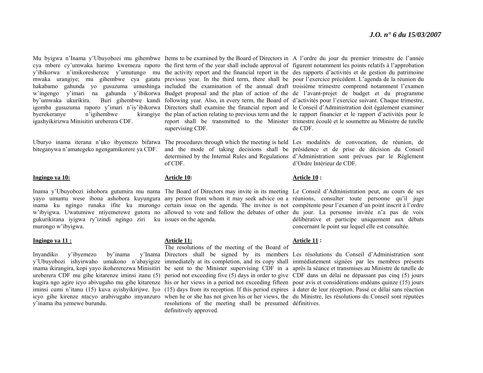byerekeranye n'igihembwe igashyikirizwa Minisitiri ureberera CDF.

#### **Ingingo ya 10:**

gukurikirana iyigwa ry'izindi ngingo ziri ku issues on the agenda. murongo w'ibyigwa.

#### **Ingingo ya 11 :**

Invandiko v'ibyemezo by'inama y'inama iba yemewe burundu.

supervising CDF.

of CDF.

#### **Article 10:**

#### **Article 11:**

The resolutions of the meeting of the Board of

resolutions of the meeting shall be presumed définitives.definitively approved.

Mu byigwa n'Inama y'Ubuyobozi mu gihembwe Items to be examined by the Board of Directors in A l'ordre du jour du premier trimestre de l'année cya mbere cy'umwaka harimo kwemeza raporo the first term of the year shall include approval of figurent notamment les points relatifs à l'approbation y'ibikorwa n'imikoreshereze y'umutungo mu the activity report and the financial report in the des rapports d'activités et de gestion du patrimoine mwaka urangiye; mu gihembwe cya gatatu previous year. In the third term, there shall be pour l'exercice précédent. L'agenda de la réunion du hakabamo gahunda yo gusuzuma umushinga included the examination of the annual draft troisième trimestre comprend notamment l'examen <sup>w</sup>'ingengo y'imari na gahunda y'ibikorwa Budget proposal and the plan of action of the de l'avant-projet de budget et du programme by'umwaka ukurikira. Buri gihembwe kandi following year. Also, in every term, the Board of d'activités pour l'exercice suivant. Chaque trimestre, igomba gusuzuma raporo y'imari n'iy'ibikorwa Directors shall examine the financial report and le Conseil d'Administration doit également examiner the plan of action relating to previous term and the le rapport financier et le rapport d'activités pour le report shall be transmitted to the Minister trimestre écoulé et le soumettre au Ministre de tutelle de CDF.

Uburyo inama iterana n'uko ibyemezo bifatwa The procedures through which the meeting is held Les modalités de convocation, de réunion, de biteganywa n'amategeko ngengamikorere ya CDF. and the mode of taking decisions shall be présidence et de prise de décision du Conseil determined by the Internal Rules and Regulations d'Administration sont prévues par le Règlement d'Ordre Intérieur de CDF.

#### **Article 10 :**

Inama y'Ubuyobozi ishobora gutumira mu nama The Board of Directors may invite in its meeting Le Conseil d'Administration peut, au cours de ses yayo umuntu wese ibona ashobora kuyungura any person from whom it may seek advice on a réunions, consulter toute personne qu'il juge inama ku ngingo runaka ifite ku murongo certain issue on the agenda. The invitee is not compétente pour l'examen d'un point inscrit à l'ordre <sup>w</sup>'ibyigwa. Uwatumiwe ntiyemerewe gutora no allowed to vote and follow the debates of other du jour. La personne invitée n'a pas de voix délibérative et participe uniquement aux débats concernant le point sur lequel elle est consultée.

#### **Article 11 :**

y'Ubuyobozi ishyirwaho umukono n'abayigize immediately at its completion, and its copy shall immédiatement signées par les membres présents inama ikirangira, kopi yayo ikohererezwa Minisitiri be sent to the Minister supervising CDF in a après la séance et transmises au Ministre de tutelle de ureberera CDF mu gihe kitarenze iminsi itanu (5) period not exceeding five (5) days in order to give CDF dans un délai ne dépassant pas cinq (5) jours kugira ngo agire icyo abivugaho mu gihe kitarenze his or her views in a period not exceeding fifteen pour avis et considérations endéans quinze (15) jours iminsi cumi n'itanu (15) kuva ayishyikirijwe. Iyo (15) days from its reception. If this period expires à dater de leur réception. Passé ce délai sans réaction icyo gihe kirenze ntacyo arabivugaho imyanzuro when he or she has not given his or her views, the du Ministre, les résolutions du Conseil sont réputées Directors shall be signed by its members Les résolutions du Conseil d'Administration sont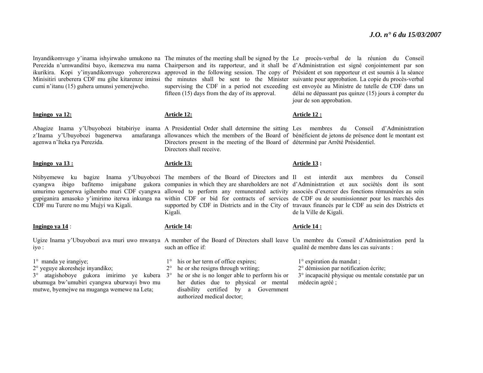Inyandikomvugo y'inama ishyirwaho umukono na The minutes of the meeting shall be signed by the Le procès-verbal de la réunion du Conseil Perezida n'umwanditsi bayo, ikemezwa mu nama Chairperson and its rapporteur, and it shall be d'Administration est signé conjointement par son ikurikira. Kopi y'inyandikomvugo yohererezwa approved in the following session. The copy of Président et son rapporteur et est soumis à la séance Minisitiri ureberera CDF mu gihe kitarenze iminsi the minutes shall be sent to the Minister suivante pour approbation. La copie du procès-verbal cumi n'itanu (15) guhera umunsi yemerejweho.

#### **Ingingo ya 12:**

z'Inama y'Ubuyobozi bagenerwa agenwa n'Iteka rya Perezida.

#### **Ingingo ya 13 :**

CDF mu Turere no mu Mujyi wa Kigali.

#### **Ingingo ya 14** :

iyo :

- 1° manda ye irangiye;
- 2° yeguye akoresheje inyandiko;

3° atagishoboye gukora imirimo ye kubera 3° he or she is no longer able to perform his or ubumuga bw'umubiri cyangwa uburwayi bwo mu mutwe, byemejwe na muganga wemewe na Leta;

supervising the CDF in a period not exceeding est envoyée au Ministre de tutelle de CDF dans un fifteen (15) days from the day of its approval.

#### **Article 12:**

Abagize Inama y'Ubuyobozi bitabiriye inama A Presidential Order shall determine the sitting Les membres du Conseil d'Administration allowances which the members of the Board of bénéficient de jetons de présence dont le montant est Directors present in the meeting of the Board of déterminé par Arrêté Présidentiel. Directors shall receive.

#### **Article 13:**

Kigali.

#### **Article 14:**

Ugize Inama y'Ubuyobozi ava muri uwo mwanya A member of the Board of Directors shall leave Un membre du Conseil d'Administration perd la such an office if:

- 1° his or her term of office expires;
- 2° he or she resigns through writing;
- her duties due to physical or mental disability certified by a Government authorized medical doctor;

#### **Article 12 :**

jour de son approbation.

délai ne dépassant pas quinze (15) jours à compter du

#### **Article 13 :**

Ntibyemewe ku bagize Inama y'Ubuyobozi The members of the Board of Directors and Il est interdit aux membres du Conseil cyangwa ibigo bafitemo imigabane gukora companies in which they are shareholders are not d'Administration et aux sociétés dont ils sont umurimo ugenerwa igihembo muri CDF cyangwa allowed to perform any remunerated activity associés d'exercer des fonctions rémunérées au sein gupiganira amasoko y'imirimo iterwa inkunga na within CDF or bid for contracts of services de CDF ou de soumissionner pour les marchés des supported by CDF in Districts and in the City of travaux financés par le CDF au sein des Districts et de la Ville de Kigali.

#### **Article 14 :**

qualité de membre dans les cas suivants :

1° expiration du mandat ;

2° démission par notification écrite;

3° incapacité physique ou mentale constatée par un médecin agréé ;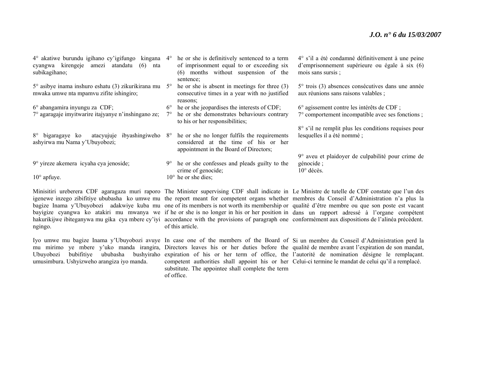| 4° akatiwe burundu igihano cy'igifungo kingana 4°<br>cyangwa kirengeje amezi atandatu (6)<br>nta<br>subikagihano; |             | he or she is definitively sentenced to a term<br>of imprisonment equal to or exceeding six<br>(6) months without suspension of the<br>sentence: | 4° s'il a été condamné définitivement à une peine<br>d'emprisonnement supérieure ou égale à six (6)<br>mois sans sursis ; |
|-------------------------------------------------------------------------------------------------------------------|-------------|-------------------------------------------------------------------------------------------------------------------------------------------------|---------------------------------------------------------------------------------------------------------------------------|
| 5° asibye inama inshuro eshatu (3) zikurikirana mu<br>mwaka umwe nta mpamvu zifite ishingiro;                     | $5^\circ$   | he or she is absent in meetings for three $(3)$<br>consecutive times in a year with no justified<br>reasons;                                    | $5^{\circ}$ trois (3) absences consécutives dans une année<br>aux réunions sans raisons valables ;                        |
| $6^\circ$ abangamira inyungu za CDF;                                                                              | $6^{\circ}$ | the or she jeopardises the interests of CDF;                                                                                                    | 6° agissement contre les intérêts de CDF;                                                                                 |
| 7° agaragaje imyitwarire itajyanye n'inshingano ze;                                                               |             | he or she demonstrates behaviours contrary<br>to his or her responsibilities;                                                                   | 7° comportement incompatible avec ses fonctions;                                                                          |
| atacyujuje ibyashingiweho 8°<br>8° bigaragaye ko<br>ashyirwa mu Nama y'Ubuyobozi;                                 |             | he or she no longer fulfils the requirements<br>considered at the time of his or her<br>appointment in the Board of Directors;                  | 8° s'il ne remplit plus les conditions requises pour<br>lesquelles il a été nommé ;                                       |
| 9° yireze akemera icyaha cya jenoside;                                                                            | $9^{\circ}$ | he or she confesses and pleads guilty to the                                                                                                    | 9° aveu et plaidoyer de culpabilité pour crime de<br>génocide ;<br>$10^{\circ}$ décès.                                    |
| $10^{\circ}$ apfuye.                                                                                              |             | crime of genocide;<br>$10^{\circ}$ he or she dies;                                                                                              |                                                                                                                           |
|                                                                                                                   |             |                                                                                                                                                 |                                                                                                                           |

ngingo.

umusimbura. Ushyizweho arangiza iyo manda.

Minisitiri ureberera CDF agaragaza muri raporo The Minister supervising CDF shall indicate in Le Ministre de tutelle de CDF constate que l'un des igenewe inzego zibifitiye ububasha ko umwe mu the report meant for competent organs whether membres du Conseil d'Administration n'a plus la bagize Inama y'Ubuyobozi adakwiye kuba mu one of its members is not worth its membership or qualité d'être membre ou que son poste est vacant bayigize cyangwa ko atakiri mu mwanya we if he or she is no longer in his or her position in dans un rapport adressé à l'organe compétent hakurikijwe ibiteganywa mu gika cya mbere cy'iyi accordance with the provisions of paragraph one conformément aux dispositions de l'alinéa précédent. of this article.

Iyo umwe mu bagize Inama y'Ubuyobozi avuye In case one of the members of the Board of Si un membre du Conseil d'Administration perd la mu mirimo ye mbere y'uko manda irangira, Directors leaves his or her duties before the qualité de membre avant l'expiration de son mandat, Ubuyobozi bubifitiye ububasha bushyiraho expiration of his or her term of office, the l'autorité de nomination désigne le remplaçant. competent authorities shall appoint his or her Celui-ci termine le mandat de celui qu'il a remplacé. substitute. The appointee shall complete the term of office.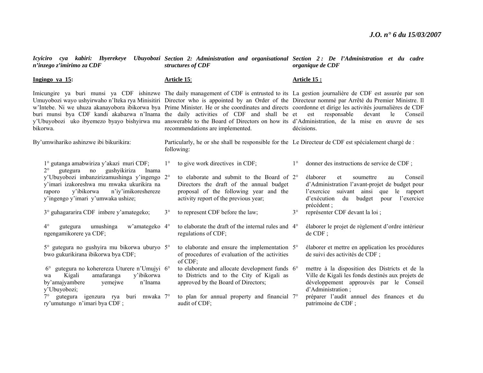| n'inzego z'imirimo za CDF                                                                                                                                                                   | Icyiciro cya kabiri: Ibyerekeye Ubuyobozi Section 2: Administration and organisational Section 2: De l'Administration et du cadre<br>structures of CDF |                                                                                                                                                                           |                    | organique de CDF                                                                                                                                                                                                                                                                                                                                                                                                                                                                                                                                                                                                                                                    |  |
|---------------------------------------------------------------------------------------------------------------------------------------------------------------------------------------------|--------------------------------------------------------------------------------------------------------------------------------------------------------|---------------------------------------------------------------------------------------------------------------------------------------------------------------------------|--------------------|---------------------------------------------------------------------------------------------------------------------------------------------------------------------------------------------------------------------------------------------------------------------------------------------------------------------------------------------------------------------------------------------------------------------------------------------------------------------------------------------------------------------------------------------------------------------------------------------------------------------------------------------------------------------|--|
| Ingingo ya 15:                                                                                                                                                                              | <b>Article 15:</b>                                                                                                                                     |                                                                                                                                                                           | <b>Article 15:</b> |                                                                                                                                                                                                                                                                                                                                                                                                                                                                                                                                                                                                                                                                     |  |
| buri munsi bya CDF kandi akabazwa n'Inama the daily activities of CDF and shall be et<br>bikorwa.                                                                                           |                                                                                                                                                        | recommendations are implemented.                                                                                                                                          |                    | Imicungire ya buri munsi ya CDF ishinzwe The daily management of CDF is entrusted to its La gestion journalière de CDF est assurée par son<br>Umuyobozi wayo ushyirwaho n'Iteka rya Minisitiri Director who is appointed by an Order of the Directeur nommé par Arrêté du Premier Ministre. Il<br>w'Intebe. Ni we uhuza akanayobora ibikorwa bya Prime Minister. He or she coordinates and directs coordonne et dirige les activités journalières de CDF<br>est<br>responsable<br>devant<br>le<br>Conseil<br>y'Ubuyobozi uko ibyemezo byayo bishyirwa mu answerable to the Board of Directors on how its d'Administration, de la mise en œuvre de ses<br>décisions. |  |
| By'umwihariko ashinzwe ibi bikurikira:                                                                                                                                                      |                                                                                                                                                        | Particularly, he or she shall be responsible for the Le Directeur de CDF est spécialement chargé de :<br>following:                                                       |                    |                                                                                                                                                                                                                                                                                                                                                                                                                                                                                                                                                                                                                                                                     |  |
| 1° gutanga amabwiriza y'akazi muri CDF;<br>gutegura no<br>gushyikiriza<br>$2^{\circ}$<br>Inama                                                                                              | $1^{\circ}$                                                                                                                                            | to give work directives in CDF;                                                                                                                                           | $1^{\circ}$        | donner des instructions de service de CDF;                                                                                                                                                                                                                                                                                                                                                                                                                                                                                                                                                                                                                          |  |
| y'Ubuyobozi imbanzirizamushinga y'ingengo 2°<br>y'imari izakoreshwa mu mwaka ukurikira na<br>y'ibikorwa<br>n'iy'imikoreshereze<br>raporo<br>y'ingengo y'imari y'umwaka ushize;              |                                                                                                                                                        | to elaborate and submit to the Board of 2°<br>Directors the draft of the annual budget<br>proposal of the following year and the<br>activity report of the previous year; |                    | élaborer<br>Conseil<br>et<br>soumettre<br>au<br>d'Administration l'avant-projet de budget pour<br>l'exercice suivant ainsi que le rapport<br>d'exécution du budget<br>l'exercice<br>pour<br>précédent;                                                                                                                                                                                                                                                                                                                                                                                                                                                              |  |
| 3° guhagararira CDF imbere y'amategeko;                                                                                                                                                     | $3^\circ$                                                                                                                                              | to represent CDF before the law;                                                                                                                                          | $3^\circ$          | représenter CDF devant la loi ;                                                                                                                                                                                                                                                                                                                                                                                                                                                                                                                                                                                                                                     |  |
| umushinga<br>w'amategeko 4°<br>$4^{\circ}$<br>gutegura<br>ngengamikorere ya CDF;                                                                                                            |                                                                                                                                                        | to elaborate the draft of the internal rules and 4°<br>regulations of CDF;                                                                                                |                    | élaborer le projet de règlement d'ordre intérieur<br>$de$ CDF :                                                                                                                                                                                                                                                                                                                                                                                                                                                                                                                                                                                                     |  |
| 5° gutegura no gushyira mu bikorwa uburyo 5°<br>bwo gukurikirana ibikorwa bya CDF;                                                                                                          |                                                                                                                                                        | to elaborate and ensure the implementation 5°<br>of procedures of evaluation of the activities<br>$of$ CDF;                                                               |                    | élaborer et mettre en application les procédures<br>de suivi des activités de CDF ;                                                                                                                                                                                                                                                                                                                                                                                                                                                                                                                                                                                 |  |
| gutegura no koherereza Uturere n'Umujyi 6°<br>$6^{\circ}$<br>amafaranga<br>y'ibikorwa<br>Kigali<br>wa<br>by'amajyambere<br>yemejwe<br>n'Inama<br>y'Ubuyobozi;<br>igenzura rya buri mwaka 7° |                                                                                                                                                        | to elaborate and allocate development funds 6°<br>to Districts and to the City of Kigali as<br>approved by the Board of Directors;                                        |                    | mettre à la disposition des Districts et de la<br>Ville de Kigali les fonds destinés aux projets de<br>développement approuvés par le Conseil<br>d'Administration;                                                                                                                                                                                                                                                                                                                                                                                                                                                                                                  |  |
| gutegura<br>ry'umutungo n'imari by aCDF;                                                                                                                                                    |                                                                                                                                                        | to plan for annual property and financial $7^\circ$<br>audit of CDF;                                                                                                      |                    | préparer l'audit annuel des finances et du<br>patrimoine de CDF;                                                                                                                                                                                                                                                                                                                                                                                                                                                                                                                                                                                                    |  |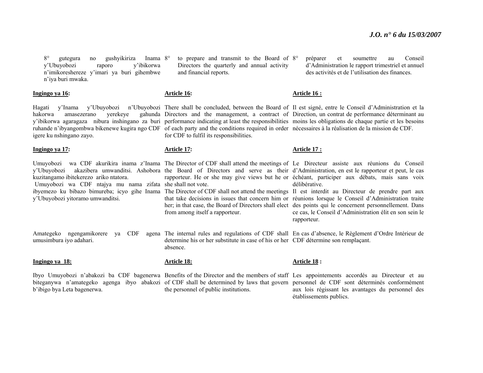$8^\circ$  gutegura no gushyikiriza y'Ubuyobozi raporo y'ibikorwa <sup>n</sup>'imikoreshereze y'imari ya buri gihembwe <sup>n</sup>'iya buri mwaka. Inama 8°

**Ingingo ya 16:** 

hakorwa amasezerano yerekeye igere ku nshingano zayo.

#### **Ingingo ya 17:**

Umuyobozi wa CDF akurikira inama z'Inama The Director of CDF shall attend the meetings of Le Directeur assiste aux réunions du Conseil y'Ubuyobozi akazibera umwanditsi. Ashobora the Board of Directors and serve as their d'Administration, en est le rapporteur et peut, le cas kuzitangamo ibitekerezo ariko ntatora. Umuyobozi wa CDF ntajya mu nama zifata she shall not vote. y'Ubuyobozi yitoramo umwanditsi.

umusimbura iyo adahari.

**Ingingo ya 18:**

b'ibigo bya Leta bagenerwa.

<sup>o</sup> to prepare and transmit to the Board of 8<sup>o</sup> Directors the quarterly and annual activity and financial reports.

#### **Article 16:**

Hagati y'Inama y'Ubuyobozi n'Ubuyobozi There shall be concluded, between the Board of Il est signé, entre le Conseil d'Administration et la y'ibikorwa agaragaza nibura inshingano za buri performance indicating at least the responsibilities moins les obligations de chaque partie et les besoins ruhande n'ibyangombwa bikenewe kugira ngo CDF of each party and the conditions required in order nécessaires à la réalisation de la mission de CDF. Directors and the management, a contract of Direction, un contrat de performance déterminant au for CDF to fulfil its responsibilities.

**Article 16 :**

**Article 17 :**

#### **Article 17:**

rapporteur. He or she may give views but he or échéant, participer aux débats, mais sans voix délibérative.

 préparer et soumettre au Conseil d'Administration le rapport trimestriel et annuel des activités et de l'utilisation des finances.

ibyemezo ku bibazo bimureba; icyo gihe Inama The Director of CDF shall not attend the meetings Il est interdit au Directeur de prendre part aux that take decisions in issues that concern him or réunions lorsque le Conseil d'Administration traite her; in that case, the Board of Directors shall elect des points qui le concernent personnellement. Dans ce cas, le Conseil d'Administration élit en son sein le rapporteur.

Amategeko ngengamikorere ya CDF agena The internal rules and regulations of CDF shall En cas d'absence, le Règlement d'Ordre Intérieur de determine his or her substitute in case of his or her CDF détermine son remplaçant. absence.

**Article 18:**

from among itself a rapporteur.

the personnel of public institutions.

#### **Article 18 :**

Ibyo Umuyobozi n'abakozi ba CDF bagenerwa Benefits of the Director and the members of staff Les appointements accordés au Directeur et au biteganywa n'amategeko agenga ibyo abakozi of CDF shall be determined by laws that govern personnel de CDF sont déterminés conformément aux lois régissant les avantages du personnel des établissements publics.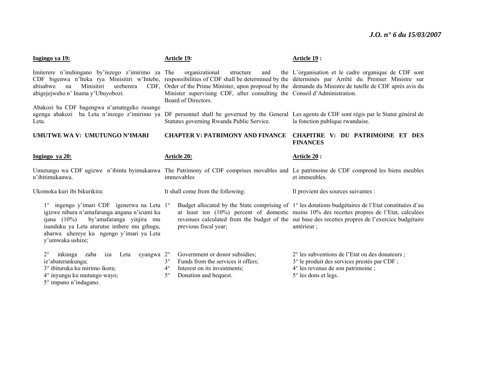| Ingingo ya 19:                                                                                                                                                                                                                                                      | <b>Article 19:</b>                                                                                                                                                     | Article 19:                                                                                                                                                                                                                                                                                                              |
|---------------------------------------------------------------------------------------------------------------------------------------------------------------------------------------------------------------------------------------------------------------------|------------------------------------------------------------------------------------------------------------------------------------------------------------------------|--------------------------------------------------------------------------------------------------------------------------------------------------------------------------------------------------------------------------------------------------------------------------------------------------------------------------|
| Imiterere n'inshingano by inzego z'imirimo za The organizational<br>Minisitiri<br>abisabwe<br>ureberera<br>na<br>abigejejweho n' Inama y'Ubuyobozi.                                                                                                                 | structure<br>and<br>Minister supervising CDF, after consulting the Conseil d'Administration.<br>Board of Directors.                                                    | the L'organisation et le cadre organique de CDF sont<br>CDF bigenwa n'Iteka rya Minisitiri w'Intebe, responsibilities of CDF shall be determined by the déterminés par Arrêté du Premier Ministre sur<br>CDF, Order of the Prime Minister, upon proposal by the demande du Ministre de tutelle de CDF après avis du      |
| Abakozi ba CDF bagengwa n'amategeko rusange<br>Leta.                                                                                                                                                                                                                | Statutes governing Rwanda Public Service.                                                                                                                              | agenga abakozi ba Leta n'inzego z'imirimo ya DF personnel shall be governed by the General Les agents de CDF sont régis par le Statut général de<br>la fonction publique rwandaise.                                                                                                                                      |
| UMUTWE WA V: UMUTUNGO N'IMARI                                                                                                                                                                                                                                       | <b>CHAPTER V: PATRIMONY AND FINANCE</b>                                                                                                                                | CHAPITRE V: DU PATRIMOINE ET DES<br><b>FINANCES</b>                                                                                                                                                                                                                                                                      |
| <u>Ingingo ya 20:</u>                                                                                                                                                                                                                                               | <u>Article 20:</u>                                                                                                                                                     | <u>Article 20:</u>                                                                                                                                                                                                                                                                                                       |
| n'ibitimukanwa.                                                                                                                                                                                                                                                     | immovables                                                                                                                                                             | Umutungo wa CDF ugizwe n'ibintu byimukanwa The Patrimony of CDF comprises movables and Le patrimoine de CDF comprend les biens meubles<br>et immeubles.                                                                                                                                                                  |
| Ukomoka kuri ibi bikurikira:                                                                                                                                                                                                                                        | It shall come from the following:                                                                                                                                      | Il provient des sources suivantes :                                                                                                                                                                                                                                                                                      |
| ingengo y'imari CDF igenerwa na Leta 1°<br>$1^{\circ}$<br>igizwe nibura n'amafaranga angana n'icumi ku<br>by'amafaranga yinjira mu<br>ijana $(10\%)$<br>isanduku ya Leta aturutse imbere mu gihugu,<br>abarwa uhereye ku ngengo y'imari ya Leta<br>y'umwaka ushize; | previous fiscal year;                                                                                                                                                  | Budget allocated by the State comprising of 1° les dotations budgétaires de l'Etat constituées d'au<br>at least ten $(10%)$ percent of domestic moins $10%$ des recettes propres de l'Etat, calculées<br>revenues calculated from the budget of the sur base des recettes propres de l'exercice budgétaire<br>antérieur; |
| $2^{\circ}$<br>Leta<br>cyangwa $2^{\circ}$<br>inkunga<br>zaba<br>iza<br>iz'abaterankunga;<br>3° ibituruka ku mirimo ikora;<br>$4^\circ$ inyungu ku mutungo wayo;                                                                                                    | Government or donor subsidies;<br>$3^\circ$<br>Funds from the services it offers;<br>$4^{\circ}$<br>Interest on its investments;<br>$5^\circ$<br>Donation and bequest. | 2° les subventions de l'Etat ou des donateurs ;<br>3° le produit des services prestés par CDF ;<br>$4^{\circ}$ les revenus de son patrimoine;<br>5° les dons et legs.                                                                                                                                                    |

5° impano n'indagano.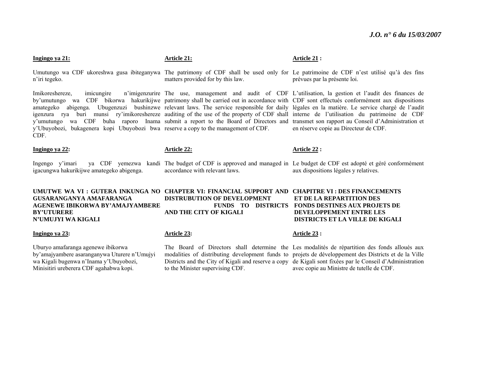#### **Ingingo ya 21:**

<sup>n</sup>'iri tegeko.

Imikoreshereze, imicungire n'imigenzurire The use, management and audit of CDF L'utilisation, la gestion et l'audit des finances de by'umutungo wa CDF bikorwa hakurikijwe patrimony shall be carried out in accordance with CDF sont effectués conformément aux dispositions amategeko abigenga. Ubugenzuzi bushinzwe relevant laws. The service responsible for daily légales en la matière. Le service chargé de l'audit igenzura rya buri munsi ry'imikoreshereze auditing of the use of the property of CDF shall interne de l'utilisation du patrimoine de CDF y'umutungo wa CDF buha raporo Inama submit a report to the Board of Directors and transmet son rapport au Conseil d'Administration et y'Ubuyobozi, bukagenera kopi Ubuyobozi bwa reserve a copy to the management of CDF. CDF.

#### **Ingingo ya 22:**

Ingengo y'imari ya CDF yemezwa kandi The budget of CDF is approved and managed in Le budget de CDF est adopté et géré conformément igacungwa hakurikijwe amategeko abigenga.

## **GUSARANGANYA AMAFARANGA AGENEWE IBIKORWA BY'AMAJYAMBERE BY'UTURERE N'UMUJYI WA KIGALI**

#### **Ingingo ya 23:**

Uburyo amafaranga agenewe ibikorwa by'amajyambere asaranganywa Uturere n'Umujyi wa Kigali bugenwa n'Inama y'Ubuyobozi, Minisitiri ureberera CDF agahabwa kopi.

#### **Article 21:**

Umutungo wa CDF ukoreshwa gusa ibiteganywa The patrimony of CDF shall be used only for Le patrimoine de CDF n'est utilisé qu'à des fins matters provided for by this law. prévues par la présente loi.

#### **Article 22:**

accordance with relevant laws.

aux dispositions légales y relatives.

en réserve copie au Directeur de CDF.

**UMUTWE WA VI : GUTERA INKUNGA NO CHAPTER VI: FINANCIAL SUPPORT AND CHAPITRE VI : DES FINANCEMENTS DISTRUBUTION OF DEVELOPMENT FUNDS TO DISTRICTS FONDS DESTINES AUX PROJETS DE AND THE CITY OF KIGALI ET DE LA REPARTITION DES DEVELOPPEMENT ENTRE LES DISTRICTS ET LA VILLE DE KIGALI** 

#### **Article 23:**

to the Minister supervising CDF.

#### **Article 23 :**

**Article 22 :** 

The Board of Directors shall determine the Les modalités de répartition des fonds alloués aux modalities of distributing development funds to projets de développement des Districts et de la Ville Districts and the City of Kigali and reserve a copy de Kigali sont fixées par le Conseil d'Administration avec copie au Ministre de tutelle de CDF.

#### **Article 21 :**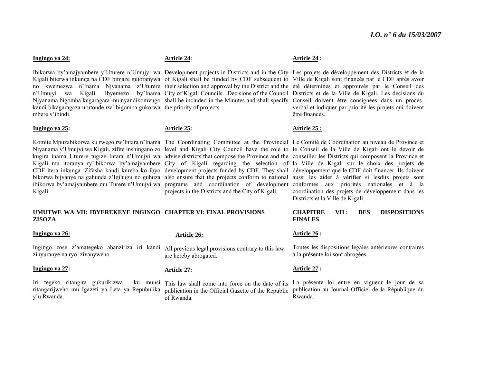#### **Ingingo ya 24:**

Njyanama bigomba kugaragara mu nyandikomvugo shall be included in the Minutes and shall specify Conseil doivent être consignées dans un procèskandi bikagaragaza urutonde rw'ibigomba gukorwa the priority of projects. mbere y'ibindi.

#### **Ingingo ya 25:**

Kigali.

#### **UMUTWE WA VII: IBYEREKEYE INGINGO CHAPTER VI: FINAL PROVISIONS ZISOZA**

#### **Ingingo ya 26:**

Ingingo zose z'amategeko abanziriza iri kandi All previous legal provisions contrary to this law zinyuranye na ryo zivanyweho.

#### **Ingingo ya 27:**

Iri tegeko ritangira gukurikizwa ritangarijweho mu Igazeti ya Leta ya Repubulika publication in the Official Gazette of the Republic y'u Rwanda.

#### **Article 24:**

#### **Article 25:**

projects in the Districts and the City of Kigali.

#### **Article 24 :**

Ibikorwa by'amajyambere y'Uturere n'Umujyi wa Development projects in Districts and in the City Les projets de développement des Districts et de la Kigali biterwa inkunga na CDF bimaze gutoranywa of Kigali shall be funded by CDF subsequent to Ville de Kigali sont financés par le CDF après avoir no kwemezwa n'Inama Njyanama z'Uturere their selection and approval by the District and the été déterminés et approuvés par le Conseil des <sup>n</sup>'Umujyi wa Kigali. Ibyemezo by'Inama City of Kigali Councils. Decisions of the Council Districts et de la Ville de Kigali. Les décisions du verbal et indiquer par priorité les projets qui doivent être financés.

#### **Article 25 :**

Komite Mpuzabikorwa ku rwego rw'Intara n'Inama The Coordinating Committee at the Provincial Le Comité de Coordination au niveau de Province et Njyanama y'Umujyi wa Kigali, zifite inshingano zo level and Kigali City Council have the role to le Conseil de la Ville de Kigali ont le devoir de kugira inama Uturere tugize Intara n'Umujyi wa advise districts that compose the Province and the conseiller les Districts qui composent la Province et Kigali mu itoranya ry'ibikorwa by'amajyambere City of Kigali regarding the selection of la Ville de Kigali sur le choix des projets de CDF itera inkunga. Zifasha kandi kureba ko ibyo development projects funded by CDF. They shall développement que le CDF doit financer. Ils doivent bikorwa bijyanye na gahunda z'Igihugu no guhuza also ensure that the projects conform to national aussi les aider à vérifier si lesdits projets sont ibikorwa by'amajyambere mu Turere n'Umujyi wa programs and coordination of development conformes aux priorités nationales et à la coordination des projets de développement dans les Districts et la Ville de Kigali.

#### **CHAPITRE VII : DES DISPOSITIONS FINALES**

#### **Article 26 :**

Toutes les dispositions légales antérieures contraires à la présente loi sont abrogées.

#### **Article 27 :**

This law shall come into force on the date of its La présente loi entre en vigueur le jour de sa publication au Journal Officiel de la République du Rwanda.

#### **Article 26:**

are hereby abrogated.

#### **Article 27:**

of Rwanda.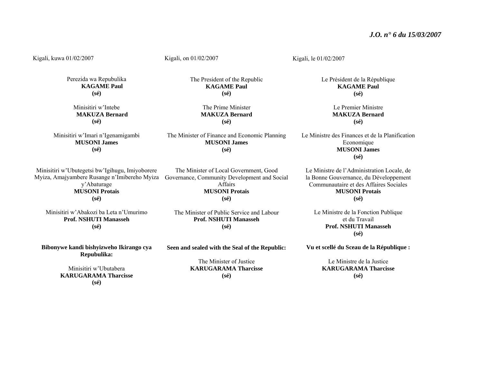Kigali, kuwa 01/02/2007 Perezida wa Repubulika **KAGAME Paul (sé)**  Minisitiri w'Intebe **MAKUZA Bernard (sé)**  Minisitiri w'Imari n'Igenamigambi **MUSONI James (sé)**  Minisitiri w'Ubutegetsi bw'Igihugu, Imiyoborere Myiza, Amajyambere Rusange n'Imibereho Myiza Governance, Community Development and Social y'Abaturage **MUSONI Protais (sé)**  Minisitiri w'Abakozi ba Leta n'Umurimo **Prof. NSHUTI Manasseh (sé) Bibonywe kandi bishyizweho Ikirango cya Repubulika:**  Minisitiri w'Ubutabera Kigali, on 01/02/2007 The President of the Republic **KAGAME Paul (sé)**  The Prime Minister **MAKUZA Bernard (sé)**  The Minister of Finance and Economic Planning **MUSONI James (sé)**  The Minister of Local Government, Good Affairs **MUSONI Protais (sé)**  The Minister of Public Service and Labour **Prof. NSHUTI Manasseh (sé) Seen and sealed with the Seal of the Republic:**  The Minister of Justice **KARUGARAMA Tharcisse**Kigali, le 01/02/2007 Le Président de la République **KAGAME Paul (sé)**  Le Premier Ministre **MAKUZA Bernard (sé)**  Le Ministre des Finances et de la Planification **Economique MUSONI James (sé)**  Le Ministre de l'Administration Locale, de la Bonne Gouvernance, du Développement Communautaire et des Affaires Sociales**MUSONI Protais (sé)**  Le Ministre de la Fonction Publique et du Travail **Prof. NSHUTI Manasseh (sé) Vu et scellé du Sceau de la République :**  Le Ministre de la Justice **KARUGARAMA Tharcisse** 

**(sé)** 

**KARUGARAMA Tharcisse (sé)** 

**(sé)**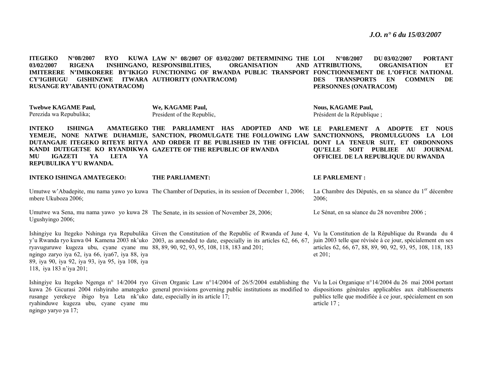**ITEGEKO** N°08/2007 RYO **LAW N° 08/2007 OF 03/02/2007 DETERMINING THE 03/02/2007 RIGENA INSHINGANO, RESPONSIBILITIES, ORGANISATION AND IMITERERE N'IMIKORERE BY'IKIGO FUNCTIONING OF RWANDA PUBLIC TRANSPORT FONCTIONNEMENT DE L'OFFICE NATIONAL CY'IGIHUGU GISHINZWE ITWARA AUTHORITY (ONATRACOM) RUSANGE RY'ABANTU (ONATRACOM) LOI N°08/2007 DU 03/02/2007 PORTANT ATTRIBUTIONS, ORGANISATION ET DES TRANSPORTS EN COMMUN DE PERSONNES (ONATRACOM)** 

**Twebwe KAGAME Paul,**  Perezida wa Repubulika;

**INTEKO ISHINGA AMATEGEKO:** 

**We, KAGAME Paul,** President of the Republic,

**THEFT DANS EARLY CONTROL** 

**Nous, KAGAME Paul,**  Président de la République ;

**LE PARLEMENT :** 

**INTEKO ISHINGA AMATEGEKO THE PARLIAMENT HAS ADOPTED AND WE LE PARLEMENT A ADOPTE ET NOUS YEMEJE, NONE NATWE DUHAMIJE, SANCTION, PROMULGATE THE FOLLOWING LAW SANCTIONNONS, PROMULGUONS LA LOI DUTANGAJE ITEGEKO RITEYE RITYA AND ORDER IT BE PUBLISHED IN THE OFFICIAL DONT LA TENEUR SUIT, ET ORDONNONS KANDI DUTEGETSE KO RYANDIKWA GAZETTE OF THE REPUBLIC OF RWANDA MU IGAZETI YA LETA YA REPUBULIKA Y'U RWANDA. QU'ELLE SOIT PUBLIEE AU JOURNAL OFFICIEL DE LA REPUBLIQUE DU RWANDA** 

| INTEKO ISHINGA AMATEGEKO: | THE PARLIAMENT:                                                                                       | LE PARLEMENT :                                                            |
|---------------------------|-------------------------------------------------------------------------------------------------------|---------------------------------------------------------------------------|
| mbere Ukuboza 2006:       | Umutwe w'Abadepite, mu nama yawo yo kuwa The Chamber of Deputies, in its session of December 1, 2006; | La Chambre des Députés, en sa séance du 1 <sup>er</sup> décembre<br>2006: |
| Ugushyingo 2006;          | Umutwe wa Sena, mu nama yawo yo kuwa 28 The Senate, in its session of November 28, 2006;              | Le Sénat, en sa séance du 28 novembre 2006 ;                              |

Ishingiye ku Itegeko Nshinga rya Repubulika Given the Constitution of the Republic of Rwanda of June 4, Vu la Constitution de la République du Rwanda du 4 y'u Rwanda ryo kuwa 04 Kamena 2003 nk'uko 2003, as amended to date, especially in its articles 62, 66, 67, juin 2003 telle que révisée à ce jour, spécialement en ses ryavuguruwe kugeza ubu, cyane cyane mu 88, 89, 90, 92, 93, 95, 108, 118, 183 and 201; ngingo zaryo iya 62, iya 66, iya67, iya 88, iya 89, iya 90, iya 92, iya 93, iya 95, iya 108, iya 118, iya 183 n'iya 201; articles 62, 66, 67, 88, 89, 90, 92, 93, 95, 108, 118, 183 et 201;

Ishingiye ku Itegeko Ngenga n° 14/2004 ryo Given Organic Law n°14/2004 of 26/5/2004 establishing the Vu la Loi Organique n°14/2004 du 26 mai 2004 portant kuwa 26 Gicurasi 2004 rishyiraho amategeko general provisions governing public institutions as modified to dispositions générales applicables aux établissements rusange yerekeye ibigo bya Leta nk'uko date, especially in its article 17; ryahinduwe kugeza ubu, cyane cyane mu ngingo yaryo ya 17; publics telle que modifiée à ce jour, spécialement en son article 17 ;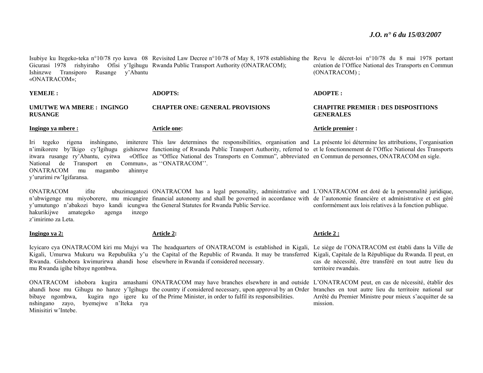Isubiye ku Itegeko-teka n°10/78 ryo kuwa 08 Revisited Law Decree n°10/78 of May 8, 1978 establishing the Revu le décret-loi n°10/78 du 8 mai 1978 portant Gicurasi 1978 rishyiraho Ofisi y'Igihugu Rwanda Public Transport Authority (ONATRACOM); Ishinzwe Transiporo Rusange y'Abantu «ONATRACOM»; création de l'Office National des Transports en Commun (ONATRACOM) ;

**YEMEJE : UMUTWE WA MBERE : INGINGO RUSANGE ADOPTS: CHAPTER ONE: GENERAL PROVISIONS ADOPTE : CHAPITRE PREMIER : DES DISPOSITIONS GENERALES** 

**Ingingo ya mbere :** 

**Article one:** 

Iri tegeko rigena inshingano, imiterere This law determines the responsibilities, organisation and La présente loi détermine les attributions, l'organisation n'imikorere by'Ikigo cy'Igihugu gishinzwe functioning of Rwanda Public Transport Authority, referred to et le fonctionnement de l'Office National des Transports itwara rusange ry'Abantu, cyitwa «Office as "Office National des Transports en Commun", abbreviated en Commun de personnes, ONATRACOM en sigle. National de Transport en Commun», as ''ONATRACOM''. ONATRACOM mu magambo ahinnye y'ururimi rw'Igifaransa.

ONATRACOM ifite ubuzimagatozi ONATRACOM has a legal personality, administrative and L'ONATRACOM est doté de la personnalité juridique, n'ubwigenge mu miyoborere, mu micungire financial autonomy and shall be governed in accordance with de l'autonomie financière et administrative et est géré y'umutungo n'abakozi bayo kandi icungwa the General Statutes for Rwanda Public Service. hakurikijwe amategeko agenga inzego z'imirimo za Leta. conformément aux lois relatives à la fonction publique.

**Ingingo ya 2:**

#### **Article 2:**

Icyicaro cya ONATRACOM kiri mu Mujyi wa The headquarters of ONATRACOM is established in Kigali, Le siège de l'ONATRACOM est établi dans la Ville de Kigali, Umurwa Mukuru wa Repubulika y'u the Capital of the Republic of Rwanda. It may be transferred Kigali, Capitale de la République du Rwanda. Il peut, en Rwanda. Gishobora kwimurirwa ahandi hose elsewhere in Rwanda if considered necessary. mu Rwanda igihe bibaye ngombwa.

ONATRACOM ishobora kugira amashami ONATRACOM may have branches elsewhere in and outside L'ONATRACOM peut, en cas de nécessité, établir des ahandi hose mu Gihugu no hanze y'Igihugu the country if considered necessary, upon approval by an Order branches en tout autre lieu du territoire national sur bibaye ngombwa, kugira ngo igere ku of the Prime Minister, in order to fulfil its responsibilities. nshingano zayo, byemejwe n'Iteka rya Minisitiri w'Intebe.

#### **Article 2 :**

**Article premier :** 

cas de nécessité, être transféré en tout autre lieu du territoire rwandais.

Arrêté du Premier Ministre pour mieux s'acquitter de sa mission.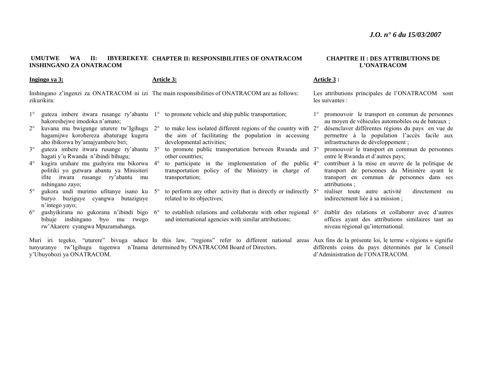#### **UMUTWE WA II: IBYEREKEYE CHAPTER II: RESPONSIBILITIES OF ONATRACOM INSHINGANO ZA ONATRACOM**

#### **Ingingo ya 3:**

#### **Article 3:**

Inshingano z'ingenzi za ONATRACOM ni izi The main responsibilities of ONATRACOM are as follows: zikurikira:

- 1°hakoreshejwe imodoka n'amato;
- $2^{\circ}$  kuvana mu bwigunge uturere tw'Igihugu 2°hagamijwe korohereza abaturage kugera aho ibikorwa by'amajyambere biri;
- 3°° guteza imbere itwara rusange ry'abantu 3° hagati y'u Rwanda n'ibindi bihugu;
- $4^\circ$  kugira uruhare mu gushyira mu bikorwa 4°politiki yo gutwara abantu ya Minisiteri ifite itwara rusange ry'abantu mu nshingano zayo;
- $5^{\circ}$ buryo buziguye cyangwa butaziguye <sup>n</sup>'intego yayo;
- $6^{\circ}$  gushyikirana no gukorana n'ibindi bigo 6°bihuje inshingano byo mu rwego rw'Akarere cyangwa Mpuzamahanga.
- $\degree$  guteza imbere itwara rusange ry'abantu  $1\degree$  to promote vehicle and ship public transportation;
	- <sup>o</sup> to make less isolated different regions of the country with 2<sup>o</sup> the aim of facilitating the population in accessing developmental activities;
	- <sup>o</sup> to promote public transportation between Rwanda and 3<sup>o</sup> other countries;
	- <sup>o</sup> to participate in the implementation of the public 4<sup>o</sup> transportation policy of the Ministry in charge of transportation;
- <sup>o</sup> gukora undi murimo ufitanye isano ku 5<sup>o</sup> to perform any other activity that is directly or indirectly 5<sup>o</sup> related to its objectives;
	- <sup>o</sup> to establish relations and collaborate with other regional 6° and international agencies with similar attributions;

Muri iri tegeko, "uturere" bivuga uduce In this law, "regions" refer to different national areas Aux fins de la présente loi, le terme « régions » signifie tunyuranye tw'Igihugu tugenwa n'Inama determined by ONATRACOM Board of Directors. y'Ubuyobozi ya ONATRACOM.

#### **CHAPITRE II : DES ATTRIBUTIONS DE L'ONATRACOM**

#### **Article 3 :**

Les attributions principales de l'ONATRACOM sont les suivantes :

- 1° promouvoir le transport en commun de personnes au moyen de véhicules automobiles ou de bateaux ;
- désenclaver différentes régions du pays en vue de permettre à la population l'accès facile aux infrastructures de développement ;
- promouvoir le transport en commun de personnes entre le Rwanda et d'autres pays;
- contribuer à la mise en œuvre de la politique de transport de personnes du Ministère ayant le transport en commun de personnes dans ses attributions ;
- réaliser toute autre activité directement ou indirectement liée à sa mission ;
- établir des relations et collaborer avec d'autres offices ayant des attributions similaires tant au niveau régional qu'international.
- différents coins du pays déterminés par le Conseil d'Administration de l'ONATRACOM.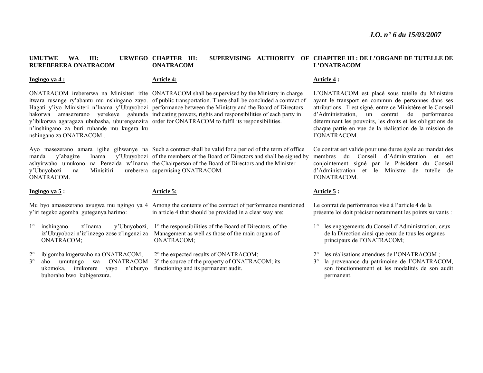#### **UMUTWE WA III: URWEGO CHAPTER III: RUREBERERA ONATRACOM CHAPTER III: SUPERVISING AUTHORITY OF CHAPITRE III : DE L'ORGANE DE TUTELLE DE ONATRACOM L'ONATRACOM**

#### **Ingingo ya 4 :**

#### **Article 4:**

<sup>n</sup>'inshingano za buri ruhande mu kugera ku nshingano za ONATRACOM .

y'Ubuyobozi na Minisitiri ONATRACOM.

#### **Ingingo ya 5 :**

**Article 5:**

y'iri tegeko agomba guteganya harimo:

- 1° inshingano z'Inama y'Ubuyobozi, ONATRACOM;
- $2^{\circ}$ ibigomba kugerwaho na ONATRACOM;

3°ukomoka, imikorere yayo n'uburyo functioning and its permanent audit. buhoraho bwo kubigenzura.

ONATRACOM irebererwa na Minisiteri ifite ONATRACOM shall be supervised by the Ministry in charge itwara rusange ry'abantu mu nshingano zayo. of public transportation. There shall be concluded a contract of Hagati y'iyo Minisiteri n'Inama y'Ubuyobozi performance between the Ministry and the Board of Directors hakorwa amasezerano yerekeye gahunda indicating powers, rights and responsibilities of each party in y'ibikorwa agaragaza ububasha, uburenganzira order for ONATRACOM to fulfil its responsibilities.

Ayo masezerano amara igihe gihwanye na Such a contract shall be valid for a period of the term of office manda y'abagize Inama y'Ubuyobozi of the members of the Board of Directors and shall be signed by ashyirwaho umukono na Perezida w'Inama the Chairperson of the Board of Directors and the Minister ureberera supervising ONATRACOM.

#### Mu byo amasezerano avugwa mu ngingo ya 4 Among the contents of the contract of performance mentioned in article 4 that should be provided in a clear way are:

iz'Ubuyobozi n'iz'inzego zose z'ingenzi za Management as well as those of the main organs of 1° the responsibilities of the Board of Directors, of the ONATRACOM;

<sup>o</sup> aho umutungo wa ONATRACOM 3<sup>o</sup> the source of the property of ONATRACOM; its 2° the expected results of ONATRACOM;

#### **Article 4 :**

L'ONATRACOM est placé sous tutelle du Ministère ayant le transport en commun de personnes dans ses attributions. Il est signé, entre ce Ministère et le Conseil d'Administration, un contrat de performance déterminant les pouvoirs, les droits et les obligations de chaque partie en vue de la réalisation de la mission de l'ONATRACOM.

Ce contrat est valide pour une durée égale au mandat des membres du Conseil d'Administration et est conjointement signé par le Président du Conseil d'Administration et le Ministre de tutelle de l'ONATRACOM.

#### **Article 5 :**

Le contrat de performance visé à l'article 4 de la présente loi doit préciser notamment les points suivants :

- 1° les engagements du Conseil d'Administration, ceux de la Direction ainsi que ceux de tous les organes principaux de l'ONATRACOM;
- $2^{\circ}$ les réalisations attendues de l'ONATRACOM ;
- 3° la provenance du patrimoine de l'ONATRACOM, son fonctionnement et les modalités de son audit permanent.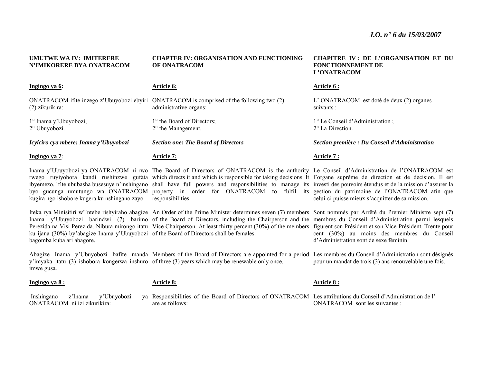| <b>UMUTWE WA IV: IMITERERE</b><br>N'IMIKORERE BYA ONATRACOM                                                          | <b>CHAPTER IV: ORGANISATION AND FUNCTIONING</b><br>OF ONATRACOM                                                                                                                                                                                                                                                                                                                                                                                                                                                                                                                                                      | <b>CHAPITRE IV: DE L'ORGANISATION ET DU</b><br><b>FONCTIONNEMENT DE</b><br>L'ONATRACOM |
|----------------------------------------------------------------------------------------------------------------------|----------------------------------------------------------------------------------------------------------------------------------------------------------------------------------------------------------------------------------------------------------------------------------------------------------------------------------------------------------------------------------------------------------------------------------------------------------------------------------------------------------------------------------------------------------------------------------------------------------------------|----------------------------------------------------------------------------------------|
| Ingingo ya 6:                                                                                                        | Article 6:                                                                                                                                                                                                                                                                                                                                                                                                                                                                                                                                                                                                           | Article 6 :                                                                            |
| (2) zikurikira:                                                                                                      | ONATRACOM if the inzego z'Ubuyobozi ebyiri ONATRACOM is comprised of the following two (2)<br>administrative organs:                                                                                                                                                                                                                                                                                                                                                                                                                                                                                                 | L'ONATRACOM est doté de deux (2) organes<br>suivants :                                 |
| 1° Inama y'Ubuyobozi;<br>2° Ubuyobozi.                                                                               | 1° the Board of Directors;<br>2° the Management.                                                                                                                                                                                                                                                                                                                                                                                                                                                                                                                                                                     | 1° Le Conseil d'Administration;<br>2° La Direction.                                    |
| Icyiciro cya mbere: Inama y'Ubuyobozi                                                                                | <b>Section one: The Board of Directors</b>                                                                                                                                                                                                                                                                                                                                                                                                                                                                                                                                                                           | Section première : Du Conseil d'Administration                                         |
| Ingingo ya 7:                                                                                                        | <b>Article 7:</b>                                                                                                                                                                                                                                                                                                                                                                                                                                                                                                                                                                                                    | Article 7 :                                                                            |
| kugira ngo ishobore kugera ku nshingano zayo. responsibilities.                                                      | Inama y'Ubuyobozi ya ONATRACOM ni rwo The Board of Directors of ONATRACOM is the authority Le Conseil d'Administration de l'ONATRACOM est<br>rwego ruyiyobora kandi rushinzwe gufata which directs it and which is responsible for taking decisions. It l'organe suprême de direction et de décision. Il est<br>ibyemezo. Ifite ububasha busesuye n'inshingano shall have full powers and responsibilities to manage its investi des pouvoirs étendus et de la mission d'assurer la<br>byo gucunga umutungo wa ONATRACOM property in order for ONATRACOM to fulfil its gestion du patrimoine de l'ONATRACOM afin que | celui-ci puisse mieux s'acquitter de sa mission.                                       |
| ku ijana (30%) by'abagize Inama y'Ubuyobozi of the Board of Directors shall be females.<br>bagomba kuba ari abagore. | Iteka rya Minisitiri w'Intebe rishyiraho abagize An Order of the Prime Minister determines seven (7) members Sont nommés par Arrêté du Premier Ministre sept (7)<br>Inama y'Ubuyobozi barindwi (7) barimo of the Board of Directors, including the Chairperson and the membres du Conseil d'Administration parmi lesquels<br>Perezida na Visi Perezida. Nibura mirongo itatu Vice Chairperson. At least thirty percent (30%) of the members figurent son Président et son Vice-Président. Trente pour                                                                                                                | cent (30%) au moins des membres du Conseil<br>d'Administration sont de sexe féminin.   |
| imwe gusa.                                                                                                           | Abagize Inama y'Ubuyobozi bafite manda Members of the Board of Directors are appointed for a period Les membres du Conseil d'Administration sont désignés<br>y'imyaka itatu (3) ishobora kongerwa inshuro of three (3) years which may be renewable only once.                                                                                                                                                                                                                                                                                                                                                       | pour un mandat de trois (3) ans renouvelable une fois.                                 |
| Ingingo ya 8:                                                                                                        | <b>Article 8:</b>                                                                                                                                                                                                                                                                                                                                                                                                                                                                                                                                                                                                    | Article 8 :                                                                            |
| Inshingano<br>z'Inama<br>y'Ubuyobozi<br>ONATRACOM ni izi zikurikira:                                                 | ya Responsibilities of the Board of Directors of ONATRACOM Les attributions du Conseil d'Administration de l'<br>are as follows:                                                                                                                                                                                                                                                                                                                                                                                                                                                                                     | ONATRACOM sont les suivantes :                                                         |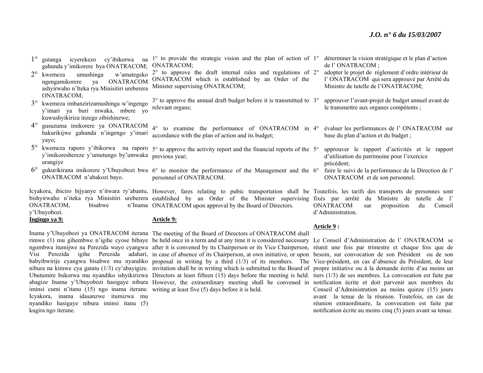- 1° gutanga icyerekezo cy'ibikorwa na gahunda y'imikorere bya ONATRACOM; 1° to provide the strategic vision and the plan of action of 1° déterminer la vision stratégique et le plan d'action ONATRACOM;
- 2<sup>°</sup> kwemeza umushinga w'amategeko ngengamikorere ya ONATRACOM ashyirwaho n'Iteka rya Minisitiri ureberera ONATRACOM; 2° to approve the draft internal rules and regulations of 2°ONATRACOM which is established by an Order of the Minister supervising ONATRACOM;
- 3° kwemeza imbanzirizamushinga w'ingengo y'imari ya buri mwaka, mbere yo kuwushyikiriza inzego zibishinzwe; 3° to approve the annual draft budget before it is transmitted to 3°relevant organs;
- $4^\circ$  gusuzuma imikorere ya ONATRACOM hakurikijwe gahunda n'ingengo y'imari yayo; 4° to examine the performance of ONATRACOM in 4°accordance with the plan of action and its budget;
- 5<sup>°</sup> kwemeza raporo y'ibikorwa na raporo 5° to approve the activity report and the financial reports of the 5° y'imikoreshereze y'umutungo by'umwaka previous year; urangiye
- $6^{\circ}$ qually gukurikirana imikorere y'Ubuyobozi bwa  $6^{\circ}$  to monitor the performance of the Management and the  $6^{\circ}$  faire le suivi de la performance de la Direction de l' ONATRACOM n'abakozi bayo. personnel of ONATRACOM.

Icyakora, ibiciro bijyanye n'itwara ry'abantu, However, fares relating to pubic transportation shall be Toutefois, les tarifs des transports de personnes sont bishyirwaho n'iteka rya Minisitiri ureberera established by an Order of the Minister supervising fixés par arrêté du Ministre de tutelle de l' ONATRACOM, bisabwe n'Inama ONATRACOM upon approval by the Board of Directors.

y'Ubuyobozi.

#### **Ingingo ya 9:**

#### **Article 9:**

Inama y'Ubuyobozi ya ONATRACOM iterana The meeting of the Board of Directors of ONATRACOM shall iminsi cumi n'itanu (15) ngo inama iterane. writing at least five (5) days before it is held. Icyakora, inama idasanzwe itumizwa mu nyandiko hasigaye nibura iminsi itanu (5) kugira ngo iterane.

rimwe (1) mu gihembwe n'igihe cyose bibaye be held once in a term and at any time it is considered necessary ngombwa itumijwe na Perezida wayo cyangwa after it is convened by its Chairperson or its Vice Chairperson, Visi Perezida igihe Perezida adahari, in case of absence of its Chairperson, at own initiative, or upon babyibwirije cyangwa bisabwe mu nyandiko proposal in writing by a third (1/3) of its members. The nibura na kimwe cya gatatu (1/3) cy'abayigize. invitation shall be in writing which is submitted to the Board of Ubutumire bukorwa mu nyandiko ishyikirizwa Directors at least fifteen (15) days before the meeting is held. tiers (1/3) de ses membres. La convocation est faite par abagize Inama y'Ubuyobozi hasigaye nibura However, the extraordinary meeting shall be convened in notification écrite et doit parvenir aux membres du

- de l' ONATRACOM ;
- adopter le projet de règlement d'ordre intérieur de l' ONATRACOM qui sera approuvé par Arrêté du Ministre de tutelle de l'ONATRACOM;
- approuver l'avant-projet de budget annuel avant de le transmettre aux organes compétents ;
- évaluer les performances de l' ONATRACOM sur base du plan d'action et du budget ;
- approuver le rapport d'activités et le rapport d'utilisation du patrimoine pour l'exercice précédent;
- ONATRACOM et de son personnel.

ONATRACOM sur proposition du Conseil d'Administration.

#### **Article 9 :**

Le Conseil d'Administration de l' ONATRACOM se réunit une fois par trimestre et chaque fois que de besoin, sur convocation de son Président ou de son Vice-président, en cas d'absence du Président, de leur propre initiative ou à la demande écrite d'au moins un Conseil d'Administration au moins quinze (15) jours avant la tenue de la réunion. Toutefois, en cas de réunion extraordinaire, la convocation est faite par notification écrite au moins cinq (5) jours avant sa tenue.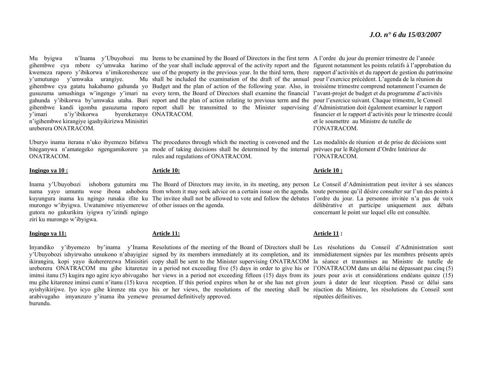y'umutungo y'umwaka urangiye. y'imari n'iy'ibikorwa <sup>n</sup>'igihembwe kirangiye igashyikirizwa Minisitiri ureberera ONATRACOM.

ONATRACOM.

#### **Ingingo ya 10 :**

murongo w'ibyigwa. Uwatumiwe ntiyemerewe of other issues on the agenda. gutora no gukurikira iyigwa ry'izindi ngingo ziri ku murongo w'ibyigwa.

#### **Ingingo ya 11:**

arabivugaho imyanzuro y'inama iba yemewe presumed definitively approved. burundu.

Mu byigwa n'Inama y'Ubuyobozi mu Items to be examined by the Board of Directors in the first term A l'ordre du jour du premier trimestre de l'année gihembwe cya mbere cy'umwaka harimo of the year shall include approval of the activity report and the figurent notamment les points relatifs à l'approbation du kwemeza raporo y'ibikorwa n'imikoreshereze use of the property in the previous year. In the third term, there rapport d'activités et du rapport de gestion du patrimoine gihembwe cya gatatu hakabamo gahunda yo Budget and the plan of action of the following year. Also, in troisième trimestre comprend notamment l'examen de gusuzuma umushinga w'ingengo y'imari na every term, the Board of Directors shall examine the financial l'avant-projet de budget et du programme d'activités gahunda y'ibikorwa by'umwaka utaha. Buri report and the plan of action relating to previous term and the pour l'exercice suivant. Chaque trimestre, le Conseil gihembwe kandi igomba gusuzuma raporo report shall be transmitted to the Minister supervising d'Administration doit également examiner le rapport shall be included the examination of the draft of the annual pour l'exercice précédent. L'agenda de la réunion du byerekeranye ONATRACOM.

Uburyo inama iterana n'uko ibyemezo bifatwa The procedures through which the meeting is convened and the Les modalités de réunion et de prise de décisions sont biteganywa n'amategeko ngengamikorere ya mode of taking decisions shall be determined by the internal prévues par le Règlement d'Ordre Intérieur de rules and regulations of ONATRACOM.

#### **Article 10:**

Inama y'Ubuyobozi ishobora gutumira mu The Board of Directors may invite, in its meeting, any person Le Conseil d'Administration peut inviter à ses séances nama yayo umuntu wese ibona ashobora from whom it may seek advice on a certain issue on the agenda. toute personne qu'il désire consulter sur l'un des points à kuyungura inama ku ngingo runaka ifite ku The invitee shall not be allowed to vote and follow the debates l'ordre du jour. La personne invitée n'a pas de voix

#### **Article 11:**

Inyandiko y'ibyemezo by'inama y'Inama Resolutions of the meeting of the Board of Directors shall be Les résolutions du Conseil d'Administration sont y'Ubuyobozi ishyirwaho umukono n'abayigize signed by its members immediately at its completion, and its immédiatement signées par les membres présents après ikirangira, kopi yayo ikohererezwa Minisitiri copy shall be sent to the Minister supervising ONATRACOM la séance et transmises au Ministre de tutelle de ureberera ONATRACOM mu gihe kitarenze in a period not exceeding five (5) days in order to give his or l'ONATRACOM dans un délai ne dépassant pas cinq (5) iminsi itanu (5) kugira ngo agire icyo abivugaho her views in a period not exceeding fifteen (15) days from its jours pour avis et considérations endéans quinze (15) mu gihe kitarenze iminsi cumi n'itanu (15) kuva reception. If this period expires when he or she has not given jours à dater de leur réception. Passé ce délai sans ayishyikirijwe. Iyo icyo gihe kirenze nta cyo his or her views, the resolutions of the meeting shall be réaction du Ministre, les résolutions du Conseil sont

financier et le rapport d'activités pour le trimestre écoulé et le soumettre au Ministre de tutelle de l'ONATRACOM.

l'ONATRACOM.

#### **Article 10 :**

délibérative et participe uniquement aux débats concernant le point sur lequel elle est consultée.

#### **Article 11 :**

réputées définitives.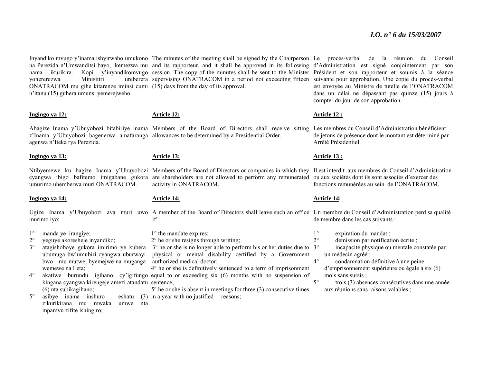yohererezwa Minisitiri ONATRACOM mu gihe kitarenze iminsi cumi (15) days from the day of its approval. <sup>n</sup>'itanu (15) guhera umunsi yemerejweho.

#### **Ingingo ya 12:**

#### **Article 12:**

Abagize Inama y'Ubuyobozi bitabiriye inama Members of the Board of Directors shall receive sitting Les membres du Conseil d'Administration bénéficient <sup>z</sup>'Inama y'Ubuyobozi bagenerwa amafaranga allowances to be determined by a Presidential Order. agenwa n'Iteka rya Perezida.

#### **Ingingo ya 13:**

umurimo uhemberwa muri ONATRACOM.

#### **Ingingo ya 14:**

1°manda ye irangiye;

 $2^{\circ}$ yeguye akoresheje inyandiko;

3°ubumuga bw'umubiri cyangwa uburwayi bwo mu mutwe, byemejwe na muganga wemewe na Leta;

4°kingana cyangwa kirengeje amezi atandatu sentence; (6) nta subikagihano;

 $5^{\circ}$ asibye inama inshuro zikurikirana mu mwaka umwe nta mpamvu zifite ishingiro;

na Perezida n'Umwanditsi bayo, ikemezwa mu and its rapporteur, and it shall be approved in its following d'Administration est signé conjointement par son nama ikurikira. Kopi y'inyandikomvugo session. The copy of the minutes shall be sent to the Minister Président et son rapporteur et soumis à la séance supervising ONATRACOM in a period not exceeding fifteen suivante pour approbation. Une copie du procès-verbal

#### **Article 13:**

Ntibyemewe ku bagize Inama y'Ubuyobozi Members of the Board of Directors or companies in which they Il est interdit aux membres du Conseil d'Administration cyangwa ibigo bafitemo imigabane gukora are shareholders are not allowed to perform any remunerated ou aux sociétés dont ils sont associés d'exercer des activity in ONATRACOM.

#### **Article 14:**

Ugize Inama y'Ubuyobozi ava muri uwo A member of the Board of Directors shall leave such an office Un membre du Conseil d'Administration perd sa qualité murimo iyo: if:

1° the mandate expires;

2° he or she resigns through writing;

 $\degree$  atagishoboye gukora imirimo ye kubera  $\degree$  as the or she is no longer able to perform his or her duties due to physical or mental disability certified by a Government authorized medical doctor;  $3^\circ$ 

<sup>o</sup> akatiwe burundu igihano cy'igifungo equal to or exceeding six (6) months with no suspension of 4° he or she is definitively sentenced to a term of imprisonment

> 5° he or she is absent in meetings for three (3) consecutive times eshatu  $(3)$  in a year with no justified reasons;

Inyandiko mvugo y'inama ishyirwaho umukono The minutes of the meeting shall be signed by the Chairperson Le procès-verbal de la réunion du Conseil est envoyée au Ministre de tutelle de l'ONATRACOM dans un délai ne dépassant pas quinze (15) jours à compter du jour de son approbation.

#### **Article 12 :**

de jetons de présence dont le montant est déterminé par Arrêté Présidentiel.

#### **Article 13 :**

fonctions rémunérées au sein de l'ONATRACOM.

#### **Article 14:**

de membre dans les cas suivants :

- 1°expiration du mandat ;
- $2^{\circ}$ démission par notification écrite ;

 incapacité physique ou mentale constatée par un médecin agréé ;

 $4^\circ$  condamnation définitive à une peine d'emprisonnement supérieure ou égale à six (6) mois sans sursis ;

5° trois (3) absences consécutives dans une année aux réunions sans raisons valables ;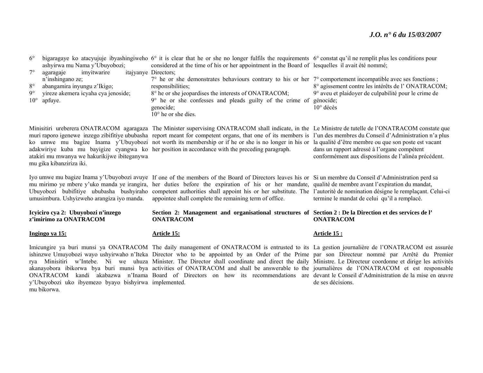| $6^{\circ}$                                                       |                                     | bigaragaye ko atacyujuje ibyashingiweho $6^{\circ}$ it is clear that he or she no longer fulfils the requirements $6^{\circ}$ constat qu'il ne remplit plus les conditions pour |                                                                                                                                                                                                                                   |
|-------------------------------------------------------------------|-------------------------------------|---------------------------------------------------------------------------------------------------------------------------------------------------------------------------------|-----------------------------------------------------------------------------------------------------------------------------------------------------------------------------------------------------------------------------------|
| ashyirwa mu Nama y'Ubuyobozi;                                     |                                     | considered at the time of his or her appointment in the Board of lesquelles il avait été nommé;                                                                                 |                                                                                                                                                                                                                                   |
|                                                                   | imvitwarire<br>agaragaje            | <i>itajyanye Directors:</i>                                                                                                                                                     |                                                                                                                                                                                                                                   |
|                                                                   | n'inshingano ze;                    | $7^{\circ}$ he or she demonstrates behaviours contrary to his or her $7^{\circ}$ comportement incompatible avec ses fonctions;                                                  |                                                                                                                                                                                                                                   |
| $8^{\circ}$                                                       | abangamira inyungu z'Ikigo;         | responsibilities;                                                                                                                                                               | 8° agissement contre les intérêts de l'ONATRACOM;                                                                                                                                                                                 |
| $9^\circ$                                                         | vireze akemera icyaha cya jenoside; | 8° he or she jeopardises the interests of ONATRACOM;                                                                                                                            | 9° aveu et plaidoyer de culpabilité pour le crime de                                                                                                                                                                              |
|                                                                   | $10^{\circ}$ apfuye.                | $9^{\circ}$ he or she confesses and pleads guilty of the crime of                                                                                                               | génocide;                                                                                                                                                                                                                         |
|                                                                   |                                     | genocide:                                                                                                                                                                       | $10^{\circ}$ décès                                                                                                                                                                                                                |
|                                                                   |                                     | $10^{\circ}$ he or she dies.                                                                                                                                                    |                                                                                                                                                                                                                                   |
| $\mathbf{r}$ . The set of $\mathbf{r}$ is the set of $\mathbf{r}$ |                                     |                                                                                                                                                                                 |                                                                                                                                                                                                                                   |
|                                                                   | $0.311$ mp $0.0031$                 | $-1$ $-1$ $-1$ $-1$                                                                                                                                                             | $\alpha$ is the probability of the state of the state of the state of the state of the state of the state of the state of the state of the state of the state of the state of the state of the state of the state of the state of |

atakiri mu mwanya we hakurikijwe ibiteganywa mu gika kibanziriza iki.

umusimbura. Ushyizweho arangiza iyo manda.

**Icyiciro cya 2: Ubuyobozi n'inzego z'imirimo za ONATRACOM** 

**Ingingo ya 15:**

y'Ubuyobozi uko ibyemezo byayo bishyirwa implemented. mu bikorwa.

Minisitiri ureberera ONATRACOM agaragaza The Minister supervising ONATRACOM shall indicate, in the Le Ministre de tutelle de l'ONATRACOM constate que muri raporo igenewe inzego zibifitiye ububasha report meant for competent organs, that one of its members is l'un des membres du Conseil d'Administration n'a plus ko umwe mu bagize Inama y'Ubuyobozi not worth its membership or if he or she is no longer in his or la qualité d'être membre ou que son poste est vacant adakwiriye kuba mu bayigize cyangwa ko her position in accordance with the preceding paragraph.

Iyo umwe mu bagize Inama y'Ubuyobozi avuye If one of the members of the Board of Directors leaves his or Si un membre du Conseil d'Administration perd sa mu mirimo ye mbere y'uko manda ye irangira, her duties before the expiration of his or her mandate, qualité de membre avant l'expiration du mandat, Ubuyobozi bubifitiye ububasha bushyiraho competent authorities shall appoint his or her substitute. The l'autorité de nomination désigne le remplaçant. Celui-ci appointee shall complete the remaining term of office.

termine le mandat de celui qu'il a remplacé.

dans un rapport adressé à l'organe compétent conformément aux dispositions de l'alinéa précédent.

# **ONATRACOM**

#### **Article 15 :**

de ses décisions.

## **Section 2: Management and organisational structures of Section 2 : De la Direction et des services de l' ONATRACOM**

### **Article 15:**

Imicungire ya buri munsi ya ONATRACOM The daily management of ONATRACOM is entrusted to its La gestion journalière de l'ONATRACOM est assurée ishinzwe Umuyobozi wayo ushyirwaho n'Iteka Director who to be appointed by an Order of the Prime par son Directeur nommé par Arrêté du Premier rya Minisitiri w'Intebe. Ni we uhuza Minister. The Director shall coordinate and direct the daily Ministre. Le Directeur coordonne et dirige les activités akanayobora ibikorwa bya buri munsi bya activities of ONATRACOM and shall be answerable to the journalières de l'ONATRACOM et est responsable ONATRACOM kandi akabazwa n'Inama Board of Directors on how its recommendations are devant le Conseil d'Administration de la mise en œuvre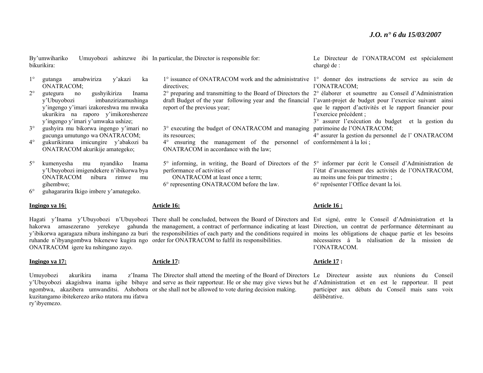Le Directeur de l'ONATRACOM est spécialement

bikurikira: 1° gutanga amabwiriza y'akazi ka ONATRACOM;  $2^{\circ}$  gutegura no gushyikiriza Inama y'Ubuyobozi imbanzirizamushinga y'ingengo y'imari izakoreshwa mu mwaka ukurikira na raporo y'imikoreshereze y'ingengo y'imari y'umwaka ushize;  $3^\circ$  gushyira mu bikorwa ingengo y'imari no gucunga umutungo wa ONATRACOM;  $4^\circ$  gukurikirana imicungire y'abakozi ba ONATRACOM akurikije amategeko; 5° kumenyesha mu nyandiko Inama y'Ubuyobozi imigendekere n'ibikorwa bya ONATRACOM nibura rimwe mu gihembwe; 1° issuance of ONATRACOM work and the administrative 1° donner des instructions de service au sein de directives: 2° preparing and transmitting to the Board of Directors the 2° élaborer et soumettre au Conseil d'Administration draft Budget of the year following year and the financial l'avant-projet de budget pour l'exercice suivant ainsi report of the previous year; 3° executing the budget of ONATRACOM and managing patrimoine de l'ONATRACOM; its resources; 4° ensuring the management of the personnel of conformément à la loi ; ONATRACOM in accordance with the law; 5° informing, in writing, the Board of Directors of the 5° informer par écrit le Conseil d'Administration de performance of activities of ONATRACOM at least once a term; 6° representing ONATRACOM before the law. chargé de : l'ONATRACOM; que le rapport d'activités et le rapport financier pour l'exercice précédent ; 3° assurer l'exécution du budget et la gestion du 4° assurer la gestion du personnel de l' ONATRACOM l'état d'avancement des activités de l'ONATRACOM, au moins une fois par trimestre ; 6° représenter l'Office devant la loi.

 $6^\circ$ guhagararira Ikigo imbere y'amategeko.

#### **Ingingo ya 16:**

# ruhande n'ibyangombwa bikenewe kugira ngo order for ONATRACOM to fulfil its responsibilities. ONATRACOM igere ku nshingano zayo.

#### **Ingingo ya 17:**

**Article 17:** 

**Article 16:**

By'umwihariko Umuyobozi ashinzwe ibi In particular, the Director is responsible for:

Umuyobozi akurikira inama y'Ubuyobozi akagishwa inama igihe bibaye and serve as their rapporteur. He or she may give views but he d'Administration et en est le rapporteur. Il peut ngombwa, akazibera umwanditsi. Ashobora or she shall not be allowed to vote during decision making. kuzitangamo ibitekerezo ariko ntatora mu ifatwa ry'ibyemezo. The Director shall attend the meeting of the Board of Directors Le Directeur assiste aux réunions du Conseil

**Article 16 :**

Hagati y'Inama y'Ubuyobozi n'Ubuyobozi There shall be concluded, between the Board of Directors and Est signé, entre le Conseil d'Administration et la hakorwa amasezerano yerekeye gahunda the management, a contract of performance indicating at least Direction, un contrat de performance déterminant au y'ibikorwa agaragaza nibura inshingano za buri the responsibilities of each party and the conditions required in moins les obligations de chaque partie et les besoins nécessaires à la réalisation de la mission de l'ONATRACOM.

### **Article 17 :**

participer aux débats du Conseil mais sans voix délibérative.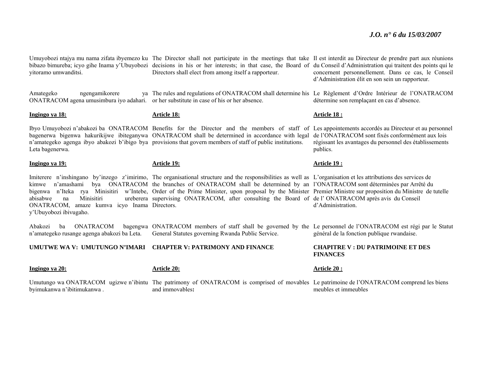yitoramo umwanditsi.

Amategeko ngengamikorere

bibazo bimureba; icyo gihe Inama y'Ubuyobozi decisions in his or her interests; in that case, the Board of du Conseil d'Administration qui traitent des points qui le Directors shall elect from among itself a rapporteur.

ONATRACOM agena umusimbura iyo adahari. or her substitute in case of his or her absence. The rules and regulations of ONATRACOM shall determine his Le Règlement d'Ordre Intérieur de l'ONATRACOM

**Ingingo ya 18:** 

**Article 18:**

Ibyo Umuyobozi n'abakozi ba ONATRACOM Benefits for the Director and the members of staff of Les appointements accordés au Directeur et au personnel bagenerwa bigenwa hakurikijwe ibiteganywa ONATRACOM shall be determined in accordance with legal de l'ONATRACOM sont fixés conformément aux lois <sup>n</sup>'amategeko agenga ibyo abakozi b'ibigo bya provisions that govern members of staff of public institutions. Leta bagenerwa.

#### **Ingingo ya 19:**

Imiterere n'inshingano by'inzego z'imirimo, The organisational structure and the responsibilities as well as L'organisation et les attributions des services de kimwe n'amashami bya ONATRACOM the branches of ONATRACOM shall be determined by an l'ONATRACOM sont déterminées par Arrêté du bigenwa n'Iteka rya Minisitiri w'Intebe, Order of the Prime Minister, upon proposal by the Minister Premier Ministre sur proposition du Ministre de tutelle abisabwe na Minisitiri ureberera supervising ONATRACOM, after consulting the Board of de l' ONATRACOM après avis du Conseil ONATRACOM, amaze kumva icyo Inama Directors. y'Ubuyobozi ibivugaho.

**Article 19:**

Abakozi ba ONATRACOM bagengwa ONATRACOM members of staff shall be governed by the Le personnel de l'ONATRACOM est régi par le Statut <sup>n</sup>'amategeko rusange agenga abakozi ba Leta. General Statutes governing Rwanda Public Service.

#### **UMUTWE WA V: UMUTUNGO N'IMARI CHAPTER V: PATRIMONY AND FINANCE**

| Ingingo ya 20:             | <b>Article 20:</b> | Article $20o$                                                                                                                             |
|----------------------------|--------------------|-------------------------------------------------------------------------------------------------------------------------------------------|
|                            |                    | Umutungo wa ONATRACOM ugizwe n'ibintu The patrimony of ONATRACOM is comprised of movables Le patrimoine de l'ONATRACOM comprend les biens |
| byimukanwa n'ibitimukanwa. | and immovables:    | meubles et immeubles                                                                                                                      |

Umuyobozi ntajya mu nama zifata ibyemezo ku The Director shall not participate in the meetings that take Il est interdit au Directeur de prendre part aux réunions concernent personnellement. Dans ce cas, le Conseil d'Administration élit en son sein un rapporteur.

détermine son remplaçant en cas d'absence.

#### **Article 18 :**

régissant les avantages du personnel des établissements publics.

#### **Article 19 :**

d'Administration.

général de la fonction publique rwandaise.

#### **CHAPITRE V : DU PATRIMOINE ET DES FINANCES**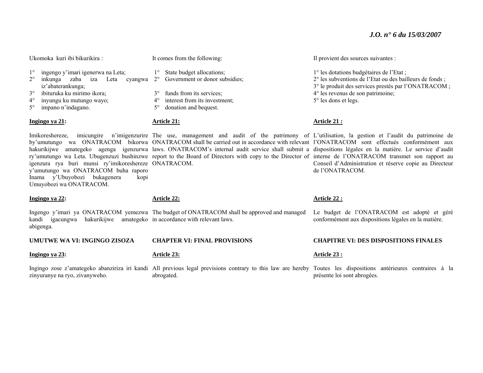Ukomoka kuri ibi bikurikira :

It comes from the following:

1° State budget allocations;

3° funds from its services; 4° interest from its investment; 5° donation and bequest.

- 1°ingengo y'imari igenerwa na Leta;
- $2^{\circ}$  inkunga zaba iza Leta cyangwa 2° Government or donor subsidies; iz'abaterankunga;
- 3°ibituruka ku mirimo ikora;
- $4^\circ$ inyungu ku mutungo wayo;
- $5^{\circ}$ impano n'indagano.

#### **Ingingo ya 21:**

igenzura rya buri munsi ry'imikoreshereze ONATRACOM. y'umutungo wa ONATRACOM buha raporo Inama y'Ubuyobozi bukagenera kopi Umuyobozi wa ONATRACOM.

#### **Ingingo ya 22:**

**Article 22:**

**Article 21:**

Ingengo y'imari ya ONATRACOM yemezwa The budget of ONATRACOM shall be approved and managed kandi igacungwa hakurikijwe amategeko in accordance with relevant laws. abigenga.

**UMUTWE WA VI: INGINGO ZISOZA** 

#### **Ingingo ya 23:**

#### **Article 23:**

Ingingo zose z'amategeko abanziriza iri kandi All previous legal previsions contrary to this law are hereby Toutes les dispositions antérieures contraires à la zinyuranye na ryo, zivanyweho. abrogated. présente loi sont abrogées.

#### Il provient des sources suivantes :

1° les dotations budgétaires de l'Etat ; 2° les subventions de l'Etat ou des bailleurs de fonds ; 3° le produit des services prestés par l'ONATRACOM ; 4° les revenus de son patrimoine; 5° les dons et legs.

#### **Article 21 :**

Imikoreshereze, imicungire n'imigenzurire The use, management and audit of the patrimony of L'utilisation, la gestion et l'audit du patrimoine de by'umutungo wa ONATRACOM bikorwa ONATRACOM shall be carried out in accordance with relevant l'ONATRACOM sont effectués conformément aux hakurikijwe amategeko agenga igenzurwa laws. ONATRACOM's internal audit service shall submit a dispositions légales en la matière. Le service d'audit ry'umutungo wa Leta. Ubugenzuzi bushinzwe report to the Board of Directors with copy to the Director of interne de l'ONATRACOM transmet son rapport au Conseil d'Administration et réserve copie au Directeur de l'ONATRACOM.

#### **Article 22 :**

Le budget de l'ONATRACOM est adopté et géré conformément aux dispositions légales en la matière.

#### **CHAPITRE VI: DES DISPOSITIONS FINALES**

#### **Article 23 :**

**CHAPTER VI: FINAL PROVISIONS**